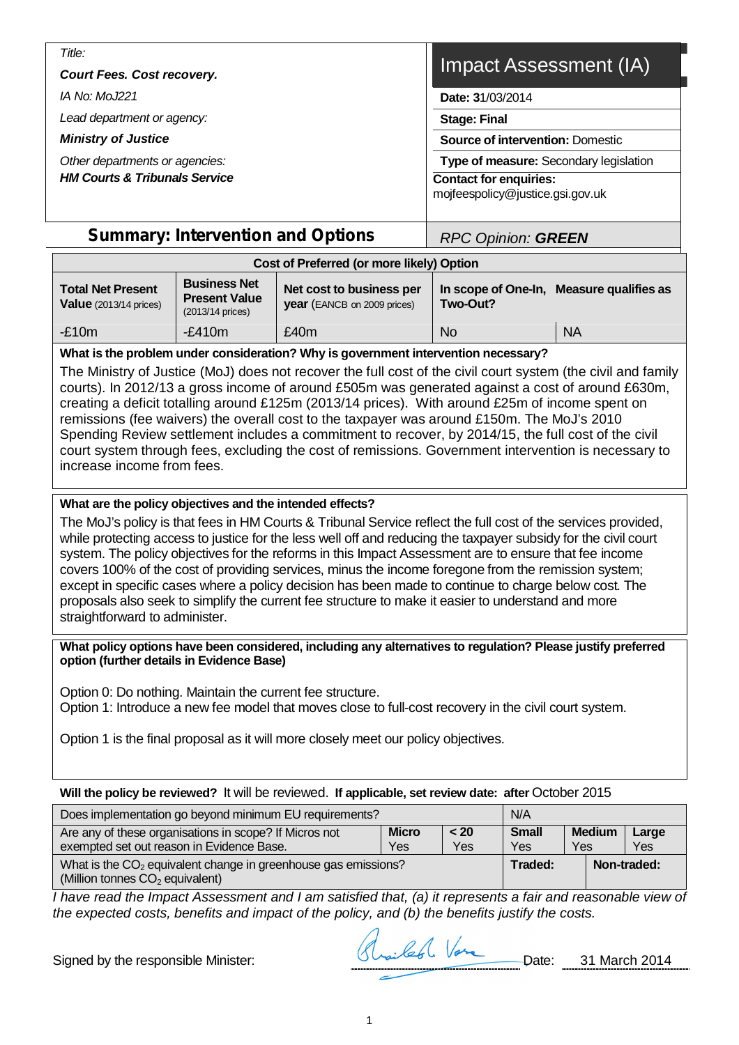| Title:<br><b>Court Fees. Cost recovery.</b> | Impact Assessment (IA)                                            |  |  |  |  |  |
|---------------------------------------------|-------------------------------------------------------------------|--|--|--|--|--|
| <i>IA No: MoJ221</i>                        | Date: 31/03/2014                                                  |  |  |  |  |  |
| Lead department or agency:                  | <b>Stage: Final</b>                                               |  |  |  |  |  |
| <b>Ministry of Justice</b>                  | <b>Source of intervention: Domestic</b>                           |  |  |  |  |  |
| Other departments or agencies:              | Type of measure: Secondary legislation                            |  |  |  |  |  |
| <b>HM Courts &amp; Tribunals Service</b>    | <b>Contact for enquiries:</b><br>mojfeespolicy@justice.gsi.gov.uk |  |  |  |  |  |

## **Summary: Intervention and Options**  *RPC Opinion: GREEN*

| Cost of Preferred (or more likely) Option                                                                                              |           |                                                                |          |                                          |  |  |  |
|----------------------------------------------------------------------------------------------------------------------------------------|-----------|----------------------------------------------------------------|----------|------------------------------------------|--|--|--|
| <b>Business Net</b><br><b>Total Net Present</b><br><b>Present Value</b><br><b>Value</b> $(2013/14 \text{ prices})$<br>(2013/14 prices) |           | Net cost to business per<br><b>year</b> (EANCB on 2009 prices) | Two-Out? | In scope of One-In, Measure qualifies as |  |  |  |
| $-£10m$                                                                                                                                | $-f.410m$ | £40m                                                           | No.      | <b>NA</b>                                |  |  |  |

#### **What is the problem under consideration? Why is government intervention necessary?**

The Ministry of Justice (MoJ) does not recover the full cost of the civil court system (the civil and family courts). In 2012/13 a gross income of around £505m was generated against a cost of around £630m, creating a deficit totalling around £125m (2013/14 prices). With around £25m of income spent on remissions (fee waivers) the overall cost to the taxpayer was around £150m. The MoJ's 2010 Spending Review settlement includes a commitment to recover, by 2014/15, the full cost of the civil court system through fees, excluding the cost of remissions. Government intervention is necessary to increase income from fees.

#### **What are the policy objectives and the intended effects?**

The MoJ's policy is that fees in HM Courts & Tribunal Service reflect the full cost of the services provided, while protecting access to justice for the less well off and reducing the taxpayer subsidy for the civil court system. The policy objectives for the reforms in this Impact Assessment are to ensure that fee income covers 100% of the cost of providing services, minus the income foregone from the remission system; except in specific cases where a policy decision has been made to continue to charge below cost. The proposals also seek to simplify the current fee structure to make it easier to understand and more straightforward to administer.

#### **What policy options have been considered, including any alternatives to regulation? Please justify preferred option (further details in Evidence Base)**

Option 0: Do nothing. Maintain the current fee structure. Option 1: Introduce a new fee model that moves close to full-cost recovery in the civil court system.

Option 1 is the final proposal as it will more closely meet our policy objectives.

#### **Will the policy be reviewed?** It will be reviewed. **If applicable, set review date: after** October 2015

| Does implementation go beyond minimum EU requirements?                                                          | N/A                                                         |  |             |
|-----------------------------------------------------------------------------------------------------------------|-------------------------------------------------------------|--|-------------|
| Are any of these organisations in scope? If Micros not<br>exempted set out reason in Evidence Base.             | <b>Small</b><br><b>Medium</b><br>Large<br>Yes<br>Yes<br>Yes |  |             |
| What is the CO <sub>2</sub> equivalent change in greenhouse gas emissions?<br>(Million tonnes $CO2$ equivalent) | Traded:                                                     |  | Non-traded: |

*I have read the Impact Assessment and I am satisfied that, (a) it represents a fair and reasonable view of the expected costs, benefits and impact of the policy, and (b) the benefits justify the costs.*

Signed by the responsible Minister: Straited Vere Date: 31 March 2014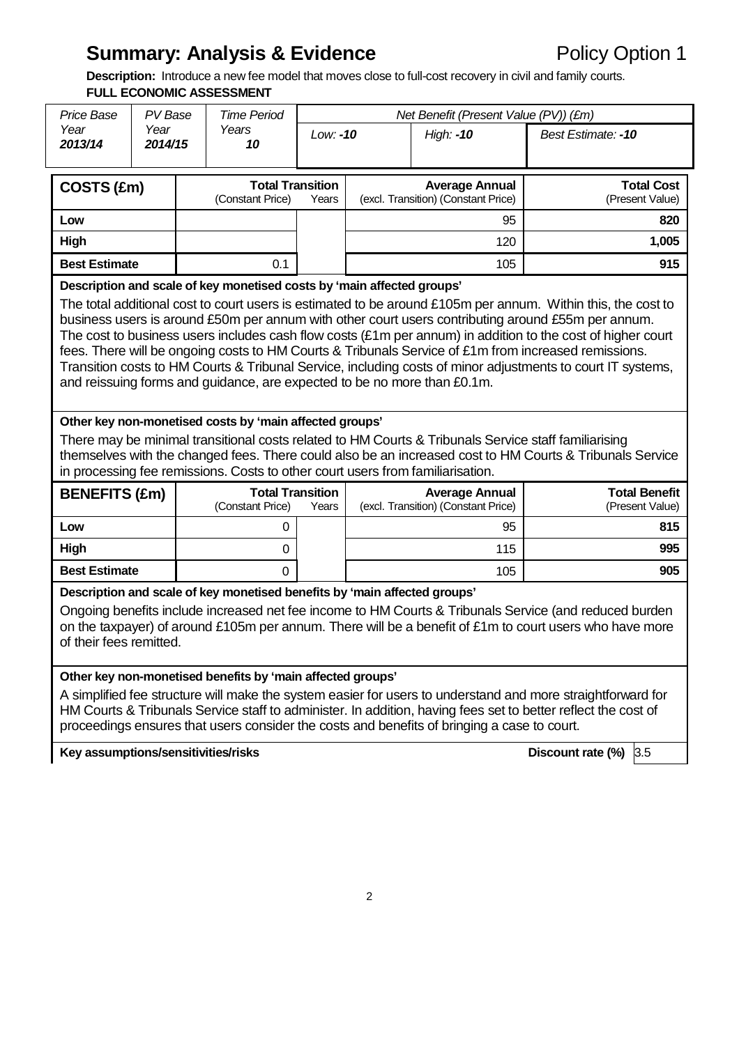# **Summary: Analysis & Evidence** Policy Option 1

**Description:** Introduce a new fee model that moves close to full-cost recovery in civil and family courts.

|                                                                                                                                                                                                                                                                                                                                                                                                                                                                                                                                                                                                                                                                                                                                                                                                                                                                                                                                                                                                                                                                                    |                 | <b>FULL ECONOMIC ASSESSMENT</b> |                                                                                |            |  |                                                              |                                                |  |
|------------------------------------------------------------------------------------------------------------------------------------------------------------------------------------------------------------------------------------------------------------------------------------------------------------------------------------------------------------------------------------------------------------------------------------------------------------------------------------------------------------------------------------------------------------------------------------------------------------------------------------------------------------------------------------------------------------------------------------------------------------------------------------------------------------------------------------------------------------------------------------------------------------------------------------------------------------------------------------------------------------------------------------------------------------------------------------|-----------------|---------------------------------|--------------------------------------------------------------------------------|------------|--|--------------------------------------------------------------|------------------------------------------------|--|
| Price Base                                                                                                                                                                                                                                                                                                                                                                                                                                                                                                                                                                                                                                                                                                                                                                                                                                                                                                                                                                                                                                                                         | PV Base         |                                 | <b>Time Period</b>                                                             |            |  | Net Benefit (Present Value (PV)) (£m)                        |                                                |  |
| Year<br>2013/14                                                                                                                                                                                                                                                                                                                                                                                                                                                                                                                                                                                                                                                                                                                                                                                                                                                                                                                                                                                                                                                                    | Year<br>2014/15 |                                 | Years<br>10                                                                    | $Low: -10$ |  | High: -10                                                    | Best Estimate: -10                             |  |
| COSTS (£m)                                                                                                                                                                                                                                                                                                                                                                                                                                                                                                                                                                                                                                                                                                                                                                                                                                                                                                                                                                                                                                                                         |                 |                                 | <b>Total Transition</b><br>(Constant Price)                                    | Years      |  | <b>Average Annual</b><br>(excl. Transition) (Constant Price) | <b>Total Cost</b><br>(Present Value)           |  |
| Low                                                                                                                                                                                                                                                                                                                                                                                                                                                                                                                                                                                                                                                                                                                                                                                                                                                                                                                                                                                                                                                                                |                 |                                 |                                                                                |            |  | 95                                                           | 820                                            |  |
| High                                                                                                                                                                                                                                                                                                                                                                                                                                                                                                                                                                                                                                                                                                                                                                                                                                                                                                                                                                                                                                                                               |                 |                                 |                                                                                |            |  | 120                                                          | 1,005                                          |  |
| <b>Best Estimate</b>                                                                                                                                                                                                                                                                                                                                                                                                                                                                                                                                                                                                                                                                                                                                                                                                                                                                                                                                                                                                                                                               |                 |                                 | 0.1                                                                            |            |  | 105                                                          | 915                                            |  |
| Description and scale of key monetised costs by 'main affected groups'<br>The total additional cost to court users is estimated to be around £105m per annum. Within this, the cost to<br>business users is around £50m per annum with other court users contributing around £55m per annum.<br>The cost to business users includes cash flow costs $(E1m)$ per annum) in addition to the cost of higher court<br>fees. There will be ongoing costs to HM Courts & Tribunals Service of £1m from increased remissions.<br>Transition costs to HM Courts & Tribunal Service, including costs of minor adjustments to court IT systems,<br>and reissuing forms and guidance, are expected to be no more than £0.1m.<br>Other key non-monetised costs by 'main affected groups'<br>There may be minimal transitional costs related to HM Courts & Tribunals Service staff familiarising<br>themselves with the changed fees. There could also be an increased cost to HM Courts & Tribunals Service<br>in processing fee remissions. Costs to other court users from familiarisation. |                 |                                 |                                                                                |            |  |                                                              |                                                |  |
| <b>BENEFITS (£m)</b>                                                                                                                                                                                                                                                                                                                                                                                                                                                                                                                                                                                                                                                                                                                                                                                                                                                                                                                                                                                                                                                               |                 |                                 |                                                                                |            |  |                                                              |                                                |  |
|                                                                                                                                                                                                                                                                                                                                                                                                                                                                                                                                                                                                                                                                                                                                                                                                                                                                                                                                                                                                                                                                                    |                 |                                 | <b>Total Transition</b><br>(Constant Price)                                    | Years      |  | <b>Average Annual</b><br>(excl. Transition) (Constant Price) |                                                |  |
| Low                                                                                                                                                                                                                                                                                                                                                                                                                                                                                                                                                                                                                                                                                                                                                                                                                                                                                                                                                                                                                                                                                |                 |                                 | 0                                                                              |            |  | 95                                                           | <b>Total Benefit</b><br>(Present Value)<br>815 |  |
| High                                                                                                                                                                                                                                                                                                                                                                                                                                                                                                                                                                                                                                                                                                                                                                                                                                                                                                                                                                                                                                                                               |                 |                                 | 0                                                                              |            |  | 115                                                          | 995                                            |  |
| <b>Best Estimate</b>                                                                                                                                                                                                                                                                                                                                                                                                                                                                                                                                                                                                                                                                                                                                                                                                                                                                                                                                                                                                                                                               |                 |                                 | 0<br>Description and scale of key monetised benefits by 'main affected groups' |            |  | 105                                                          | 905                                            |  |

**Key assumptions/sensitivities/risks Discount rate (%)** 3.5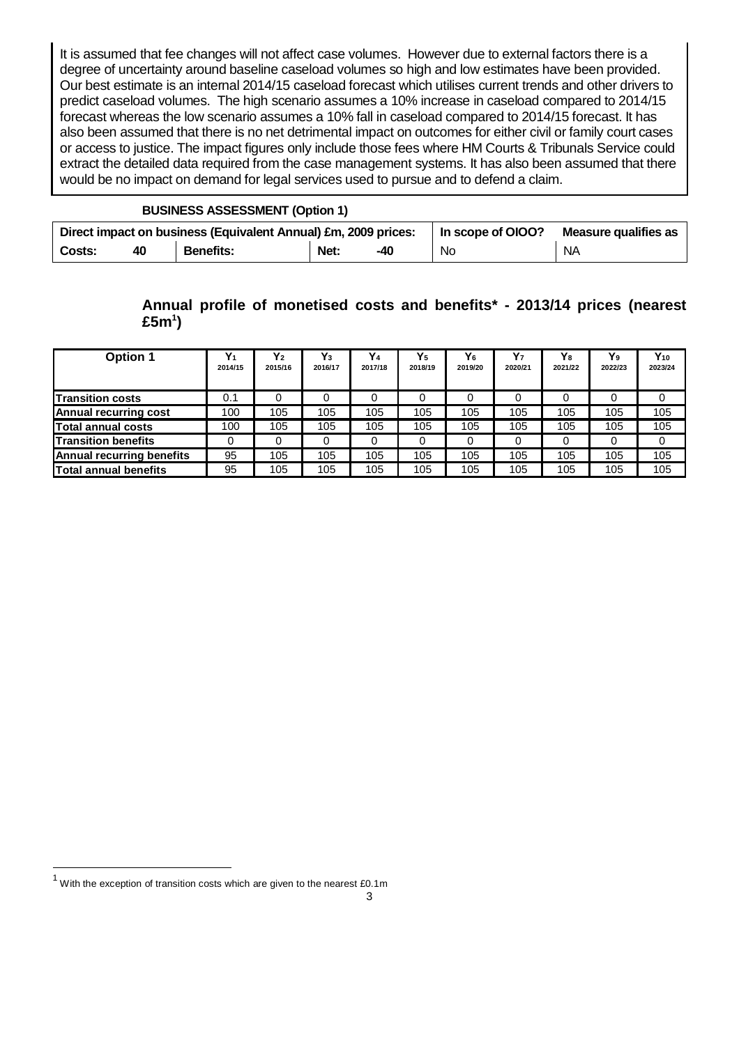It is assumed that fee changes will not affect case volumes. However due to external factors there is a degree of uncertainty around baseline caseload volumes so high and low estimates have been provided. Our best estimate is an internal 2014/15 caseload forecast which utilises current trends and other drivers to predict caseload volumes. The high scenario assumes a 10% increase in caseload compared to 2014/15 forecast whereas the low scenario assumes a 10% fall in caseload compared to 2014/15 forecast. It has also been assumed that there is no net detrimental impact on outcomes for either civil or family court cases or access to justice. The impact figures only include those fees where HM Courts & Tribunals Service could extract the detailed data required from the case management systems. It has also been assumed that there would be no impact on demand for legal services used to pursue and to defend a claim.

#### **BUSINESS ASSESSMENT (Option 1)**

| Direct impact on business (Equivalent Annual) £m, 2009 prices: |    |                  |      |     | In scope of OIOO? | Measure qualifies as |
|----------------------------------------------------------------|----|------------------|------|-----|-------------------|----------------------|
| Costs:                                                         | 40 | <b>Benefits:</b> | Net: | -40 | No                | <b>NA</b>            |

### **Annual profile of monetised costs and benefits\* - 2013/14 prices (nearest £5m<sup>1</sup> )**

| <b>Option 1</b>              | $\mathbf{V}_4$<br>2014/15 | $Y_2$<br>2015/16 | $Y_3$<br>2016/17 | Y <sub>4</sub><br>2017/18 | $Y_5$<br>2018/19 | Y <sub>6</sub><br>2019/20 | Y <sub>7</sub><br>2020/21 | Y <sub>8</sub><br>2021/22 | Y <sub>9</sub><br>2022/23 | $Y_{10}$<br>2023/24 |
|------------------------------|---------------------------|------------------|------------------|---------------------------|------------------|---------------------------|---------------------------|---------------------------|---------------------------|---------------------|
| <b>Transition costs</b>      | 0.1                       | 0                | 0                |                           | 0                | 0                         |                           | 0                         |                           | 0                   |
| Annual recurring cost        | 100                       | 105              | 105              | 105                       | 105              | 105                       | 105                       | 105                       | 105                       | 105                 |
| <b>Total annual costs</b>    | 100                       | 105              | 105              | 105                       | 105              | 105                       | 105                       | 105                       | 105                       | 105                 |
| <b>Transition benefits</b>   |                           |                  | 0                |                           |                  | 0                         |                           |                           |                           | 0                   |
| Annual recurring benefits    | 95                        | 105              | 105              | 105                       | 105              | 105                       | 105                       | 105                       | 105                       | 105                 |
| <b>Total annual benefits</b> | 95                        | 105              | 105              | 105                       | 105              | 105                       | 105                       | 105                       | 105                       | 105                 |

 $\overline{a}$ 

 $1$  With the exception of transition costs which are given to the nearest £0.1m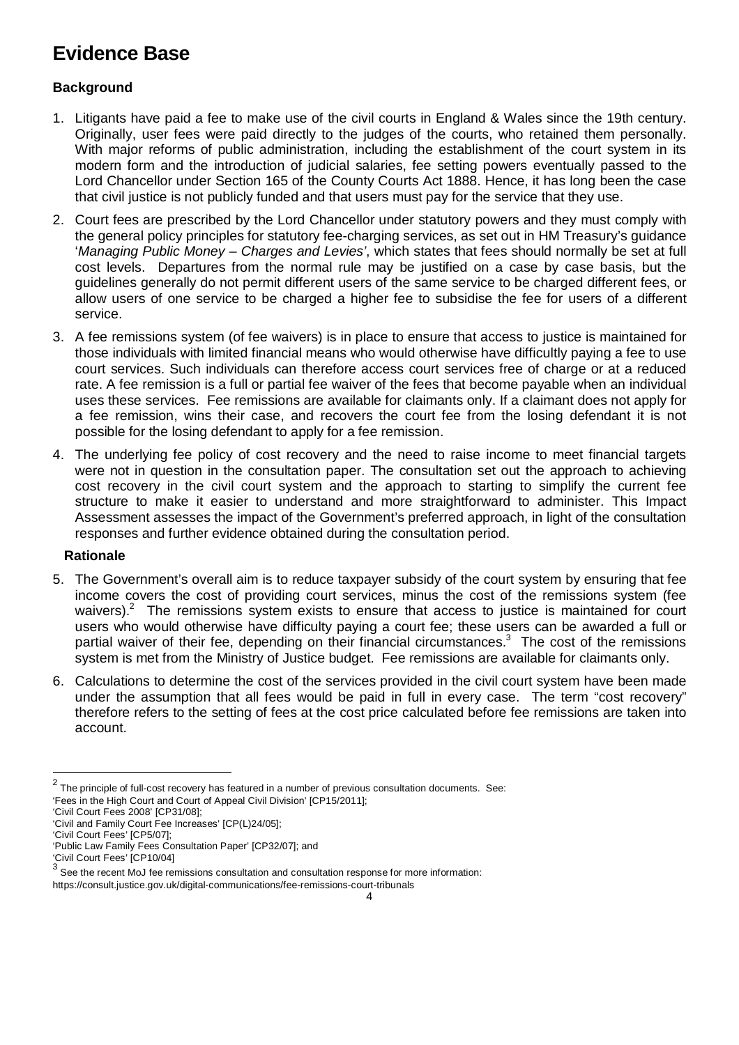## **Evidence Base**

### **Background**

- 1. Litigants have paid a fee to make use of the civil courts in England & Wales since the 19th century. Originally, user fees were paid directly to the judges of the courts, who retained them personally. With major reforms of public administration, including the establishment of the court system in its modern form and the introduction of judicial salaries, fee setting powers eventually passed to the Lord Chancellor under Section 165 of the County Courts Act 1888. Hence, it has long been the case that civil justice is not publicly funded and that users must pay for the service that they use.
- 2. Court fees are prescribed by the Lord Chancellor under statutory powers and they must comply with the general policy principles for statutory fee-charging services, as set out in HM Treasury's guidance '*Managing Public Money – Charges and Levies'*, which states that fees should normally be set at full cost levels. Departures from the normal rule may be justified on a case by case basis, but the guidelines generally do not permit different users of the same service to be charged different fees, or allow users of one service to be charged a higher fee to subsidise the fee for users of a different service.
- 3. A fee remissions system (of fee waivers) is in place to ensure that access to justice is maintained for those individuals with limited financial means who would otherwise have difficultly paying a fee to use court services. Such individuals can therefore access court services free of charge or at a reduced rate. A fee remission is a full or partial fee waiver of the fees that become payable when an individual uses these services. Fee remissions are available for claimants only. If a claimant does not apply for a fee remission, wins their case, and recovers the court fee from the losing defendant it is not possible for the losing defendant to apply for a fee remission.
- 4. The underlying fee policy of cost recovery and the need to raise income to meet financial targets were not in question in the consultation paper. The consultation set out the approach to achieving cost recovery in the civil court system and the approach to starting to simplify the current fee structure to make it easier to understand and more straightforward to administer. This Impact Assessment assesses the impact of the Government's preferred approach, in light of the consultation responses and further evidence obtained during the consultation period.

#### **Rationale**

- 5. The Government's overall aim is to reduce taxpayer subsidy of the court system by ensuring that fee income covers the cost of providing court services, minus the cost of the remissions system (fee waivers).<sup>2</sup> The remissions system exists to ensure that access to justice is maintained for court users who would otherwise have difficulty paying a court fee; these users can be awarded a full or partial waiver of their fee, depending on their financial circumstances.<sup>3</sup> The cost of the remissions system is met from the Ministry of Justice budget. Fee remissions are available for claimants only.
- 6. Calculations to determine the cost of the services provided in the civil court system have been made under the assumption that all fees would be paid in full in every case. The term "cost recovery" therefore refers to the setting of fees at the cost price calculated before fee remissions are taken into account.

 $\overline{a}$ 

 $^2$  The principle of full-cost recovery has featured in a number of previous consultation documents. See: 'Fees in the High Court and Court of Appeal Civil Division' [CP15/2011];

<sup>&#</sup>x27;Civil Court Fees 2008' [CP31/08];

<sup>&#</sup>x27;Civil and Family Court Fee Increases' [CP(L)24/05];

<sup>&#</sup>x27;Civil Court Fees' [CP5/07];

<sup>&#</sup>x27;Public Law Family Fees Consultation Paper' [CP32/07]; and

<sup>&#</sup>x27;Civil Court Fees' [CP10/04]<br><sup>3</sup> See the resent Me Lfee re

See the recent MoJ fee remissions consultation and consultation response for more information: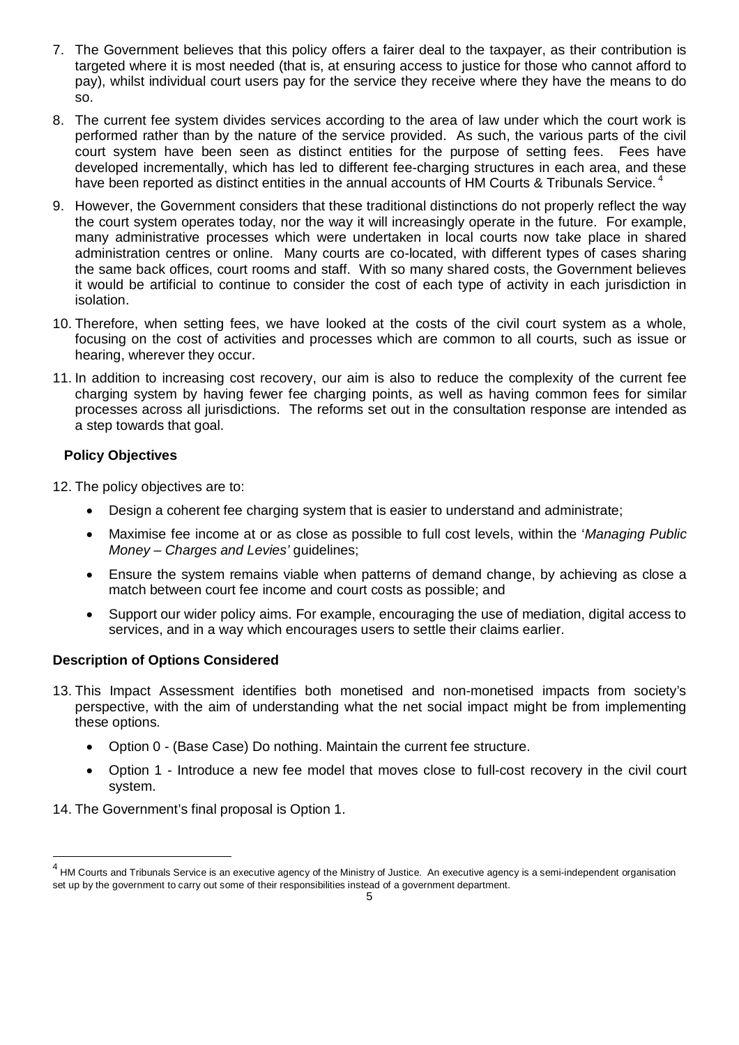- 7. The Government believes that this policy offers a fairer deal to the taxpayer, as their contribution is targeted where it is most needed (that is, at ensuring access to justice for those who cannot afford to pay), whilst individual court users pay for the service they receive where they have the means to do so.
- 8. The current fee system divides services according to the area of law under which the court work is performed rather than by the nature of the service provided. As such, the various parts of the civil court system have been seen as distinct entities for the purpose of setting fees. Fees have developed incrementally, which has led to different fee-charging structures in each area, and these have been reported as distinct entities in the annual accounts of HM Courts & Tribunals Service.<sup>4</sup>
- 9. However, the Government considers that these traditional distinctions do not properly reflect the way the court system operates today, nor the way it will increasingly operate in the future. For example, many administrative processes which were undertaken in local courts now take place in shared administration centres or online. Many courts are co-located, with different types of cases sharing the same back offices, court rooms and staff. With so many shared costs, the Government believes it would be artificial to continue to consider the cost of each type of activity in each jurisdiction in isolation.
- 10. Therefore, when setting fees, we have looked at the costs of the civil court system as a whole, focusing on the cost of activities and processes which are common to all courts, such as issue or hearing, wherever they occur.
- 11. In addition to increasing cost recovery, our aim is also to reduce the complexity of the current fee charging system by having fewer fee charging points, as well as having common fees for similar processes across all jurisdictions. The reforms set out in the consultation response are intended as a step towards that goal.

#### **Policy Objectives**

 $\overline{a}$ 

12. The policy objectives are to:

- Design a coherent fee charging system that is easier to understand and administrate;
- Maximise fee income at or as close as possible to full cost levels, within the '*Managing Public Money – Charges and Levies'* guidelines;
- Ensure the system remains viable when patterns of demand change, by achieving as close a match between court fee income and court costs as possible; and
- Support our wider policy aims. For example, encouraging the use of mediation, digital access to services, and in a way which encourages users to settle their claims earlier.

#### **Description of Options Considered**

- 13. This Impact Assessment identifies both monetised and non-monetised impacts from society's perspective, with the aim of understanding what the net social impact might be from implementing these options.
	- Option 0 (Base Case) Do nothing. Maintain the current fee structure.
	- Option 1 Introduce a new fee model that moves close to full-cost recovery in the civil court system.
- 14. The Government's final proposal is Option 1.

<sup>&</sup>lt;sup>4</sup> HM Courts and Tribunals Service is an executive agency of the Ministry of Justice. An executive agency is a semi-independent organisation set up by the government to carry out some of their responsibilities instead of a government department.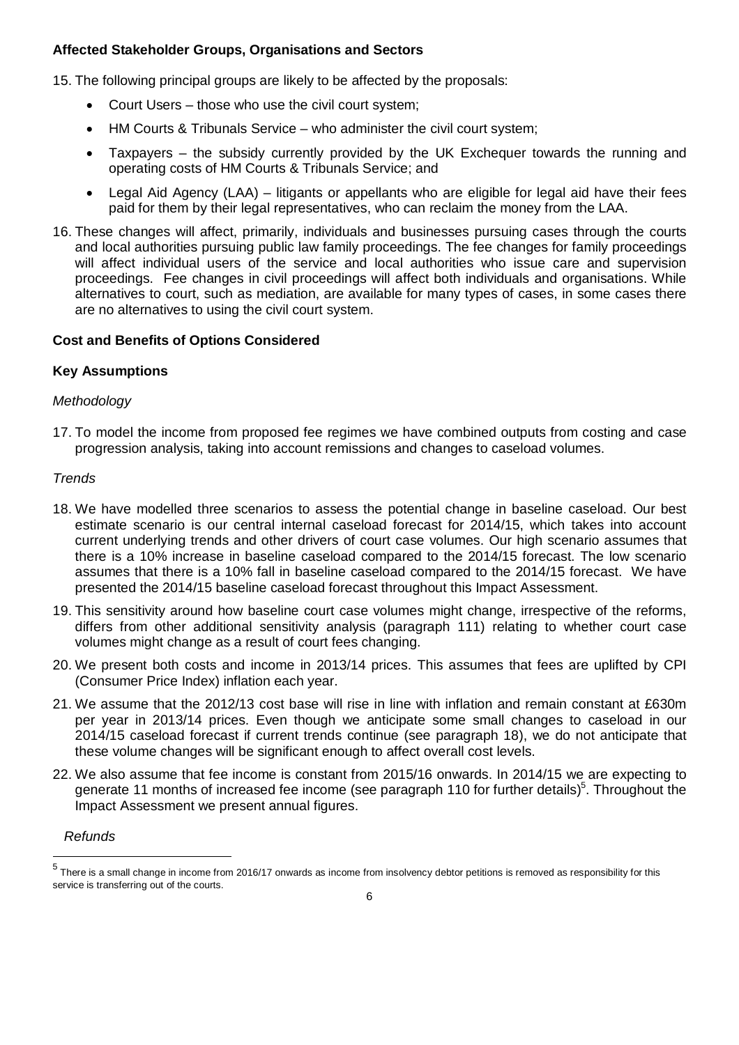#### **Affected Stakeholder Groups, Organisations and Sectors**

15. The following principal groups are likely to be affected by the proposals:

- Court Users those who use the civil court system;
- HM Courts & Tribunals Service who administer the civil court system;
- Taxpayers the subsidy currently provided by the UK Exchequer towards the running and operating costs of HM Courts & Tribunals Service; and
- Legal Aid Agency (LAA) litigants or appellants who are eligible for legal aid have their fees paid for them by their legal representatives, who can reclaim the money from the LAA.
- 16. These changes will affect, primarily, individuals and businesses pursuing cases through the courts and local authorities pursuing public law family proceedings. The fee changes for family proceedings will affect individual users of the service and local authorities who issue care and supervision proceedings. Fee changes in civil proceedings will affect both individuals and organisations. While alternatives to court, such as mediation, are available for many types of cases, in some cases there are no alternatives to using the civil court system.

#### **Cost and Benefits of Options Considered**

#### **Key Assumptions**

#### *Methodology*

17. To model the income from proposed fee regimes we have combined outputs from costing and case progression analysis, taking into account remissions and changes to caseload volumes.

#### *Trends*

- 18. We have modelled three scenarios to assess the potential change in baseline caseload. Our best estimate scenario is our central internal caseload forecast for 2014/15, which takes into account current underlying trends and other drivers of court case volumes. Our high scenario assumes that there is a 10% increase in baseline caseload compared to the 2014/15 forecast. The low scenario assumes that there is a 10% fall in baseline caseload compared to the 2014/15 forecast. We have presented the 2014/15 baseline caseload forecast throughout this Impact Assessment.
- 19. This sensitivity around how baseline court case volumes might change, irrespective of the reforms, differs from other additional sensitivity analysis (paragraph 111) relating to whether court case volumes might change as a result of court fees changing.
- 20. We present both costs and income in 2013/14 prices. This assumes that fees are uplifted by CPI (Consumer Price Index) inflation each year.
- 21. We assume that the 2012/13 cost base will rise in line with inflation and remain constant at £630m per year in 2013/14 prices. Even though we anticipate some small changes to caseload in our 2014/15 caseload forecast if current trends continue (see paragraph 18), we do not anticipate that these volume changes will be significant enough to affect overall cost levels.
- 22. We also assume that fee income is constant from 2015/16 onwards. In 2014/15 we are expecting to generate 11 months of increased fee income (see paragraph 110 for further details)<sup>5</sup>. Throughout the Impact Assessment we present annual figures.

#### *Refunds*

 5 There is a small change in income from 2016/17 onwards as income from insolvency debtor petitions is removed as responsibility for this service is transferring out of the courts.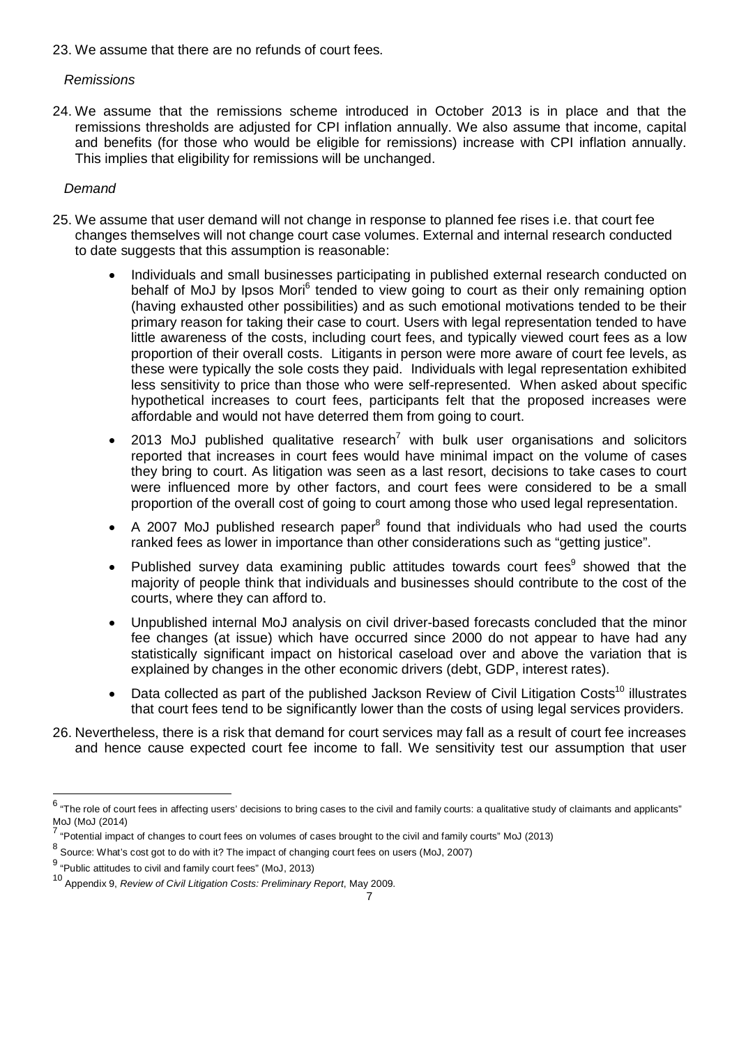23. We assume that there are no refunds of court fees.

#### *Remissions*

24. We assume that the remissions scheme introduced in October 2013 is in place and that the remissions thresholds are adjusted for CPI inflation annually. We also assume that income, capital and benefits (for those who would be eligible for remissions) increase with CPI inflation annually. This implies that eligibility for remissions will be unchanged.

#### *Demand*

- 25. We assume that user demand will not change in response to planned fee rises i.e. that court fee changes themselves will not change court case volumes. External and internal research conducted to date suggests that this assumption is reasonable:
	- Individuals and small businesses participating in published external research conducted on behalf of MoJ by Ipsos Mori<sup>6</sup> tended to view going to court as their only remaining option (having exhausted other possibilities) and as such emotional motivations tended to be their primary reason for taking their case to court. Users with legal representation tended to have little awareness of the costs, including court fees, and typically viewed court fees as a low proportion of their overall costs. Litigants in person were more aware of court fee levels, as these were typically the sole costs they paid. Individuals with legal representation exhibited less sensitivity to price than those who were self-represented. When asked about specific hypothetical increases to court fees, participants felt that the proposed increases were affordable and would not have deterred them from going to court.
	- 2013 MoJ published qualitative research<sup>7</sup> with bulk user organisations and solicitors reported that increases in court fees would have minimal impact on the volume of cases they bring to court. As litigation was seen as a last resort, decisions to take cases to court were influenced more by other factors, and court fees were considered to be a small proportion of the overall cost of going to court among those who used legal representation.
	- $\bullet$  A 2007 MoJ published research paper<sup>8</sup> found that individuals who had used the courts ranked fees as lower in importance than other considerations such as "getting justice".
	- Published survey data examining public attitudes towards court fees $9$  showed that the majority of people think that individuals and businesses should contribute to the cost of the courts, where they can afford to.
	- Unpublished internal MoJ analysis on civil driver-based forecasts concluded that the minor fee changes (at issue) which have occurred since 2000 do not appear to have had any statistically significant impact on historical caseload over and above the variation that is explained by changes in the other economic drivers (debt, GDP, interest rates).
	- Data collected as part of the published Jackson Review of Civil Litigation Costs<sup>10</sup> illustrates that court fees tend to be significantly lower than the costs of using legal services providers.
- 26. Nevertheless, there is a risk that demand for court services may fall as a result of court fee increases and hence cause expected court fee income to fall. We sensitivity test our assumption that user

era the role of court fees in affecting users' decisions to bring cases to the civil and family courts: a qualitative study of claimants and applicants"<br><sup>6</sup> "The role of court fees in affecting users' decisions to bring ca MoJ (MoJ (2014)

 $^7$  "Potential impact of changes to court fees on volumes of cases brought to the civil and family courts" MoJ (2013)

 $^8$  Source: What's cost got to do with it? The impact of changing court fees on users (MoJ, 2007)

 $^9$  "Public attitudes to civil and family court fees" (MoJ, 2013)

<sup>10</sup> Appendix 9, *Review of Civil Litigation Costs: Preliminary Report*, May 2009.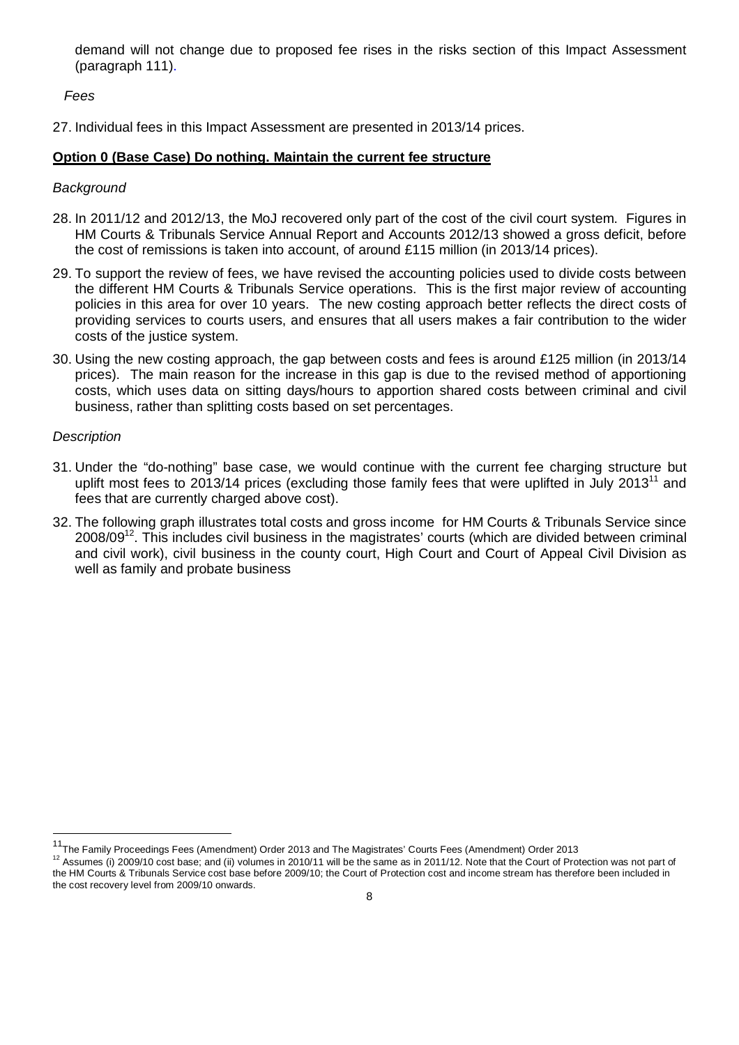demand will not change due to proposed fee rises in the risks section of this Impact Assessment (paragraph 111).

#### *Fees*

27. Individual fees in this Impact Assessment are presented in 2013/14 prices.

#### **Option 0 (Base Case) Do nothing. Maintain the current fee structure**

#### *Background*

- 28. In 2011/12 and 2012/13, the MoJ recovered only part of the cost of the civil court system. Figures in HM Courts & Tribunals Service Annual Report and Accounts 2012/13 showed a gross deficit, before the cost of remissions is taken into account, of around £115 million (in 2013/14 prices).
- 29. To support the review of fees, we have revised the accounting policies used to divide costs between the different HM Courts & Tribunals Service operations. This is the first major review of accounting policies in this area for over 10 years. The new costing approach better reflects the direct costs of providing services to courts users, and ensures that all users makes a fair contribution to the wider costs of the justice system.
- 30. Using the new costing approach, the gap between costs and fees is around £125 million (in 2013/14 prices). The main reason for the increase in this gap is due to the revised method of apportioning costs, which uses data on sitting days/hours to apportion shared costs between criminal and civil business, rather than splitting costs based on set percentages.

#### *Description*

 $\overline{a}$ 

- 31. Under the "do-nothing" base case, we would continue with the current fee charging structure but uplift most fees to 2013/14 prices (excluding those family fees that were uplifted in July 2013<sup>11</sup> and fees that are currently charged above cost).
- 32. The following graph illustrates total costs and gross income for HM Courts & Tribunals Service since 2008/09<sup>12</sup>. This includes civil business in the magistrates' courts (which are divided between criminal and civil work), civil business in the county court, High Court and Court of Appeal Civil Division as well as family and probate business

<sup>&</sup>lt;sup>11</sup>The Family Proceedings Fees (Amendment) Order 2013 and The Magistrates' Courts Fees (Amendment) Order 2013

<sup>&</sup>lt;sup>12</sup> Assumes (i) 2009/10 cost base; and (ii) volumes in 2010/11 will be the same as in 2011/12. Note that the Court of Protection was not part of the HM Courts & Tribunals Service cost base before 2009/10; the Court of Protection cost and income stream has therefore been included in the cost recovery level from 2009/10 onwards.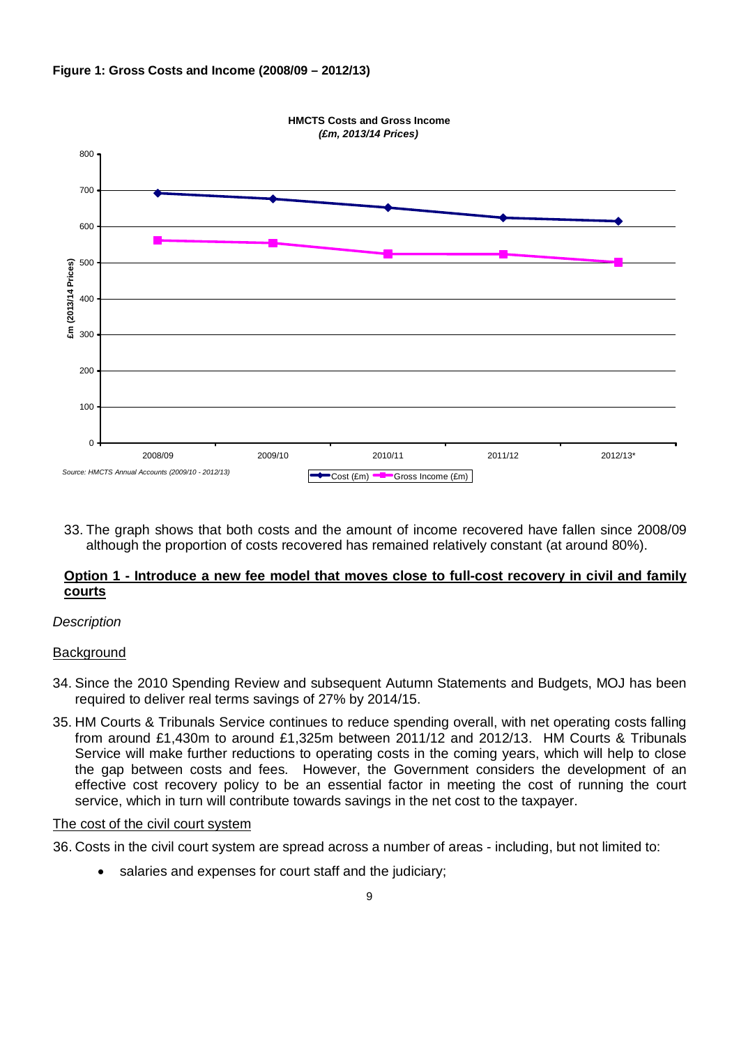



33. The graph shows that both costs and the amount of income recovered have fallen since 2008/09 although the proportion of costs recovered has remained relatively constant (at around 80%).

#### **Option 1 - Introduce a new fee model that moves close to full-cost recovery in civil and family courts**

#### *Description*

#### **Background**

- 34. Since the 2010 Spending Review and subsequent Autumn Statements and Budgets, MOJ has been required to deliver real terms savings of 27% by 2014/15.
- 35. HM Courts & Tribunals Service continues to reduce spending overall, with net operating costs falling from around £1,430m to around £1,325m between 2011/12 and 2012/13. HM Courts & Tribunals Service will make further reductions to operating costs in the coming years, which will help to close the gap between costs and fees. However, the Government considers the development of an effective cost recovery policy to be an essential factor in meeting the cost of running the court service, which in turn will contribute towards savings in the net cost to the taxpayer.

#### The cost of the civil court system

- 36. Costs in the civil court system are spread across a number of areas including, but not limited to:
	- salaries and expenses for court staff and the judiciary;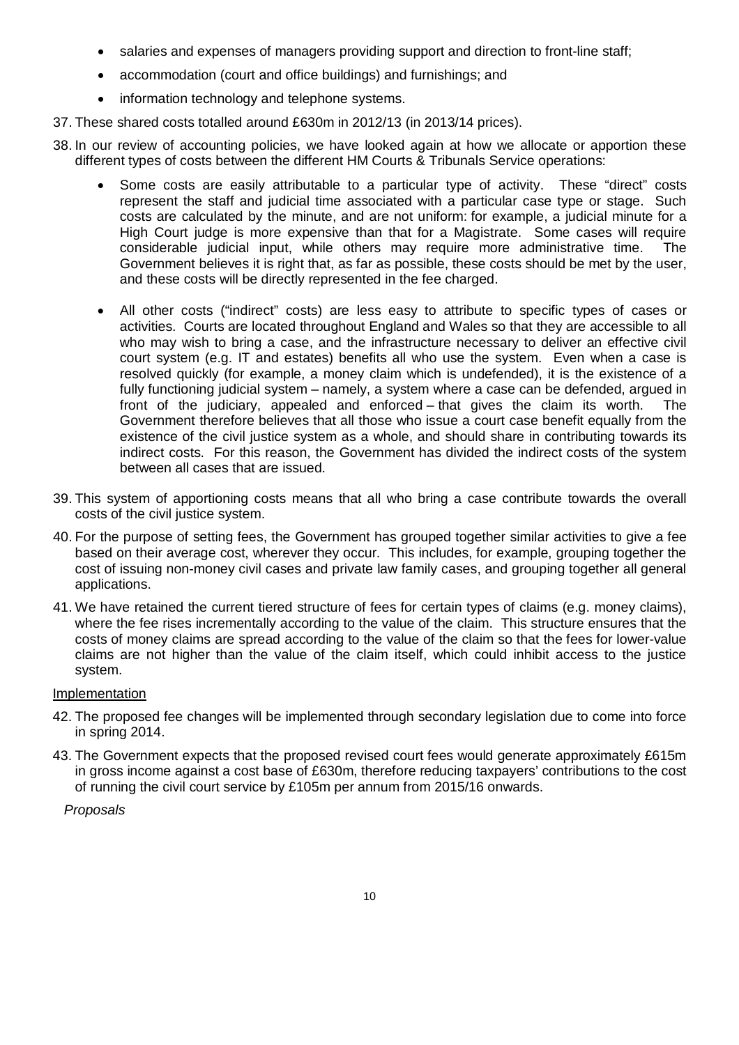- salaries and expenses of managers providing support and direction to front-line staff;
- accommodation (court and office buildings) and furnishings; and
- information technology and telephone systems.
- 37. These shared costs totalled around £630m in 2012/13 (in 2013/14 prices).
- 38. In our review of accounting policies, we have looked again at how we allocate or apportion these different types of costs between the different HM Courts & Tribunals Service operations:
	- Some costs are easily attributable to a particular type of activity. These "direct" costs represent the staff and judicial time associated with a particular case type or stage. Such costs are calculated by the minute, and are not uniform: for example, a judicial minute for a High Court judge is more expensive than that for a Magistrate. Some cases will require considerable judicial input, while others may require more administrative time. The Government believes it is right that, as far as possible, these costs should be met by the user, and these costs will be directly represented in the fee charged.
	- All other costs ("indirect" costs) are less easy to attribute to specific types of cases or activities. Courts are located throughout England and Wales so that they are accessible to all who may wish to bring a case, and the infrastructure necessary to deliver an effective civil court system (e.g. IT and estates) benefits all who use the system. Even when a case is resolved quickly (for example, a money claim which is undefended), it is the existence of a fully functioning judicial system – namely, a system where a case can be defended, argued in front of the judiciary, appealed and enforced – that gives the claim its worth. The Government therefore believes that all those who issue a court case benefit equally from the existence of the civil justice system as a whole, and should share in contributing towards its indirect costs. For this reason, the Government has divided the indirect costs of the system between all cases that are issued.
- 39. This system of apportioning costs means that all who bring a case contribute towards the overall costs of the civil justice system.
- 40. For the purpose of setting fees, the Government has grouped together similar activities to give a fee based on their average cost, wherever they occur. This includes, for example, grouping together the cost of issuing non-money civil cases and private law family cases, and grouping together all general applications.
- 41. We have retained the current tiered structure of fees for certain types of claims (e.g. money claims), where the fee rises incrementally according to the value of the claim. This structure ensures that the costs of money claims are spread according to the value of the claim so that the fees for lower-value claims are not higher than the value of the claim itself, which could inhibit access to the justice system.

#### Implementation

- 42. The proposed fee changes will be implemented through secondary legislation due to come into force in spring 2014.
- 43. The Government expects that the proposed revised court fees would generate approximately £615m in gross income against a cost base of £630m, therefore reducing taxpayers' contributions to the cost of running the civil court service by £105m per annum from 2015/16 onwards.

#### *Proposals*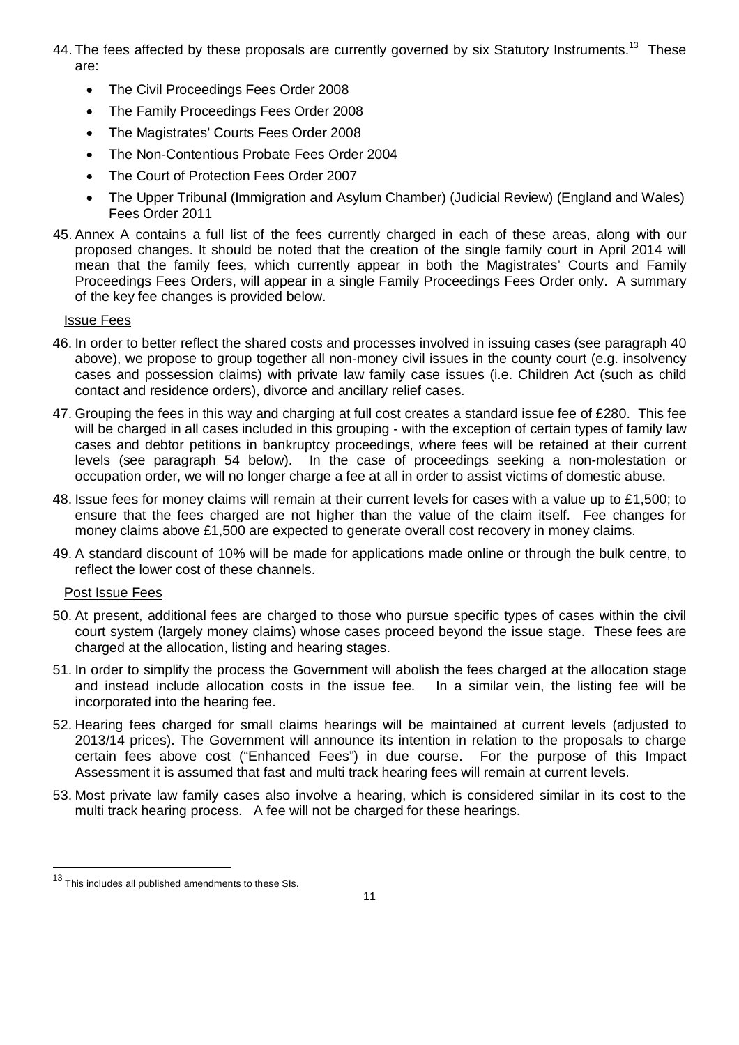- 44. The fees affected by these proposals are currently governed by six Statutory Instruments.<sup>13</sup> These are:
	- The Civil Proceedings Fees Order 2008
	- The Family Proceedings Fees Order 2008
	- The Magistrates' Courts Fees Order 2008
	- The Non-Contentious Probate Fees Order 2004
	- The Court of Protection Fees Order 2007
	- The Upper Tribunal (Immigration and Asylum Chamber) (Judicial Review) (England and Wales) Fees Order 2011
- 45. Annex A contains a full list of the fees currently charged in each of these areas, along with our proposed changes. It should be noted that the creation of the single family court in April 2014 will mean that the family fees, which currently appear in both the Magistrates' Courts and Family Proceedings Fees Orders, will appear in a single Family Proceedings Fees Order only. A summary of the key fee changes is provided below.

#### Issue Fees

- 46. In order to better reflect the shared costs and processes involved in issuing cases (see paragraph 40 above), we propose to group together all non-money civil issues in the county court (e.g. insolvency cases and possession claims) with private law family case issues (i.e. Children Act (such as child contact and residence orders), divorce and ancillary relief cases.
- 47. Grouping the fees in this way and charging at full cost creates a standard issue fee of £280. This fee will be charged in all cases included in this grouping - with the exception of certain types of family law cases and debtor petitions in bankruptcy proceedings, where fees will be retained at their current levels (see paragraph 54 below). In the case of proceedings seeking a non-molestation or occupation order, we will no longer charge a fee at all in order to assist victims of domestic abuse.
- 48. Issue fees for money claims will remain at their current levels for cases with a value up to £1,500; to ensure that the fees charged are not higher than the value of the claim itself. Fee changes for money claims above £1,500 are expected to generate overall cost recovery in money claims.
- 49. A standard discount of 10% will be made for applications made online or through the bulk centre, to reflect the lower cost of these channels.

#### Post Issue Fees

 $\overline{a}$ 

- 50. At present, additional fees are charged to those who pursue specific types of cases within the civil court system (largely money claims) whose cases proceed beyond the issue stage. These fees are charged at the allocation, listing and hearing stages.
- 51. In order to simplify the process the Government will abolish the fees charged at the allocation stage and instead include allocation costs in the issue fee. In a similar vein, the listing fee will be incorporated into the hearing fee.
- 52. Hearing fees charged for small claims hearings will be maintained at current levels (adjusted to 2013/14 prices). The Government will announce its intention in relation to the proposals to charge certain fees above cost ("Enhanced Fees") in due course. For the purpose of this Impact Assessment it is assumed that fast and multi track hearing fees will remain at current levels.
- 53. Most private law family cases also involve a hearing, which is considered similar in its cost to the multi track hearing process. A fee will not be charged for these hearings.

<sup>&</sup>lt;sup>13</sup> This includes all published amendments to these SIs.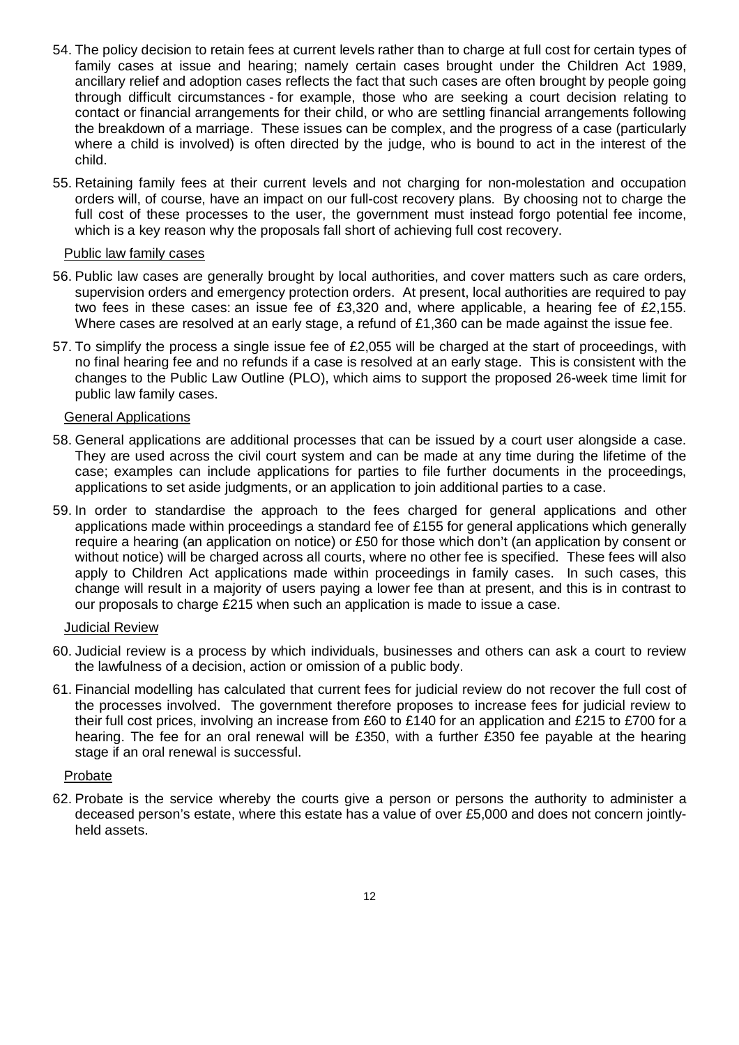- 54. The policy decision to retain fees at current levels rather than to charge at full cost for certain types of family cases at issue and hearing; namely certain cases brought under the Children Act 1989, ancillary relief and adoption cases reflects the fact that such cases are often brought by people going through difficult circumstances - for example, those who are seeking a court decision relating to contact or financial arrangements for their child, or who are settling financial arrangements following the breakdown of a marriage. These issues can be complex, and the progress of a case (particularly where a child is involved) is often directed by the judge, who is bound to act in the interest of the child.
- 55. Retaining family fees at their current levels and not charging for non-molestation and occupation orders will, of course, have an impact on our full-cost recovery plans. By choosing not to charge the full cost of these processes to the user, the government must instead forgo potential fee income, which is a key reason why the proposals fall short of achieving full cost recovery.

#### Public law family cases

- 56. Public law cases are generally brought by local authorities, and cover matters such as care orders, supervision orders and emergency protection orders. At present, local authorities are required to pay two fees in these cases: an issue fee of £3,320 and, where applicable, a hearing fee of £2,155. Where cases are resolved at an early stage, a refund of £1,360 can be made against the issue fee.
- 57. To simplify the process a single issue fee of £2,055 will be charged at the start of proceedings, with no final hearing fee and no refunds if a case is resolved at an early stage. This is consistent with the changes to the Public Law Outline (PLO), which aims to support the proposed 26-week time limit for public law family cases.

#### General Applications

- 58. General applications are additional processes that can be issued by a court user alongside a case. They are used across the civil court system and can be made at any time during the lifetime of the case; examples can include applications for parties to file further documents in the proceedings, applications to set aside judgments, or an application to join additional parties to a case.
- 59. In order to standardise the approach to the fees charged for general applications and other applications made within proceedings a standard fee of £155 for general applications which generally require a hearing (an application on notice) or £50 for those which don't (an application by consent or without notice) will be charged across all courts, where no other fee is specified. These fees will also apply to Children Act applications made within proceedings in family cases. In such cases, this change will result in a majority of users paying a lower fee than at present, and this is in contrast to our proposals to charge £215 when such an application is made to issue a case.

#### Judicial Review

- 60. Judicial review is a process by which individuals, businesses and others can ask a court to review the lawfulness of a decision, action or omission of a public body.
- 61. Financial modelling has calculated that current fees for judicial review do not recover the full cost of the processes involved. The government therefore proposes to increase fees for judicial review to their full cost prices, involving an increase from £60 to £140 for an application and £215 to £700 for a hearing. The fee for an oral renewal will be £350, with a further £350 fee payable at the hearing stage if an oral renewal is successful.

#### Probate

62. Probate is the service whereby the courts give a person or persons the authority to administer a deceased person's estate, where this estate has a value of over £5,000 and does not concern jointlyheld assets.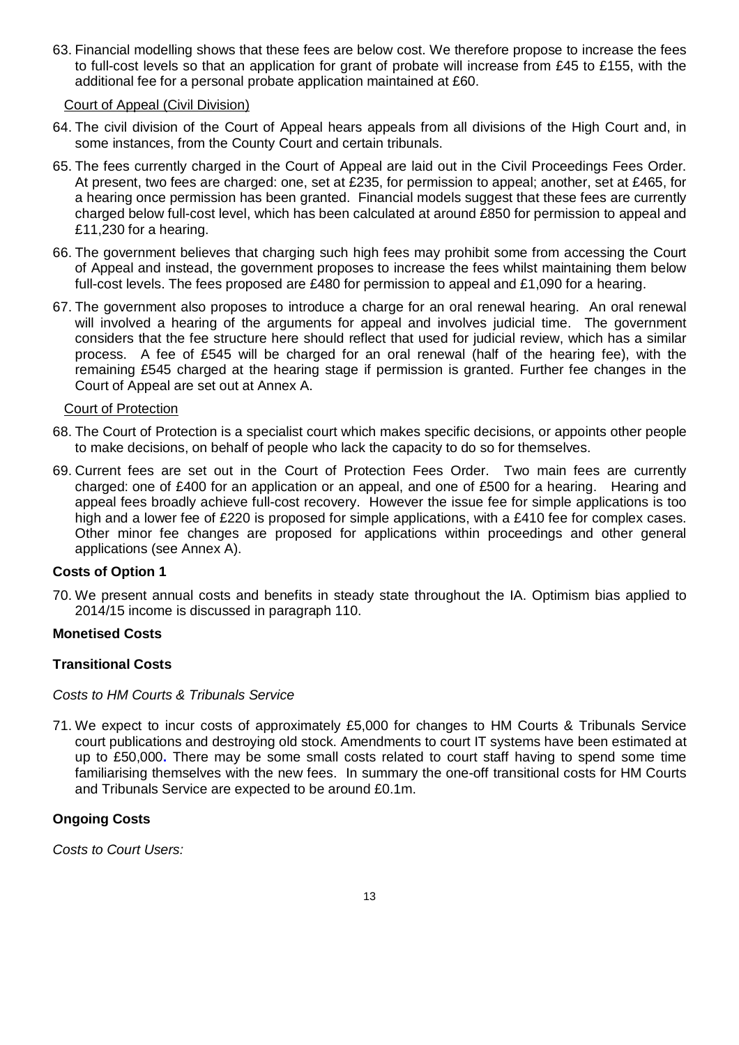63. Financial modelling shows that these fees are below cost. We therefore propose to increase the fees to full-cost levels so that an application for grant of probate will increase from £45 to £155, with the additional fee for a personal probate application maintained at £60.

#### Court of Appeal (Civil Division)

- 64. The civil division of the Court of Appeal hears appeals from all divisions of the High Court and, in some instances, from the County Court and certain tribunals.
- 65. The fees currently charged in the Court of Appeal are laid out in the Civil Proceedings Fees Order. At present, two fees are charged: one, set at £235, for permission to appeal; another, set at £465, for a hearing once permission has been granted. Financial models suggest that these fees are currently charged below full-cost level, which has been calculated at around £850 for permission to appeal and £11,230 for a hearing.
- 66. The government believes that charging such high fees may prohibit some from accessing the Court of Appeal and instead, the government proposes to increase the fees whilst maintaining them below full-cost levels. The fees proposed are £480 for permission to appeal and £1,090 for a hearing.
- 67. The government also proposes to introduce a charge for an oral renewal hearing. An oral renewal will involved a hearing of the arguments for appeal and involves judicial time. The government considers that the fee structure here should reflect that used for judicial review, which has a similar process. A fee of £545 will be charged for an oral renewal (half of the hearing fee), with the remaining £545 charged at the hearing stage if permission is granted. Further fee changes in the Court of Appeal are set out at Annex A.

#### Court of Protection

- 68. The Court of Protection is a specialist court which makes specific decisions, or appoints other people to make decisions, on behalf of people who lack the capacity to do so for themselves.
- 69. Current fees are set out in the Court of Protection Fees Order. Two main fees are currently charged: one of £400 for an application or an appeal, and one of £500 for a hearing. Hearing and appeal fees broadly achieve full-cost recovery. However the issue fee for simple applications is too high and a lower fee of £220 is proposed for simple applications, with a £410 fee for complex cases. Other minor fee changes are proposed for applications within proceedings and other general applications (see Annex A).

#### **Costs of Option 1**

70. We present annual costs and benefits in steady state throughout the IA. Optimism bias applied to 2014/15 income is discussed in paragraph 110.

#### **Monetised Costs**

#### **Transitional Costs**

#### *Costs to HM Courts & Tribunals Service*

71. We expect to incur costs of approximately £5,000 for changes to HM Courts & Tribunals Service court publications and destroying old stock. Amendments to court IT systems have been estimated at up to £50,000**.** There may be some small costs related to court staff having to spend some time familiarising themselves with the new fees. In summary the one-off transitional costs for HM Courts and Tribunals Service are expected to be around £0.1m.

#### **Ongoing Costs**

*Costs to Court Users:*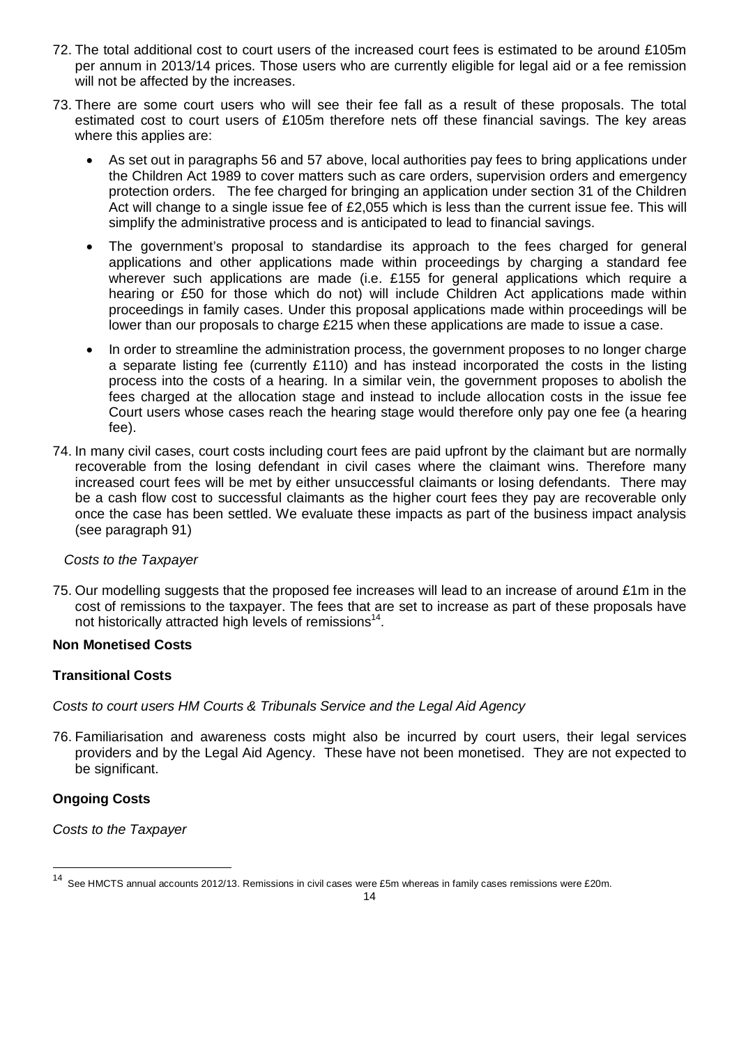- 72. The total additional cost to court users of the increased court fees is estimated to be around £105m per annum in 2013/14 prices. Those users who are currently eligible for legal aid or a fee remission will not be affected by the increases.
- 73. There are some court users who will see their fee fall as a result of these proposals. The total estimated cost to court users of £105m therefore nets off these financial savings. The key areas where this applies are:
	- As set out in paragraphs 56 and 57 above, local authorities pay fees to bring applications under the Children Act 1989 to cover matters such as care orders, supervision orders and emergency protection orders. The fee charged for bringing an application under section 31 of the Children Act will change to a single issue fee of £2,055 which is less than the current issue fee. This will simplify the administrative process and is anticipated to lead to financial savings.
	- The government's proposal to standardise its approach to the fees charged for general applications and other applications made within proceedings by charging a standard fee wherever such applications are made (i.e. £155 for general applications which require a hearing or £50 for those which do not) will include Children Act applications made within proceedings in family cases. Under this proposal applications made within proceedings will be lower than our proposals to charge £215 when these applications are made to issue a case.
	- In order to streamline the administration process, the government proposes to no longer charge a separate listing fee (currently £110) and has instead incorporated the costs in the listing process into the costs of a hearing. In a similar vein, the government proposes to abolish the fees charged at the allocation stage and instead to include allocation costs in the issue fee Court users whose cases reach the hearing stage would therefore only pay one fee (a hearing fee).
- 74. In many civil cases, court costs including court fees are paid upfront by the claimant but are normally recoverable from the losing defendant in civil cases where the claimant wins. Therefore many increased court fees will be met by either unsuccessful claimants or losing defendants. There may be a cash flow cost to successful claimants as the higher court fees they pay are recoverable only once the case has been settled. We evaluate these impacts as part of the business impact analysis (see paragraph 91)

#### *Costs to the Taxpayer*

75. Our modelling suggests that the proposed fee increases will lead to an increase of around £1m in the cost of remissions to the taxpayer. The fees that are set to increase as part of these proposals have not historically attracted high levels of remissions<sup>14</sup>.

#### **Non Monetised Costs**

#### **Transitional Costs**

*Costs to court users HM Courts & Tribunals Service and the Legal Aid Agency*

76. Familiarisation and awareness costs might also be incurred by court users, their legal services providers and by the Legal Aid Agency. These have not been monetised. They are not expected to be significant.

#### **Ongoing Costs**

 $\overline{a}$ 

*Costs to the Taxpayer*

<sup>&</sup>lt;sup>14</sup> See HMCTS annual accounts 2012/13. Remissions in civil cases were £5m whereas in family cases remissions were £20m.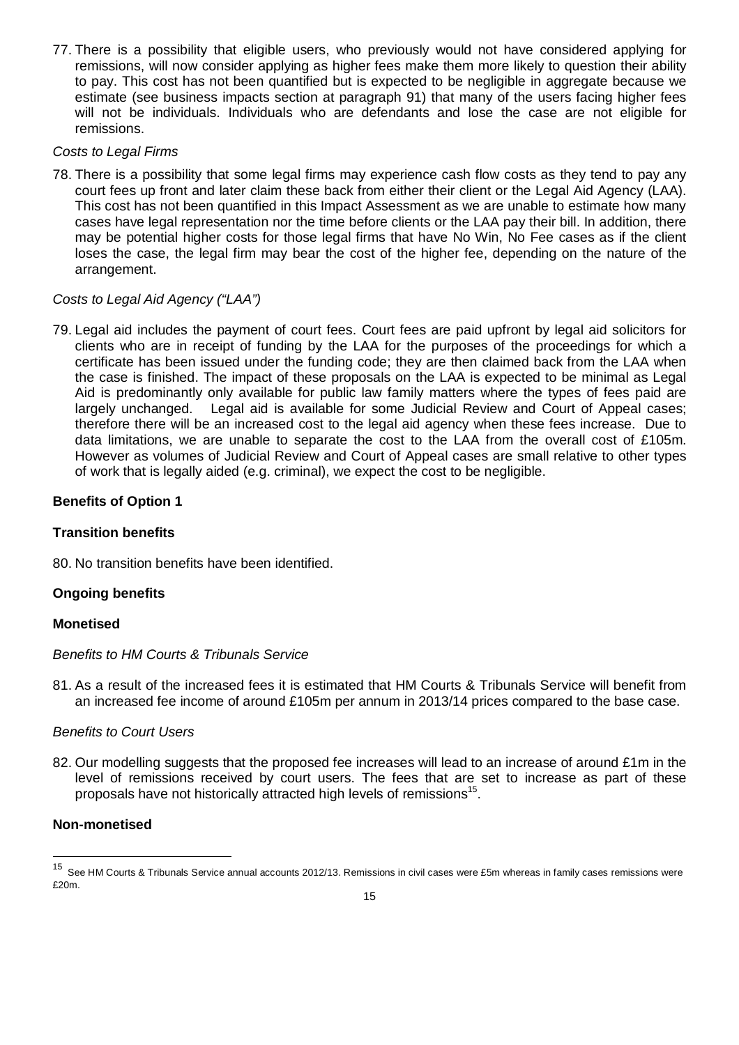77. There is a possibility that eligible users, who previously would not have considered applying for remissions, will now consider applying as higher fees make them more likely to question their ability to pay. This cost has not been quantified but is expected to be negligible in aggregate because we estimate (see business impacts section at paragraph 91) that many of the users facing higher fees will not be individuals. Individuals who are defendants and lose the case are not eligible for remissions.

#### *Costs to Legal Firms*

78. There is a possibility that some legal firms may experience cash flow costs as they tend to pay any court fees up front and later claim these back from either their client or the Legal Aid Agency (LAA). This cost has not been quantified in this Impact Assessment as we are unable to estimate how many cases have legal representation nor the time before clients or the LAA pay their bill. In addition, there may be potential higher costs for those legal firms that have No Win, No Fee cases as if the client loses the case, the legal firm may bear the cost of the higher fee, depending on the nature of the arrangement.

#### *Costs to Legal Aid Agency ("LAA")*

79. Legal aid includes the payment of court fees. Court fees are paid upfront by legal aid solicitors for clients who are in receipt of funding by the LAA for the purposes of the proceedings for which a certificate has been issued under the funding code; they are then claimed back from the LAA when the case is finished. The impact of these proposals on the LAA is expected to be minimal as Legal Aid is predominantly only available for public law family matters where the types of fees paid are largely unchanged. Legal aid is available for some Judicial Review and Court of Appeal cases; therefore there will be an increased cost to the legal aid agency when these fees increase. Due to data limitations, we are unable to separate the cost to the LAA from the overall cost of £105m. However as volumes of Judicial Review and Court of Appeal cases are small relative to other types of work that is legally aided (e.g. criminal), we expect the cost to be negligible.

#### **Benefits of Option 1**

#### **Transition benefits**

80. No transition benefits have been identified.

#### **Ongoing benefits**

#### **Monetised**

#### *Benefits to HM Courts & Tribunals Service*

81. As a result of the increased fees it is estimated that HM Courts & Tribunals Service will benefit from an increased fee income of around £105m per annum in 2013/14 prices compared to the base case.

#### *Benefits to Court Users*

82. Our modelling suggests that the proposed fee increases will lead to an increase of around £1m in the level of remissions received by court users. The fees that are set to increase as part of these proposals have not historically attracted high levels of remissions<sup>15</sup>.

#### **Non-monetised**

 $\overline{a}$ 

See HM Courts & Tribunals Service annual accounts 2012/13. Remissions in civil cases were £5m whereas in family cases remissions were £20m.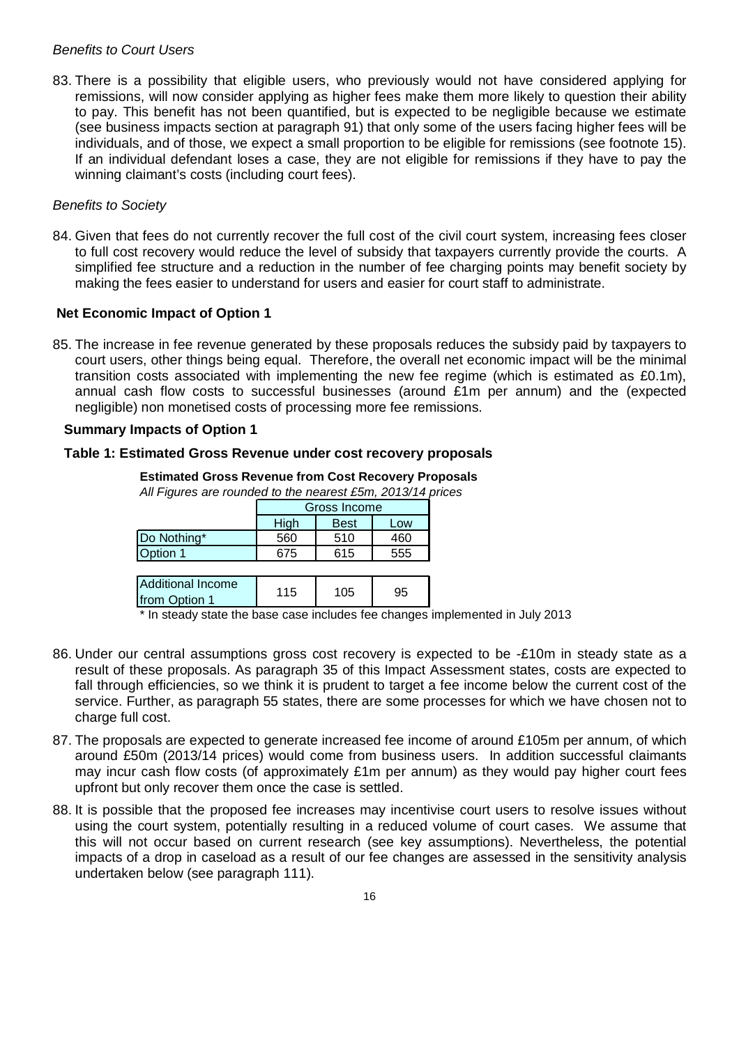#### *Benefits to Court Users*

83. There is a possibility that eligible users, who previously would not have considered applying for remissions, will now consider applying as higher fees make them more likely to question their ability to pay. This benefit has not been quantified, but is expected to be negligible because we estimate (see business impacts section at paragraph 91) that only some of the users facing higher fees will be individuals, and of those, we expect a small proportion to be eligible for remissions (see footnote 15). If an individual defendant loses a case, they are not eligible for remissions if they have to pay the winning claimant's costs (including court fees).

#### *Benefits to Society*

84. Given that fees do not currently recover the full cost of the civil court system, increasing fees closer to full cost recovery would reduce the level of subsidy that taxpayers currently provide the courts. A simplified fee structure and a reduction in the number of fee charging points may benefit society by making the fees easier to understand for users and easier for court staff to administrate.

#### **Net Economic Impact of Option 1**

85. The increase in fee revenue generated by these proposals reduces the subsidy paid by taxpayers to court users, other things being equal. Therefore, the overall net economic impact will be the minimal transition costs associated with implementing the new fee regime (which is estimated as £0.1m), annual cash flow costs to successful businesses (around £1m per annum) and the (expected negligible) non monetised costs of processing more fee remissions.

#### **Summary Impacts of Option 1**

#### **Table 1: Estimated Gross Revenue under cost recovery proposals**

**Estimated Gross Revenue from Cost Recovery Proposals** *All Figures are rounded to the nearest £5m, 2013/14 prices*

|                                           | Gross Income               |     |     |  |  |  |  |
|-------------------------------------------|----------------------------|-----|-----|--|--|--|--|
|                                           | High<br><b>Best</b><br>Low |     |     |  |  |  |  |
| Do Nothing*                               | 560                        | 510 | 460 |  |  |  |  |
| Option 1                                  | 675                        | 615 | 555 |  |  |  |  |
|                                           |                            |     |     |  |  |  |  |
| <b>Additional Income</b><br>from Option 1 | 115                        | 105 | 95  |  |  |  |  |

\* In steady state the base case includes fee changes implemented in July 2013

- 86. Under our central assumptions gross cost recovery is expected to be -£10m in steady state as a result of these proposals. As paragraph 35 of this Impact Assessment states, costs are expected to fall through efficiencies, so we think it is prudent to target a fee income below the current cost of the service. Further, as paragraph 55 states, there are some processes for which we have chosen not to charge full cost.
- 87. The proposals are expected to generate increased fee income of around £105m per annum, of which around £50m (2013/14 prices) would come from business users. In addition successful claimants may incur cash flow costs (of approximately £1m per annum) as they would pay higher court fees upfront but only recover them once the case is settled.
- 88. It is possible that the proposed fee increases may incentivise court users to resolve issues without using the court system, potentially resulting in a reduced volume of court cases. We assume that this will not occur based on current research (see key assumptions). Nevertheless, the potential impacts of a drop in caseload as a result of our fee changes are assessed in the sensitivity analysis undertaken below (see paragraph 111).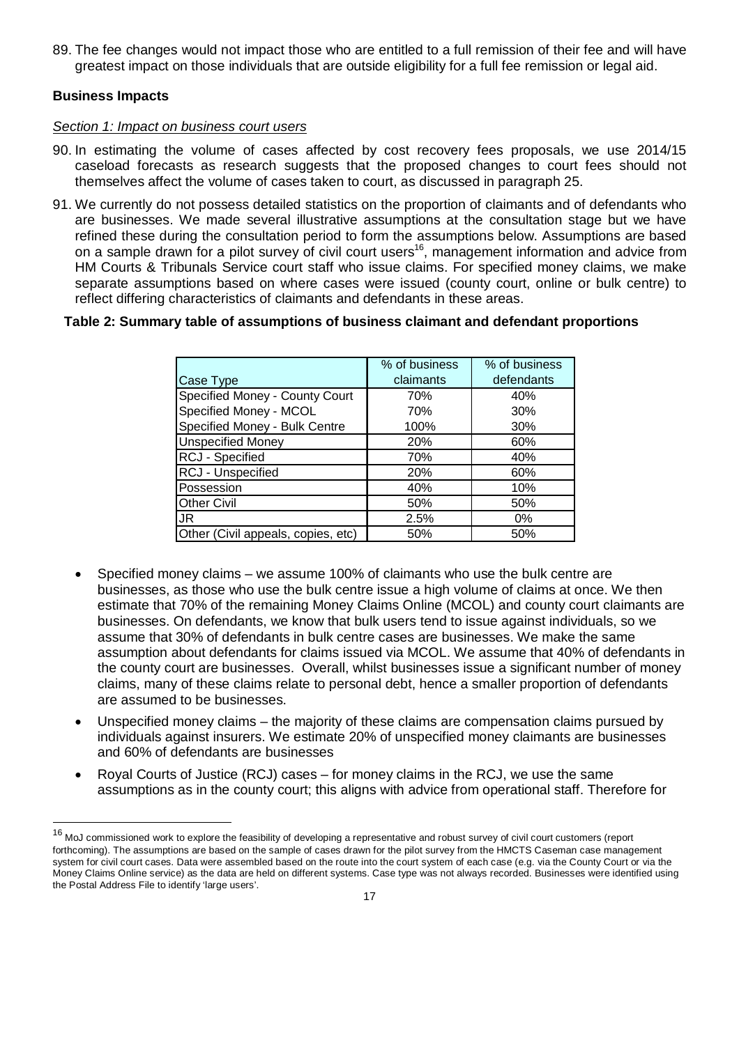89. The fee changes would not impact those who are entitled to a full remission of their fee and will have greatest impact on those individuals that are outside eligibility for a full fee remission or legal aid.

#### **Business Impacts**

 $\overline{a}$ 

#### *Section 1: Impact on business court users*

- 90. In estimating the volume of cases affected by cost recovery fees proposals, we use 2014/15 caseload forecasts as research suggests that the proposed changes to court fees should not themselves affect the volume of cases taken to court, as discussed in paragraph 25.
- 91. We currently do not possess detailed statistics on the proportion of claimants and of defendants who are businesses. We made several illustrative assumptions at the consultation stage but we have refined these during the consultation period to form the assumptions below. Assumptions are based on a sample drawn for a pilot survey of civil court users<sup>16</sup>, management information and advice from HM Courts & Tribunals Service court staff who issue claims. For specified money claims, we make separate assumptions based on where cases were issued (county court, online or bulk centre) to reflect differing characteristics of claimants and defendants in these areas.

#### **Table 2: Summary table of assumptions of business claimant and defendant proportions**

|                                    | % of business | % of business |
|------------------------------------|---------------|---------------|
| Case Type                          | claimants     | defendants    |
| Specified Money - County Court     | 70%           | 40%           |
| Specified Money - MCOL             | 70%           | 30%           |
| Specified Money - Bulk Centre      | 100%          | 30%           |
| <b>Unspecified Money</b>           | 20%           | 60%           |
| RCJ - Specified                    | 70%           | 40%           |
| RCJ - Unspecified                  | 20%           | 60%           |
| Possession                         | 40%           | 10%           |
| <b>Other Civil</b>                 | 50%           | 50%           |
| JR                                 | 2.5%          | 0%            |
| Other (Civil appeals, copies, etc) | 50%           | 50%           |

- Specified money claims we assume 100% of claimants who use the bulk centre are businesses, as those who use the bulk centre issue a high volume of claims at once. We then estimate that 70% of the remaining Money Claims Online (MCOL) and county court claimants are businesses. On defendants, we know that bulk users tend to issue against individuals, so we assume that 30% of defendants in bulk centre cases are businesses. We make the same assumption about defendants for claims issued via MCOL. We assume that 40% of defendants in the county court are businesses. Overall, whilst businesses issue a significant number of money claims, many of these claims relate to personal debt, hence a smaller proportion of defendants are assumed to be businesses.
- Unspecified money claims the majority of these claims are compensation claims pursued by individuals against insurers. We estimate 20% of unspecified money claimants are businesses and 60% of defendants are businesses
- Royal Courts of Justice (RCJ) cases for money claims in the RCJ, we use the same assumptions as in the county court; this aligns with advice from operational staff. Therefore for

<sup>&</sup>lt;sup>16</sup> MoJ commissioned work to explore the feasibility of developing a representative and robust survey of civil court customers (report forthcoming). The assumptions are based on the sample of cases drawn for the pilot survey from the HMCTS Caseman case management system for civil court cases. Data were assembled based on the route into the court system of each case (e.g. via the County Court or via the Money Claims Online service) as the data are held on different systems. Case type was not always recorded. Businesses were identified using the Postal Address File to identify 'large users'.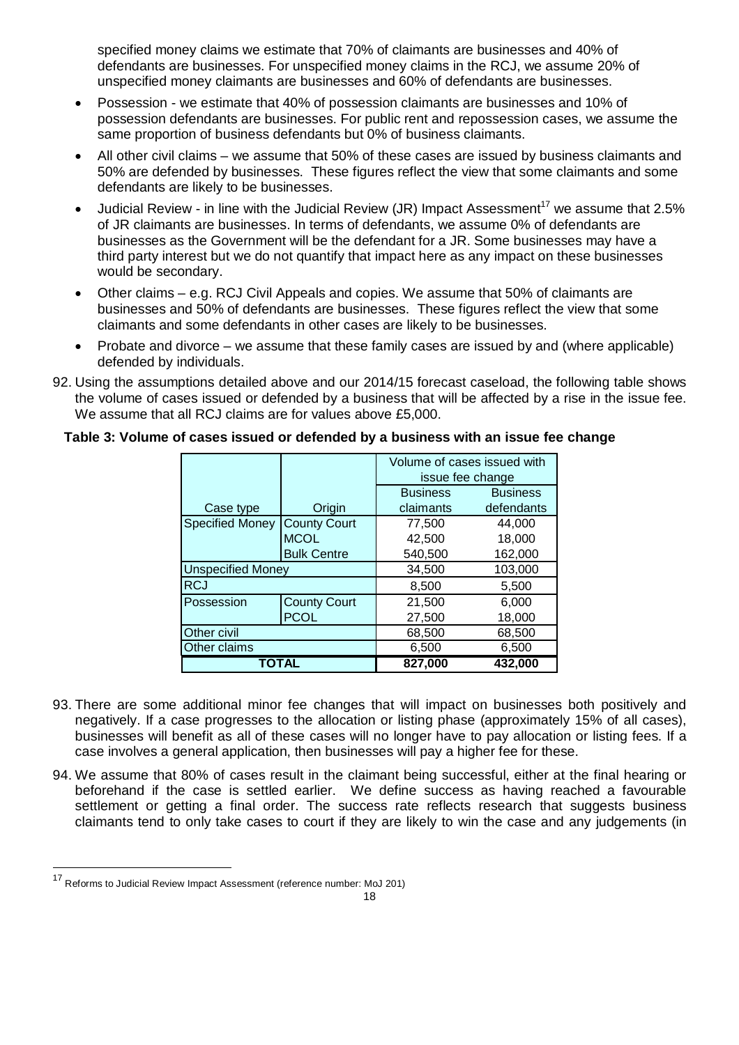specified money claims we estimate that 70% of claimants are businesses and 40% of defendants are businesses. For unspecified money claims in the RCJ, we assume 20% of unspecified money claimants are businesses and 60% of defendants are businesses.

- Possession we estimate that 40% of possession claimants are businesses and 10% of possession defendants are businesses. For public rent and repossession cases, we assume the same proportion of business defendants but 0% of business claimants.
- All other civil claims we assume that 50% of these cases are issued by business claimants and 50% are defended by businesses. These figures reflect the view that some claimants and some defendants are likely to be businesses.
- Judicial Review in line with the Judicial Review (JR) Impact Assessment<sup>17</sup> we assume that 2.5% of JR claimants are businesses. In terms of defendants, we assume 0% of defendants are businesses as the Government will be the defendant for a JR. Some businesses may have a third party interest but we do not quantify that impact here as any impact on these businesses would be secondary.
- Other claims e.g. RCJ Civil Appeals and copies. We assume that 50% of claimants are businesses and 50% of defendants are businesses. These figures reflect the view that some claimants and some defendants in other cases are likely to be businesses.
- Probate and divorce we assume that these family cases are issued by and (where applicable) defended by individuals.
- 92. Using the assumptions detailed above and our 2014/15 forecast caseload, the following table shows the volume of cases issued or defended by a business that will be affected by a rise in the issue fee. We assume that all RCJ claims are for values above £5,000.

| Table 3: Volume of cases issued or defended by a business with an issue fee change |  |  |
|------------------------------------------------------------------------------------|--|--|
|------------------------------------------------------------------------------------|--|--|

|                          |                     | Volume of cases issued with<br>issue fee change |                 |  |  |
|--------------------------|---------------------|-------------------------------------------------|-----------------|--|--|
|                          |                     | <b>Business</b>                                 | <b>Business</b> |  |  |
| Case type                | Origin              | claimants                                       | defendants      |  |  |
| <b>Specified Money</b>   | <b>County Court</b> | 77,500                                          | 44,000          |  |  |
|                          | <b>MCOL</b>         | 42.500                                          | 18,000          |  |  |
|                          | <b>Bulk Centre</b>  | 540,500                                         | 162,000         |  |  |
| <b>Unspecified Money</b> |                     | 34,500                                          | 103,000         |  |  |
| <b>RCJ</b>               |                     | 5,500<br>8,500                                  |                 |  |  |
| Possession               | <b>County Court</b> | 21,500                                          | 6,000           |  |  |
|                          | <b>PCOL</b>         | 27,500                                          | 18,000          |  |  |
| Other civil              |                     | 68,500<br>68,500                                |                 |  |  |
| Other claims             |                     | 6,500                                           | 6,500           |  |  |
| TOTAL                    |                     | 827,000                                         | 432,000         |  |  |

- 93. There are some additional minor fee changes that will impact on businesses both positively and negatively. If a case progresses to the allocation or listing phase (approximately 15% of all cases), businesses will benefit as all of these cases will no longer have to pay allocation or listing fees. If a case involves a general application, then businesses will pay a higher fee for these.
- 94. We assume that 80% of cases result in the claimant being successful, either at the final hearing or beforehand if the case is settled earlier. We define success as having reached a favourable settlement or getting a final order. The success rate reflects research that suggests business claimants tend to only take cases to court if they are likely to win the case and any judgements (in

 $\overline{a}$ 

<sup>17</sup> Reforms to Judicial Review Impact Assessment (reference number: MoJ 201)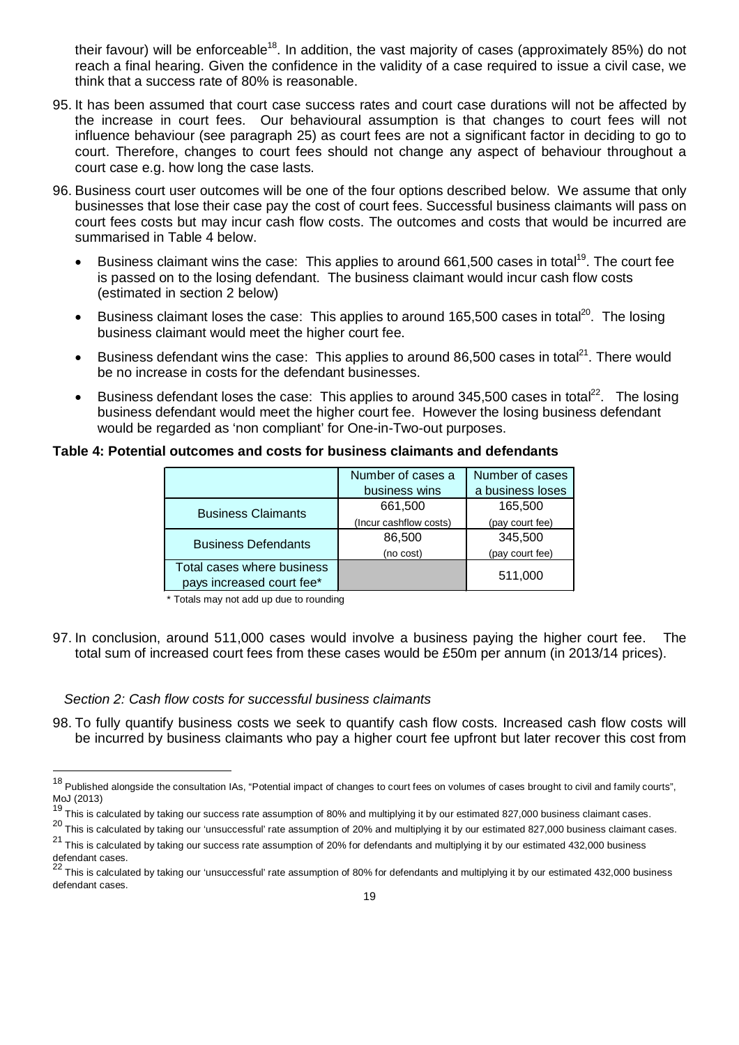their favour) will be enforceable<sup>18</sup>. In addition, the vast majority of cases (approximately 85%) do not reach a final hearing. Given the confidence in the validity of a case required to issue a civil case, we think that a success rate of 80% is reasonable.

- 95. It has been assumed that court case success rates and court case durations will not be affected by the increase in court fees. Our behavioural assumption is that changes to court fees will not influence behaviour (see paragraph 25) as court fees are not a significant factor in deciding to go to court. Therefore, changes to court fees should not change any aspect of behaviour throughout a court case e.g. how long the case lasts.
- 96. Business court user outcomes will be one of the four options described below. We assume that only businesses that lose their case pay the cost of court fees. Successful business claimants will pass on court fees costs but may incur cash flow costs. The outcomes and costs that would be incurred are summarised in Table 4 below.
	- $\bullet$  Business claimant wins the case: This applies to around 661,500 cases in total<sup>19</sup>. The court fee is passed on to the losing defendant. The business claimant would incur cash flow costs (estimated in section 2 below)
	- Business claimant loses the case: This applies to around 165,500 cases in total<sup>20</sup>. The losing business claimant would meet the higher court fee.
	- E Business defendant wins the case: This applies to around 86,500 cases in total<sup>21</sup>. There would be no increase in costs for the defendant businesses.
	- Business defendant loses the case: This applies to around 345,500 cases in total<sup>22</sup>. The losing business defendant would meet the higher court fee. However the losing business defendant would be regarded as 'non compliant' for One-in-Two-out purposes.

#### **Table 4: Potential outcomes and costs for business claimants and defendants**

|                                                         | Number of cases a      | Number of cases  |
|---------------------------------------------------------|------------------------|------------------|
|                                                         | business wins          | a business loses |
| <b>Business Claimants</b>                               | 661,500                | 165,500          |
|                                                         | (Incur cashflow costs) | (pay court fee)  |
| <b>Business Defendants</b>                              | 86,500                 | 345,500          |
|                                                         | (no cost)              | (pay court fee)  |
| Total cases where business<br>pays increased court fee* |                        | 511,000          |

\* Totals may not add up due to rounding

97. In conclusion, around 511,000 cases would involve a business paying the higher court fee. The total sum of increased court fees from these cases would be £50m per annum (in 2013/14 prices).

#### *Section 2: Cash flow costs for successful business claimants*

 $\overline{a}$ 

98. To fully quantify business costs we seek to quantify cash flow costs. Increased cash flow costs will be incurred by business claimants who pay a higher court fee upfront but later recover this cost from

<sup>&</sup>lt;sup>18</sup> Published alongside the consultation IAs, "Potential impact of changes to court fees on volumes of cases brought to civil and family courts", MoJ (2013)

<sup>&</sup>lt;sup>19</sup> This is calculated by taking our success rate assumption of 80% and multiplying it by our estimated 827,000 business claimant cases.

 $^{20}$  This is calculated by taking our 'unsuccessful' rate assumption of 20% and multiplying it by our estimated 827,000 business claimant cases.

 $21$  This is calculated by taking our success rate assumption of 20% for defendants and multiplying it by our estimated 432,000 business defendant cases.<br>22 -

<sup>22</sup> This is calculated by taking our 'unsuccessful' rate assumption of 80% for defendants and multiplying it by our estimated 432,000 business defendant cases.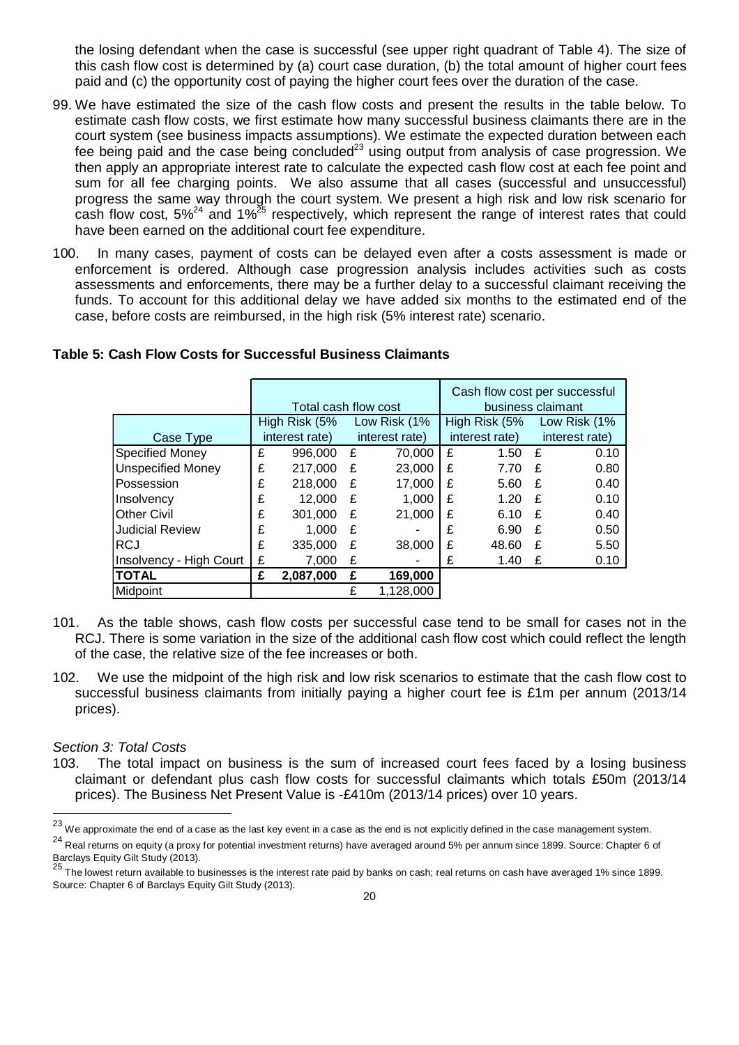the losing defendant when the case is successful (see upper right quadrant of Table 4). The size of this cash flow cost is determined by (a) court case duration, (b) the total amount of higher court fees paid and (c) the opportunity cost of paying the higher court fees over the duration of the case.

- 99. We have estimated the size of the cash flow costs and present the results in the table below. To estimate cash flow costs, we first estimate how many successful business claimants there are in the court system (see business impacts assumptions). We estimate the expected duration between each fee being paid and the case being concluded<sup>23</sup> using output from analysis of case progression. We then apply an appropriate interest rate to calculate the expected cash flow cost at each fee point and sum for all fee charging points. We also assume that all cases (successful and unsuccessful) progress the same way through the court system. We present a high risk and low risk scenario for cash flow cost,  $5\%^{24}$  and  $1\%^{25}$  respectively, which represent the range of interest rates that could have been earned on the additional court fee expenditure.
- 100. In many cases, payment of costs can be delayed even after a costs assessment is made or enforcement is ordered. Although case progression analysis includes activities such as costs assessments and enforcements, there may be a further delay to a successful claimant receiving the funds. To account for this additional delay we have added six months to the estimated end of the case, before costs are reimbursed, in the high risk (5% interest rate) scenario.

**Table 5: Cash Flow Costs for Successful Business Claimants**

|                          |   |                      |   |                |   |                   |   | Cash flow cost per successful |  |
|--------------------------|---|----------------------|---|----------------|---|-------------------|---|-------------------------------|--|
|                          |   | Total cash flow cost |   |                |   | business claimant |   |                               |  |
|                          |   | High Risk (5%        |   | Low Risk (1%   |   | High Risk (5%     |   | Low Risk (1%                  |  |
| Case Type                |   | interest rate)       |   | interest rate) |   | interest rate)    |   | interest rate)                |  |
| <b>Specified Money</b>   | £ | 996,000              | £ | 70,000         | £ | 1.50              | £ | 0.10                          |  |
| <b>Unspecified Money</b> | £ | 217.000              | £ | 23,000         | £ | 7.70              | £ | 0.80                          |  |
| Possession               | £ | 218,000              | £ | 17,000         | £ | 5.60              | £ | 0.40                          |  |
| Insolvency               | £ | 12.000               | £ | 1.000          | £ | 1.20              | £ | 0.10                          |  |
| <b>Other Civil</b>       | £ | 301,000              | £ | 21.000         | £ | 6.10              | £ | 0.40                          |  |
| Judicial Review          | £ | 1,000                | £ |                | £ | 6.90              | £ | 0.50                          |  |
| <b>RCJ</b>               | £ | 335,000              | £ | 38,000         | £ | 48.60             | £ | 5.50                          |  |
| Insolvency - High Court  | £ | 7.000                | £ |                | £ | 1.40              | £ | 0.10                          |  |
| <b>TOTAL</b>             | £ | 2,087,000            | £ | 169,000        |   |                   |   |                               |  |
| Midpoint                 |   |                      |   | 1.128.000      |   |                   |   |                               |  |

- 101. As the table shows, cash flow costs per successful case tend to be small for cases not in the RCJ. There is some variation in the size of the additional cash flow cost which could reflect the length of the case, the relative size of the fee increases or both.
- 102. We use the midpoint of the high risk and low risk scenarios to estimate that the cash flow cost to successful business claimants from initially paying a higher court fee is £1m per annum (2013/14 prices).

#### *Section 3: Total Costs*

 $\overline{a}$ 

103. The total impact on business is the sum of increased court fees faced by a losing business claimant or defendant plus cash flow costs for successful claimants which totals £50m (2013/14 prices). The Business Net Present Value is -£410m (2013/14 prices) over 10 years.

 $^{23}$  We approximate the end of a case as the last key event in a case as the end is not explicitly defined in the case management system.

<sup>24</sup> Real returns on equity (a proxy for potential investment returns) have averaged around 5% per annum since 1899. Source: Chapter 6 of Barclays Equity Gilt Study (2013).<br>25 —

The lowest return available to businesses is the interest rate paid by banks on cash; real returns on cash have averaged 1% since 1899. Source: Chapter 6 of Barclays Equity Gilt Study (2013).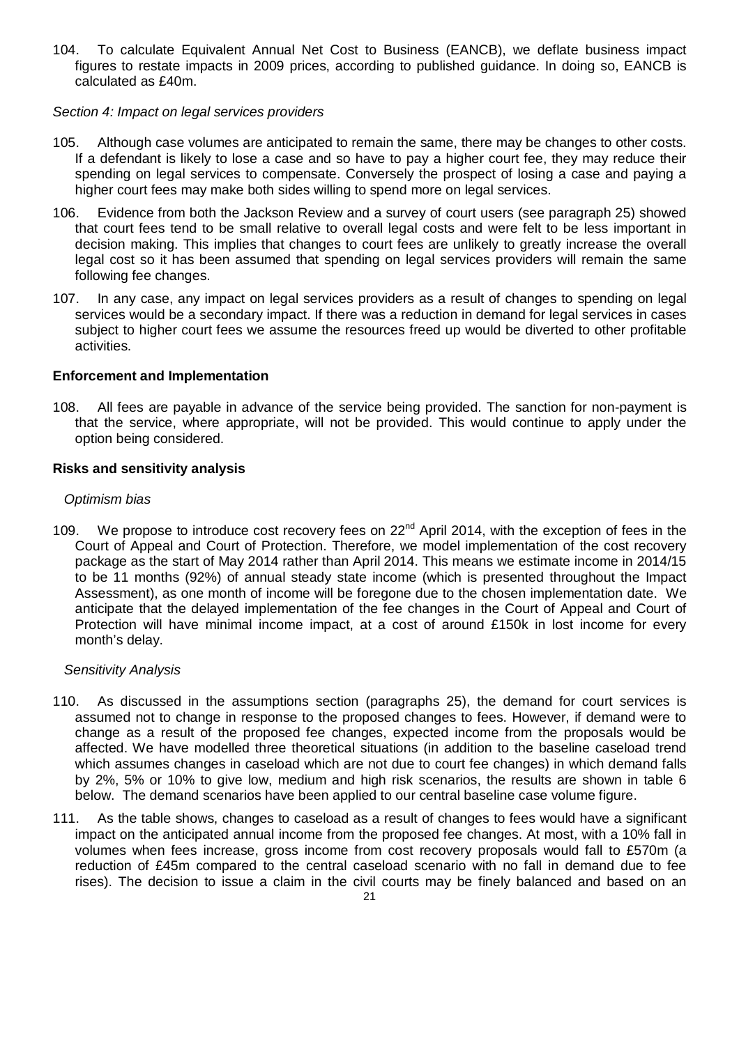104. To calculate Equivalent Annual Net Cost to Business (EANCB), we deflate business impact figures to restate impacts in 2009 prices, according to published guidance. In doing so, EANCB is calculated as £40m.

#### *Section 4: Impact on legal services providers*

- 105. Although case volumes are anticipated to remain the same, there may be changes to other costs. If a defendant is likely to lose a case and so have to pay a higher court fee, they may reduce their spending on legal services to compensate. Conversely the prospect of losing a case and paying a higher court fees may make both sides willing to spend more on legal services.
- 106. Evidence from both the Jackson Review and a survey of court users (see paragraph 25) showed that court fees tend to be small relative to overall legal costs and were felt to be less important in decision making. This implies that changes to court fees are unlikely to greatly increase the overall legal cost so it has been assumed that spending on legal services providers will remain the same following fee changes.
- 107. In any case, any impact on legal services providers as a result of changes to spending on legal services would be a secondary impact. If there was a reduction in demand for legal services in cases subject to higher court fees we assume the resources freed up would be diverted to other profitable activities.

#### **Enforcement and Implementation**

108. All fees are payable in advance of the service being provided. The sanction for non-payment is that the service, where appropriate, will not be provided. This would continue to apply under the option being considered.

#### **Risks and sensitivity analysis**

#### *Optimism bias*

109. We propose to introduce cost recovery fees on 22<sup>nd</sup> April 2014, with the exception of fees in the Court of Appeal and Court of Protection. Therefore, we model implementation of the cost recovery package as the start of May 2014 rather than April 2014. This means we estimate income in 2014/15 to be 11 months (92%) of annual steady state income (which is presented throughout the Impact Assessment), as one month of income will be foregone due to the chosen implementation date. We anticipate that the delayed implementation of the fee changes in the Court of Appeal and Court of Protection will have minimal income impact, at a cost of around £150k in lost income for every month's delay.

#### *Sensitivity Analysis*

- 110. As discussed in the assumptions section (paragraphs 25), the demand for court services is assumed not to change in response to the proposed changes to fees. However, if demand were to change as a result of the proposed fee changes, expected income from the proposals would be affected. We have modelled three theoretical situations (in addition to the baseline caseload trend which assumes changes in caseload which are not due to court fee changes) in which demand falls by 2%, 5% or 10% to give low, medium and high risk scenarios, the results are shown in table 6 below. The demand scenarios have been applied to our central baseline case volume figure.
- 111. As the table shows, changes to caseload as a result of changes to fees would have a significant impact on the anticipated annual income from the proposed fee changes. At most, with a 10% fall in volumes when fees increase, gross income from cost recovery proposals would fall to £570m (a reduction of £45m compared to the central caseload scenario with no fall in demand due to fee rises). The decision to issue a claim in the civil courts may be finely balanced and based on an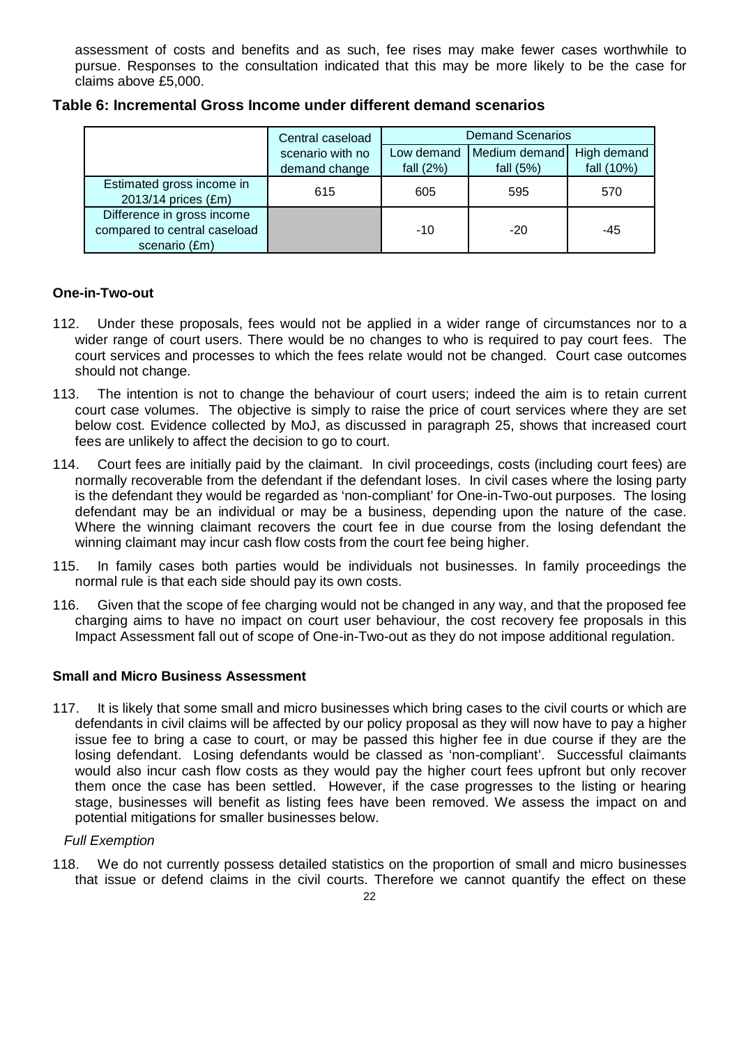assessment of costs and benefits and as such, fee rises may make fewer cases worthwhile to pursue. Responses to the consultation indicated that this may be more likely to be the case for claims above £5,000.

|                                                                             | Central caseload | <b>Demand Scenarios</b> |               |             |  |  |
|-----------------------------------------------------------------------------|------------------|-------------------------|---------------|-------------|--|--|
|                                                                             | scenario with no | Low demand              | Medium demand | High demand |  |  |
|                                                                             | demand change    | fall $(2%)$             | fall $(5%)$   | fall (10%)  |  |  |
| Estimated gross income in<br>2013/14 prices (£m)                            | 615              | 605                     | 595           | 570         |  |  |
| Difference in gross income<br>compared to central caseload<br>scenario (£m) |                  | $-10$                   | $-20$         | $-45$       |  |  |

**Table 6: Incremental Gross Income under different demand scenarios**

#### **One-in-Two-out**

- 112. Under these proposals, fees would not be applied in a wider range of circumstances nor to a wider range of court users. There would be no changes to who is required to pay court fees. The court services and processes to which the fees relate would not be changed. Court case outcomes should not change.
- 113. The intention is not to change the behaviour of court users; indeed the aim is to retain current court case volumes. The objective is simply to raise the price of court services where they are set below cost. Evidence collected by MoJ, as discussed in paragraph 25, shows that increased court fees are unlikely to affect the decision to go to court.
- 114. Court fees are initially paid by the claimant. In civil proceedings, costs (including court fees) are normally recoverable from the defendant if the defendant loses. In civil cases where the losing party is the defendant they would be regarded as 'non-compliant' for One-in-Two-out purposes. The losing defendant may be an individual or may be a business, depending upon the nature of the case. Where the winning claimant recovers the court fee in due course from the losing defendant the winning claimant may incur cash flow costs from the court fee being higher.
- 115. In family cases both parties would be individuals not businesses. In family proceedings the normal rule is that each side should pay its own costs.
- 116. Given that the scope of fee charging would not be changed in any way, and that the proposed fee charging aims to have no impact on court user behaviour, the cost recovery fee proposals in this Impact Assessment fall out of scope of One-in-Two-out as they do not impose additional regulation.

#### **Small and Micro Business Assessment**

117. It is likely that some small and micro businesses which bring cases to the civil courts or which are defendants in civil claims will be affected by our policy proposal as they will now have to pay a higher issue fee to bring a case to court, or may be passed this higher fee in due course if they are the losing defendant. Losing defendants would be classed as 'non-compliant'. Successful claimants would also incur cash flow costs as they would pay the higher court fees upfront but only recover them once the case has been settled. However, if the case progresses to the listing or hearing stage, businesses will benefit as listing fees have been removed. We assess the impact on and potential mitigations for smaller businesses below.

#### *Full Exemption*

118. We do not currently possess detailed statistics on the proportion of small and micro businesses that issue or defend claims in the civil courts. Therefore we cannot quantify the effect on these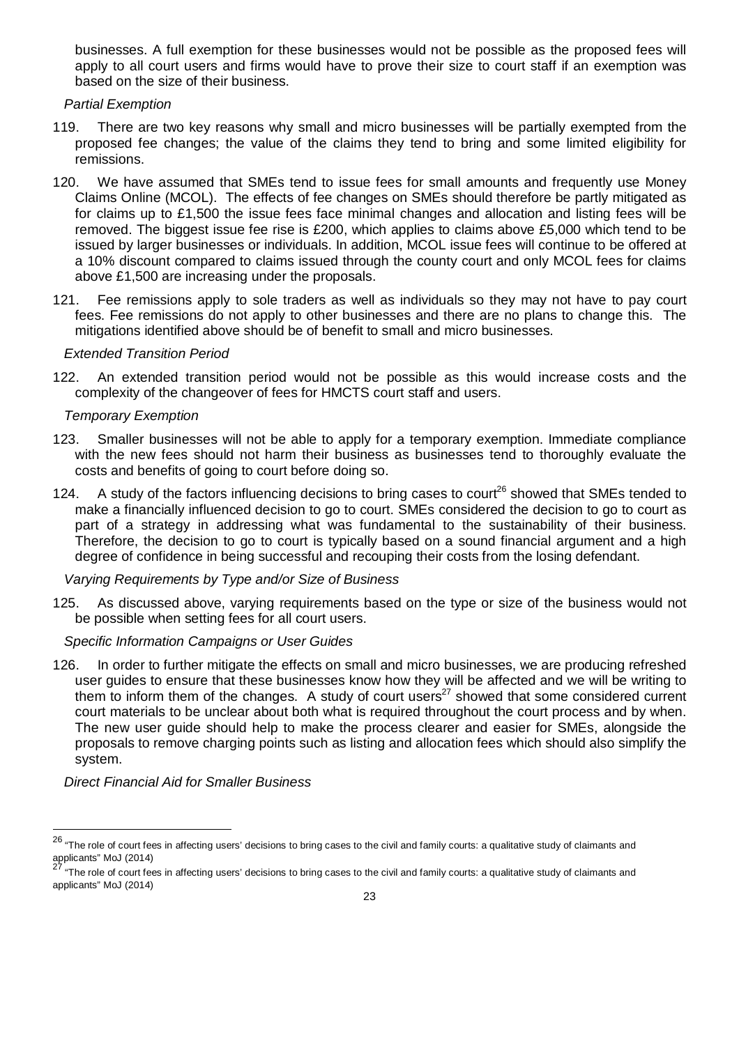businesses. A full exemption for these businesses would not be possible as the proposed fees will apply to all court users and firms would have to prove their size to court staff if an exemption was based on the size of their business.

#### *Partial Exemption*

- 119. There are two key reasons why small and micro businesses will be partially exempted from the proposed fee changes; the value of the claims they tend to bring and some limited eligibility for remissions.
- 120. We have assumed that SMEs tend to issue fees for small amounts and frequently use Money Claims Online (MCOL). The effects of fee changes on SMEs should therefore be partly mitigated as for claims up to £1,500 the issue fees face minimal changes and allocation and listing fees will be removed. The biggest issue fee rise is £200, which applies to claims above £5,000 which tend to be issued by larger businesses or individuals. In addition, MCOL issue fees will continue to be offered at a 10% discount compared to claims issued through the county court and only MCOL fees for claims above £1,500 are increasing under the proposals.
- 121. Fee remissions apply to sole traders as well as individuals so they may not have to pay court fees. Fee remissions do not apply to other businesses and there are no plans to change this. The mitigations identified above should be of benefit to small and micro businesses.

#### *Extended Transition Period*

122. An extended transition period would not be possible as this would increase costs and the complexity of the changeover of fees for HMCTS court staff and users.

#### *Temporary Exemption*

- 123. Smaller businesses will not be able to apply for a temporary exemption. Immediate compliance with the new fees should not harm their business as businesses tend to thoroughly evaluate the costs and benefits of going to court before doing so.
- 124. A study of the factors influencing decisions to bring cases to court<sup>26</sup> showed that SMEs tended to make a financially influenced decision to go to court. SMEs considered the decision to go to court as part of a strategy in addressing what was fundamental to the sustainability of their business. Therefore, the decision to go to court is typically based on a sound financial argument and a high degree of confidence in being successful and recouping their costs from the losing defendant.

#### *Varying Requirements by Type and/or Size of Business*

125. As discussed above, varying requirements based on the type or size of the business would not be possible when setting fees for all court users.

#### *Specific Information Campaigns or User Guides*

126. In order to further mitigate the effects on small and micro businesses, we are producing refreshed user guides to ensure that these businesses know how they will be affected and we will be writing to them to inform them of the changes. A study of court users<sup>27</sup> showed that some considered current court materials to be unclear about both what is required throughout the court process and by when. The new user guide should help to make the process clearer and easier for SMEs, alongside the proposals to remove charging points such as listing and allocation fees which should also simplify the system.

*Direct Financial Aid for Smaller Business*

 $\overline{a}$ 

 $^{26}$  "The role of court fees in affecting users' decisions to bring cases to the civil and family courts: a qualitative study of claimants and applicants" MoJ (2014)

<sup>27</sup> "The role of court fees in affecting users' decisions to bring cases to the civil and family courts: a qualitative study of claimants and applicants" MoJ (2014)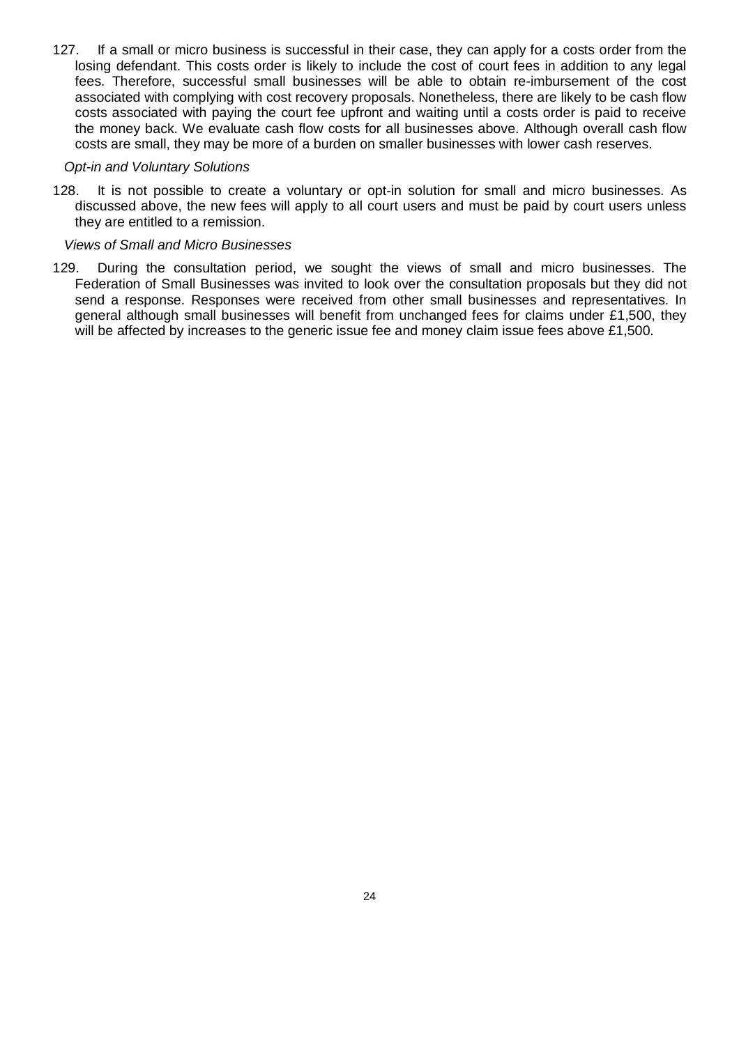127. If a small or micro business is successful in their case, they can apply for a costs order from the losing defendant. This costs order is likely to include the cost of court fees in addition to any legal fees. Therefore, successful small businesses will be able to obtain re-imbursement of the cost associated with complying with cost recovery proposals. Nonetheless, there are likely to be cash flow costs associated with paying the court fee upfront and waiting until a costs order is paid to receive the money back. We evaluate cash flow costs for all businesses above. Although overall cash flow costs are small, they may be more of a burden on smaller businesses with lower cash reserves.

#### *Opt-in and Voluntary Solutions*

128. It is not possible to create a voluntary or opt-in solution for small and micro businesses. As discussed above, the new fees will apply to all court users and must be paid by court users unless they are entitled to a remission.

#### *Views of Small and Micro Businesses*

129. During the consultation period, we sought the views of small and micro businesses. The Federation of Small Businesses was invited to look over the consultation proposals but they did not send a response. Responses were received from other small businesses and representatives. In general although small businesses will benefit from unchanged fees for claims under £1,500, they will be affected by increases to the generic issue fee and money claim issue fees above £1,500.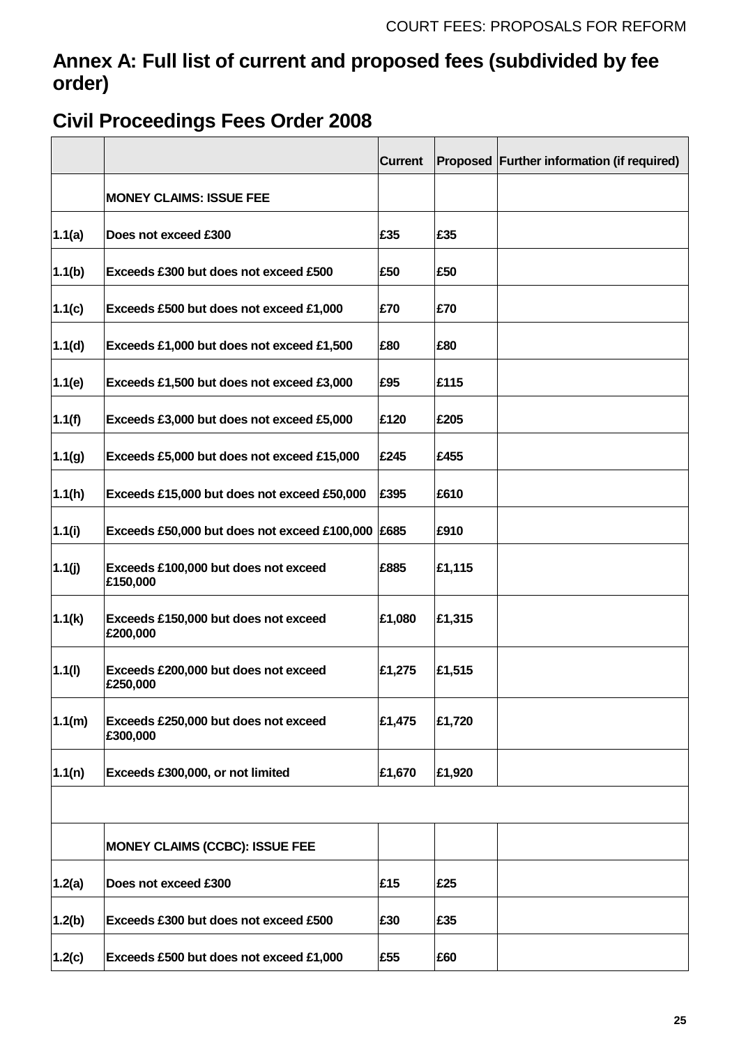## **Annex A: Full list of current and proposed fees (subdivided by fee order)**

# **Civil Proceedings Fees Order 2008**

|        |                                                   | <b>Current</b> |        | Proposed Further information (if required) |
|--------|---------------------------------------------------|----------------|--------|--------------------------------------------|
|        | <b>MONEY CLAIMS: ISSUE FEE</b>                    |                |        |                                            |
| 1.1(a) | Does not exceed £300                              | £35            | £35    |                                            |
| 1.1(b) | Exceeds £300 but does not exceed £500             | £50            | £50    |                                            |
| 1.1(c) | Exceeds £500 but does not exceed £1,000           | £70            | £70    |                                            |
| 1.1(d) | Exceeds £1,000 but does not exceed £1,500         | £80            | £80    |                                            |
| 1.1(e) | Exceeds £1,500 but does not exceed £3,000         | £95            | £115   |                                            |
| 1.1(f) | Exceeds £3,000 but does not exceed £5,000         | £120           | £205   |                                            |
| 1.1(g) | Exceeds £5,000 but does not exceed £15,000        | £245           | £455   |                                            |
| 1.1(h) | Exceeds £15,000 but does not exceed £50,000       | £395           | £610   |                                            |
| 1.1(i) | Exceeds £50,000 but does not exceed £100,000 £685 |                | £910   |                                            |
| 1.1(j) | Exceeds £100,000 but does not exceed<br>£150,000  | £885           | £1,115 |                                            |
| 1.1(k) | Exceeds £150,000 but does not exceed<br>£200,000  | £1,080         | £1,315 |                                            |
| 1.1(l) | Exceeds £200,000 but does not exceed<br>£250,000  | £1,275         | £1,515 |                                            |
| 1.1(m) | Exceeds £250,000 but does not exceed<br>£300,000  | £1,475         | £1,720 |                                            |
| 1.1(n) | Exceeds £300,000, or not limited                  | £1,670         | £1,920 |                                            |
|        |                                                   |                |        |                                            |
|        | <b>MONEY CLAIMS (CCBC): ISSUE FEE</b>             |                |        |                                            |
| 1.2(a) | Does not exceed £300                              | £15            | £25    |                                            |
| 1.2(b) | Exceeds £300 but does not exceed £500             | £30            | £35    |                                            |
| 1.2(c) | Exceeds £500 but does not exceed £1,000           | £55            | £60    |                                            |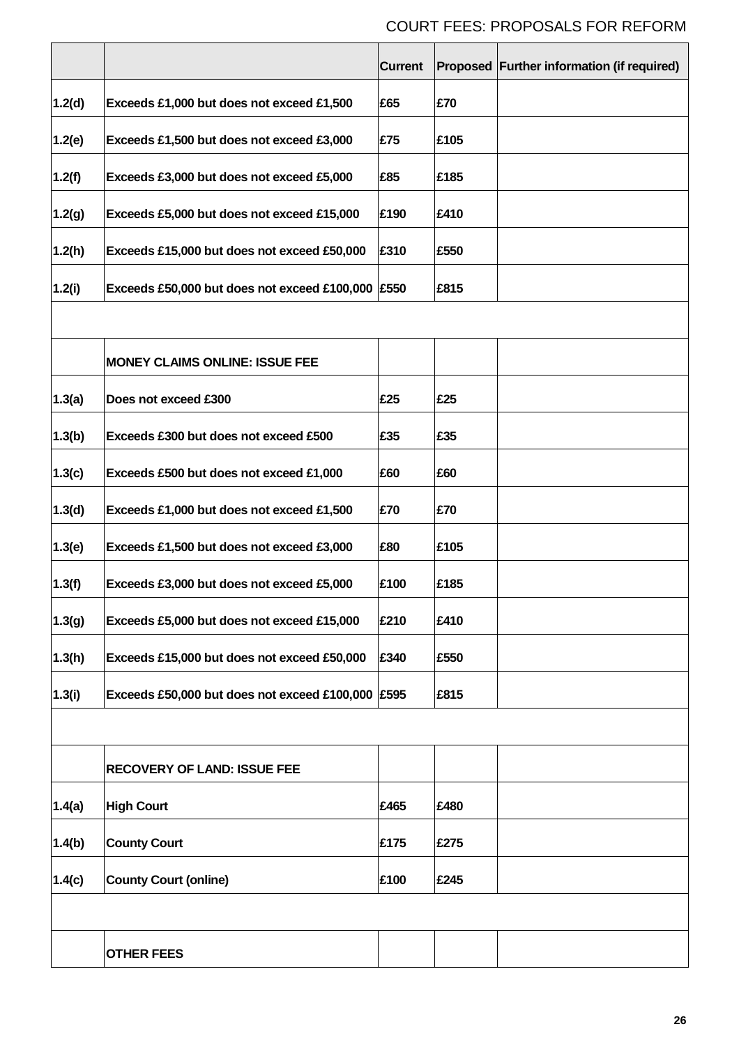|        |                                                   | <b>Current</b> |      | Proposed Further information (if required) |
|--------|---------------------------------------------------|----------------|------|--------------------------------------------|
| 1.2(d) | Exceeds £1,000 but does not exceed £1,500         | £65            | £70  |                                            |
| 1.2(e) | Exceeds £1,500 but does not exceed £3,000         | £75            | £105 |                                            |
| 1.2(f) | Exceeds £3,000 but does not exceed £5,000         | £85            | £185 |                                            |
| 1.2(g) | Exceeds £5,000 but does not exceed £15,000        | £190           | £410 |                                            |
| 1.2(h) | Exceeds £15,000 but does not exceed £50,000       | £310           | £550 |                                            |
| 1.2(i) | Exceeds £50,000 but does not exceed £100,000 £550 |                | £815 |                                            |
|        |                                                   |                |      |                                            |
|        | <b>MONEY CLAIMS ONLINE: ISSUE FEE</b>             |                |      |                                            |
| 1.3(a) | Does not exceed £300                              | £25            | £25  |                                            |
| 1.3(b) | Exceeds £300 but does not exceed £500             | £35            | £35  |                                            |
| 1.3(c) | Exceeds £500 but does not exceed £1,000           | £60            | £60  |                                            |
| 1.3(d) | Exceeds £1,000 but does not exceed £1,500         | £70            | £70  |                                            |
| 1.3(e) | Exceeds £1,500 but does not exceed £3,000         | £80            | £105 |                                            |
| 1.3(f) | Exceeds £3,000 but does not exceed £5,000         | £100           | £185 |                                            |
| 1.3(g) | Exceeds £5,000 but does not exceed £15,000        | £210           | £410 |                                            |
| 1.3(h) | Exceeds £15,000 but does not exceed £50,000       | £340           | £550 |                                            |
| 1.3(i) | Exceeds £50,000 but does not exceed £100,000 £595 |                | £815 |                                            |
|        |                                                   |                |      |                                            |
|        | <b>RECOVERY OF LAND: ISSUE FEE</b>                |                |      |                                            |
| 1.4(a) | <b>High Court</b>                                 | £465           | £480 |                                            |
| 1.4(b) | <b>County Court</b>                               | £175           | £275 |                                            |
| 1.4(c) | <b>County Court (online)</b>                      | £100           | £245 |                                            |
|        |                                                   |                |      |                                            |
|        | <b>OTHER FEES</b>                                 |                |      |                                            |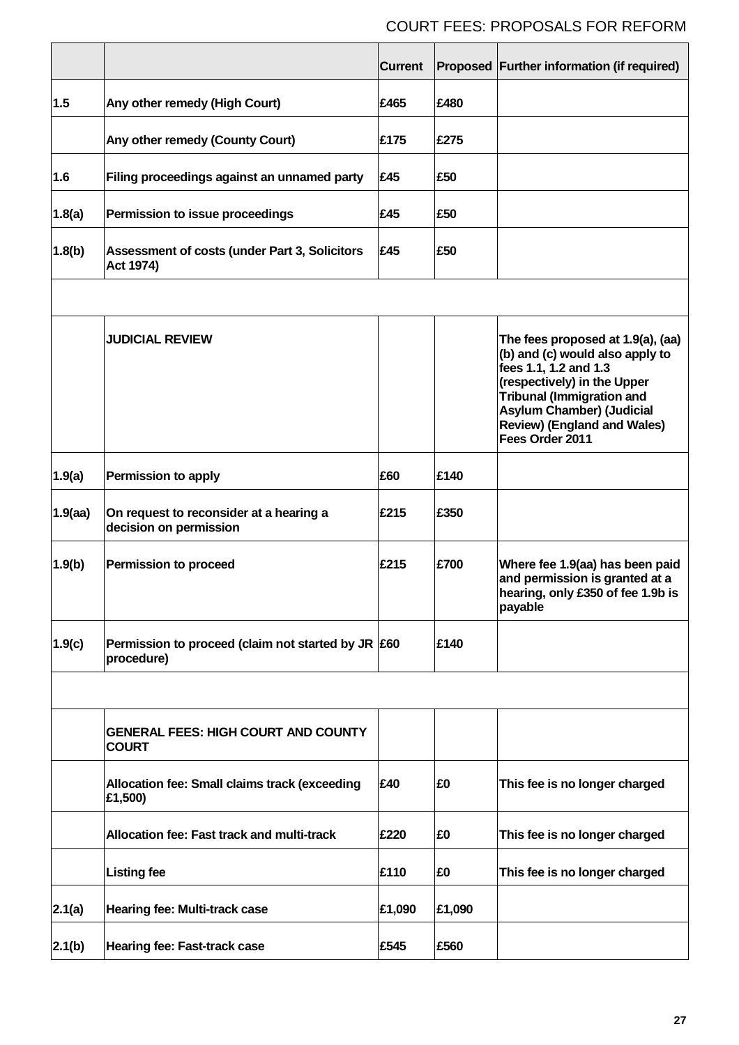|            |                                                                       | <b>Current</b> |        | Proposed Further information (if required)                                                                                                                                                                                                                    |
|------------|-----------------------------------------------------------------------|----------------|--------|---------------------------------------------------------------------------------------------------------------------------------------------------------------------------------------------------------------------------------------------------------------|
| 1.5        | Any other remedy (High Court)                                         | £465           | £480   |                                                                                                                                                                                                                                                               |
|            | Any other remedy (County Court)                                       | £175           | £275   |                                                                                                                                                                                                                                                               |
| 1.6        | Filing proceedings against an unnamed party                           | £45            | £50    |                                                                                                                                                                                                                                                               |
| 1.8(a)     | Permission to issue proceedings                                       | £45            | £50    |                                                                                                                                                                                                                                                               |
| 1.8(b)     | Assessment of costs (under Part 3, Solicitors<br>Act 1974)            | £45            | £50    |                                                                                                                                                                                                                                                               |
|            |                                                                       |                |        |                                                                                                                                                                                                                                                               |
|            | <b>JUDICIAL REVIEW</b>                                                |                |        | The fees proposed at 1.9(a), (aa)<br>(b) and (c) would also apply to<br>fees 1.1, 1.2 and 1.3<br>(respectively) in the Upper<br><b>Tribunal (Immigration and</b><br><b>Asylum Chamber) (Judicial</b><br><b>Review) (England and Wales)</b><br>Fees Order 2011 |
| 1.9(a)     | <b>Permission to apply</b>                                            | £60            | £140   |                                                                                                                                                                                                                                                               |
| $1.9$ (aa) | On request to reconsider at a hearing a<br>decision on permission     | £215           | £350   |                                                                                                                                                                                                                                                               |
| 1.9(b)     | <b>Permission to proceed</b>                                          | £215           | £700   | Where fee 1.9(aa) has been paid<br>and permission is granted at a<br>hearing, only £350 of fee 1.9b is<br>payable                                                                                                                                             |
| 1.9(c)     | Permission to proceed (claim not started by JR $\,$ £60<br>procedure) |                | £140   |                                                                                                                                                                                                                                                               |
|            |                                                                       |                |        |                                                                                                                                                                                                                                                               |
|            | <b>GENERAL FEES: HIGH COURT AND COUNTY</b><br><b>COURT</b>            |                |        |                                                                                                                                                                                                                                                               |
|            | Allocation fee: Small claims track (exceeding<br>£1,500)              | £40            | £0     | This fee is no longer charged                                                                                                                                                                                                                                 |
|            | Allocation fee: Fast track and multi-track                            | £220           | £0     | This fee is no longer charged                                                                                                                                                                                                                                 |
|            | <b>Listing fee</b>                                                    | £110           | £0     | This fee is no longer charged                                                                                                                                                                                                                                 |
| 2.1(a)     | Hearing fee: Multi-track case                                         | £1,090         | £1,090 |                                                                                                                                                                                                                                                               |
| 2.1(b)     | Hearing fee: Fast-track case                                          | £545           | £560   |                                                                                                                                                                                                                                                               |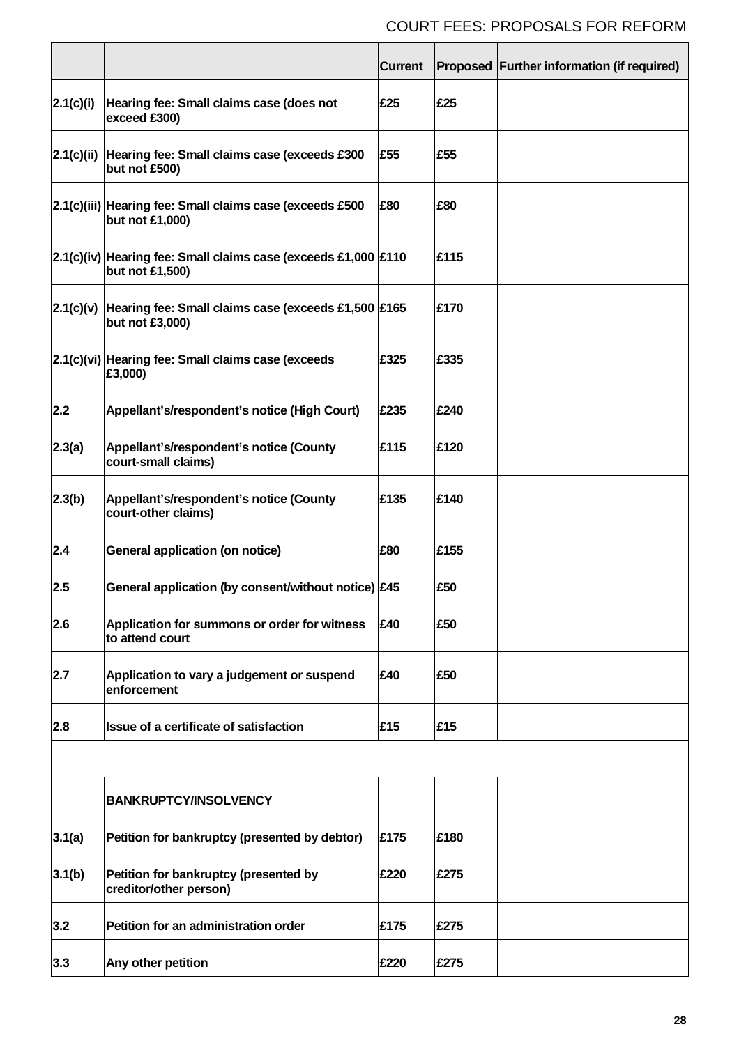|            |                                                                                   | <b>Current</b> |      | Proposed Further information (if required) |
|------------|-----------------------------------------------------------------------------------|----------------|------|--------------------------------------------|
| 2.1(c)(i)  | Hearing fee: Small claims case (does not<br>exceed £300)                          | £25            | £25  |                                            |
| 2.1(c)(ii) | Hearing fee: Small claims case (exceeds £300<br>but not £500)                     | £55            | £55  |                                            |
|            | 2.1(c)(iii) Hearing fee: Small claims case (exceeds £500<br>but not £1,000)       | £80            | £80  |                                            |
|            | 2.1(c)(iv) Hearing fee: Small claims case (exceeds £1,000 £110<br>but not £1,500) |                | £115 |                                            |
| 2.1(c)(v)  | Hearing fee: Small claims case (exceeds £1,500 £165<br>but not £3,000)            |                | £170 |                                            |
|            | 2.1(c)(vi) Hearing fee: Small claims case (exceeds<br>£3,000)                     | £325           | £335 |                                            |
| 2.2        | Appellant's/respondent's notice (High Court)                                      | £235           | £240 |                                            |
| 2.3(a)     | Appellant's/respondent's notice (County<br>court-small claims)                    | £115           | £120 |                                            |
| 2.3(b)     | Appellant's/respondent's notice (County<br>court-other claims)                    | £135           | £140 |                                            |
| 2.4        | General application (on notice)                                                   | £80            | £155 |                                            |
| 2.5        | General application (by consent/without notice) £45                               |                | £50  |                                            |
| 2.6        | Application for summons or order for witness<br>to attend court                   | £40            | £50  |                                            |
| 2.7        | Application to vary a judgement or suspend<br>enforcement                         | £40            | £50  |                                            |
| 2.8        | Issue of a certificate of satisfaction                                            | £15            | £15  |                                            |
|            | <b>BANKRUPTCY/INSOLVENCY</b>                                                      |                |      |                                            |
| 3.1(a)     | Petition for bankruptcy (presented by debtor)                                     | £175           | £180 |                                            |
| 3.1(b)     | Petition for bankruptcy (presented by<br>creditor/other person)                   | £220           | £275 |                                            |
| 3.2        | Petition for an administration order                                              | £175           | £275 |                                            |
| 3.3        | Any other petition                                                                | £220           | £275 |                                            |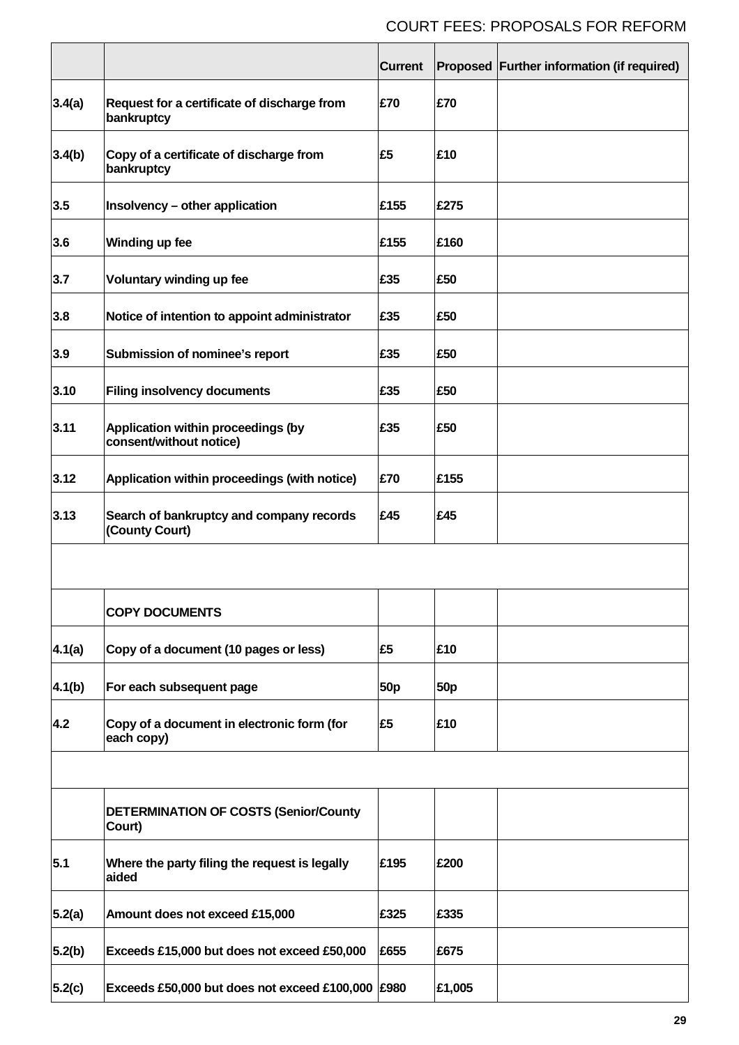|        |                                                               | <b>Current</b>  |                 | Proposed Further information (if required) |
|--------|---------------------------------------------------------------|-----------------|-----------------|--------------------------------------------|
| 3.4(a) | Request for a certificate of discharge from<br>bankruptcy     | £70             | £70             |                                            |
| 3.4(b) | Copy of a certificate of discharge from<br>bankruptcy         | £5              | £10             |                                            |
| 3.5    | Insolvency - other application                                | £155            | £275            |                                            |
| 3.6    | Winding up fee                                                | £155            | £160            |                                            |
| 3.7    | Voluntary winding up fee                                      | £35             | £50             |                                            |
| 3.8    | Notice of intention to appoint administrator                  | £35             | £50             |                                            |
| 3.9    | Submission of nominee's report                                | £35             | £50             |                                            |
| 3.10   | <b>Filing insolvency documents</b>                            | £35             | £50             |                                            |
| 3.11   | Application within proceedings (by<br>consent/without notice) | £35             | £50             |                                            |
| 3.12   | Application within proceedings (with notice)                  | £70             | £155            |                                            |
| 3.13   | Search of bankruptcy and company records<br>(County Court)    | £45             | £45             |                                            |
|        |                                                               |                 |                 |                                            |
|        | <b>COPY DOCUMENTS</b>                                         |                 |                 |                                            |
| 4.1(a) | Copy of a document (10 pages or less)                         | £5              | £10             |                                            |
| 4.1(b) | For each subsequent page                                      | 50 <sub>p</sub> | 50 <sub>p</sub> |                                            |
| 4.2    | Copy of a document in electronic form (for<br>each copy)      | £5              | £10             |                                            |
|        |                                                               |                 |                 |                                            |
|        | <b>DETERMINATION OF COSTS (Senior/County</b><br>Court)        |                 |                 |                                            |
| 5.1    | Where the party filing the request is legally<br>aided        | £195            | £200            |                                            |
| 5.2(a) | Amount does not exceed £15,000                                | £325            | £335            |                                            |
| 5.2(b) | Exceeds £15,000 but does not exceed £50,000                   | £655            | £675            |                                            |
| 5.2(c) | Exceeds £50,000 but does not exceed £100,000 £980             |                 | £1,005          |                                            |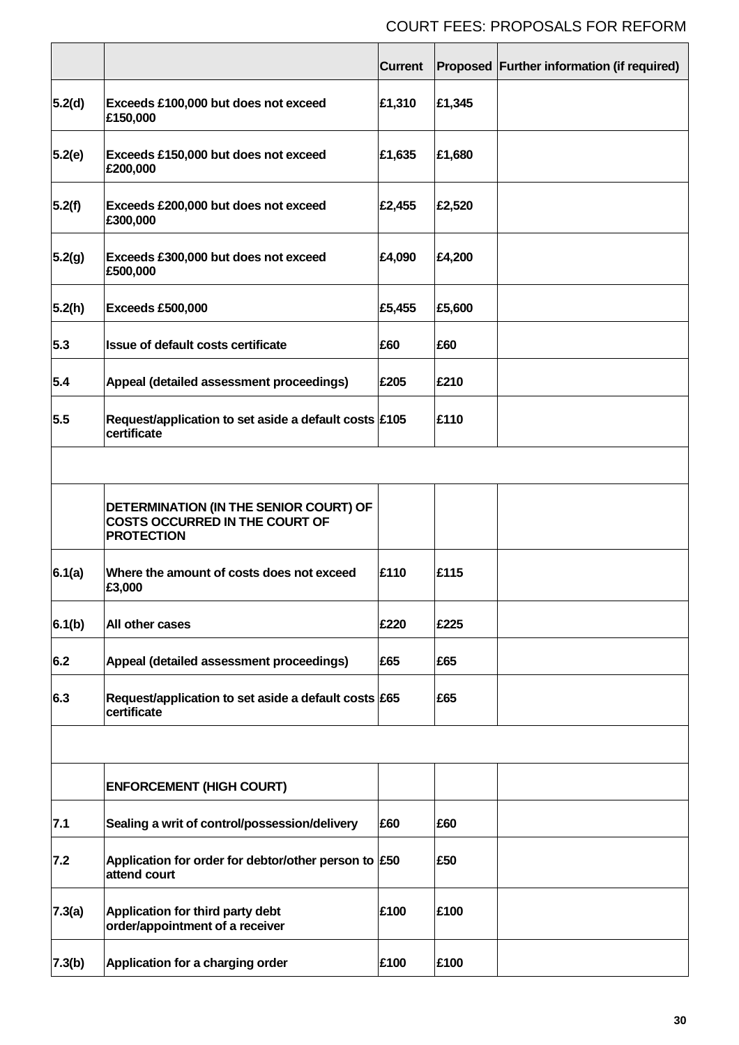|        |                                                                                                      | <b>Current</b> |        | Proposed Further information (if required) |
|--------|------------------------------------------------------------------------------------------------------|----------------|--------|--------------------------------------------|
| 5.2(d) | Exceeds £100,000 but does not exceed<br>£150,000                                                     | £1,310         | £1,345 |                                            |
| 5.2(e) | Exceeds £150,000 but does not exceed<br>£200,000                                                     | £1,635         | £1,680 |                                            |
| 5.2(f) | Exceeds £200,000 but does not exceed<br>£300,000                                                     | £2,455         | £2,520 |                                            |
| 5.2(g) | Exceeds £300,000 but does not exceed<br>£500,000                                                     | £4,090         | £4,200 |                                            |
| 5.2(h) | Exceeds £500,000                                                                                     | £5,455         | £5,600 |                                            |
| 5.3    | Issue of default costs certificate                                                                   | £60            | £60    |                                            |
| 5.4    | Appeal (detailed assessment proceedings)                                                             | £205           | £210   |                                            |
| 5.5    | Request/application to set aside a default costs £105<br>certificate                                 |                | £110   |                                            |
|        |                                                                                                      |                |        |                                            |
|        | DETERMINATION (IN THE SENIOR COURT) OF<br><b>COSTS OCCURRED IN THE COURT OF</b><br><b>PROTECTION</b> |                |        |                                            |
| 6.1(a) | Where the amount of costs does not exceed<br>£3,000                                                  | £110           | £115   |                                            |
| 6.1(b) | All other cases                                                                                      | £220           | £225   |                                            |
| 6.2    | Appeal (detailed assessment proceedings)                                                             | £65            | £65    |                                            |
| 6.3    | Request/application to set aside a default costs £65<br>certificate                                  |                | £65    |                                            |
|        |                                                                                                      |                |        |                                            |
|        | <b>ENFORCEMENT (HIGH COURT)</b>                                                                      |                |        |                                            |
| 7.1    | Sealing a writ of control/possession/delivery                                                        | £60            | £60    |                                            |
| 7.2    | Application for order for debtor/other person to £50<br>attend court                                 |                | £50    |                                            |
| 7.3(a) | Application for third party debt<br>order/appointment of a receiver                                  | £100           | £100   |                                            |
| 7.3(b) | Application for a charging order                                                                     | £100           | £100   |                                            |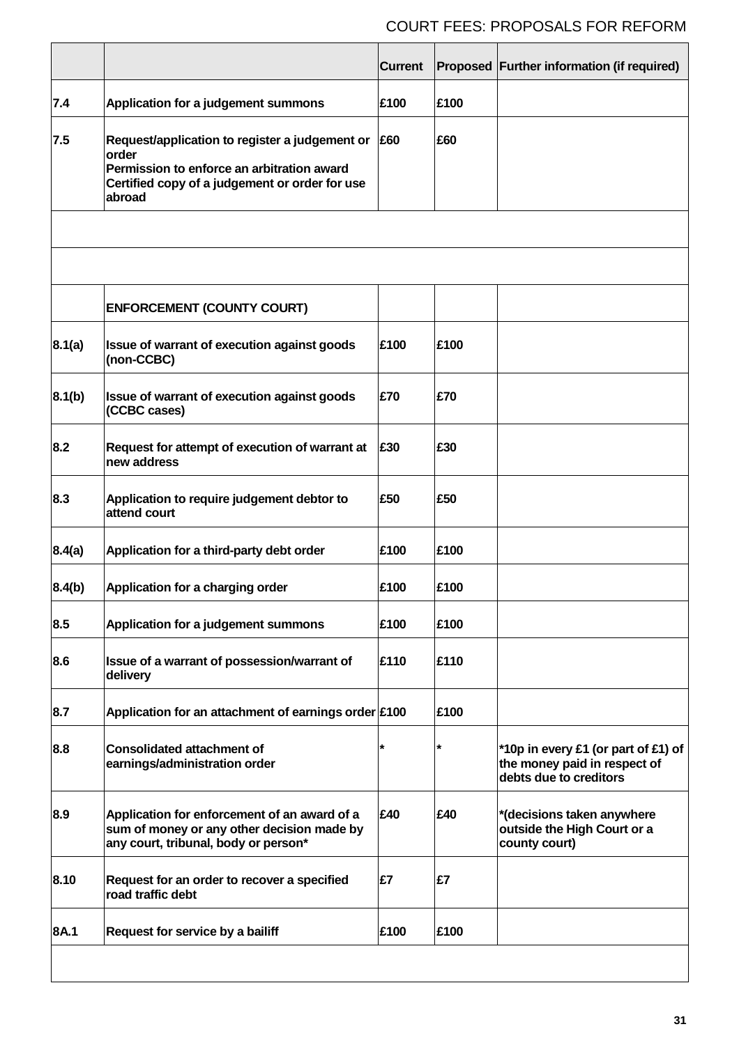|        |                                                                                                                                                                   | <b>Current</b> |      | Proposed Further information (if required)                                                    |
|--------|-------------------------------------------------------------------------------------------------------------------------------------------------------------------|----------------|------|-----------------------------------------------------------------------------------------------|
| 7.4    | Application for a judgement summons                                                                                                                               | £100           | £100 |                                                                                               |
| 7.5    | Request/application to register a judgement or<br>order<br>Permission to enforce an arbitration award<br>Certified copy of a judgement or order for use<br>abroad | £60            | £60  |                                                                                               |
|        |                                                                                                                                                                   |                |      |                                                                                               |
|        |                                                                                                                                                                   |                |      |                                                                                               |
|        | <b>ENFORCEMENT (COUNTY COURT)</b>                                                                                                                                 |                |      |                                                                                               |
| 8.1(a) | Issue of warrant of execution against goods<br>(non-CCBC)                                                                                                         | £100           | £100 |                                                                                               |
| 8.1(b) | Issue of warrant of execution against goods<br>(CCBC cases)                                                                                                       | £70            | £70  |                                                                                               |
| 8.2    | Request for attempt of execution of warrant at<br>new address                                                                                                     | £30            | £30  |                                                                                               |
| 8.3    | Application to require judgement debtor to<br>attend court                                                                                                        | £50            | £50  |                                                                                               |
| 8.4(a) | Application for a third-party debt order                                                                                                                          | £100           | £100 |                                                                                               |
| 8.4(b) | Application for a charging order                                                                                                                                  | £100           | £100 |                                                                                               |
| 8.5    | Application for a judgement summons                                                                                                                               | £100           | £100 |                                                                                               |
| 8.6    | Issue of a warrant of possession/warrant of<br>delivery                                                                                                           | £110           | £110 |                                                                                               |
| 8.7    | Application for an attachment of earnings order £100                                                                                                              |                | £100 |                                                                                               |
| 8.8    | <b>Consolidated attachment of</b><br>earnings/administration order                                                                                                | *              | *    | *10p in every £1 (or part of £1) of<br>the money paid in respect of<br>debts due to creditors |
| 8.9    | Application for enforcement of an award of a<br>sum of money or any other decision made by<br>any court, tribunal, body or person*                                | £40            | £40  | *(decisions taken anywhere<br>outside the High Court or a<br>county court)                    |
| 8.10   | Request for an order to recover a specified<br>road traffic debt                                                                                                  | £7             | £7   |                                                                                               |
| 8A.1   | Request for service by a bailiff                                                                                                                                  | £100           | £100 |                                                                                               |
|        |                                                                                                                                                                   |                |      |                                                                                               |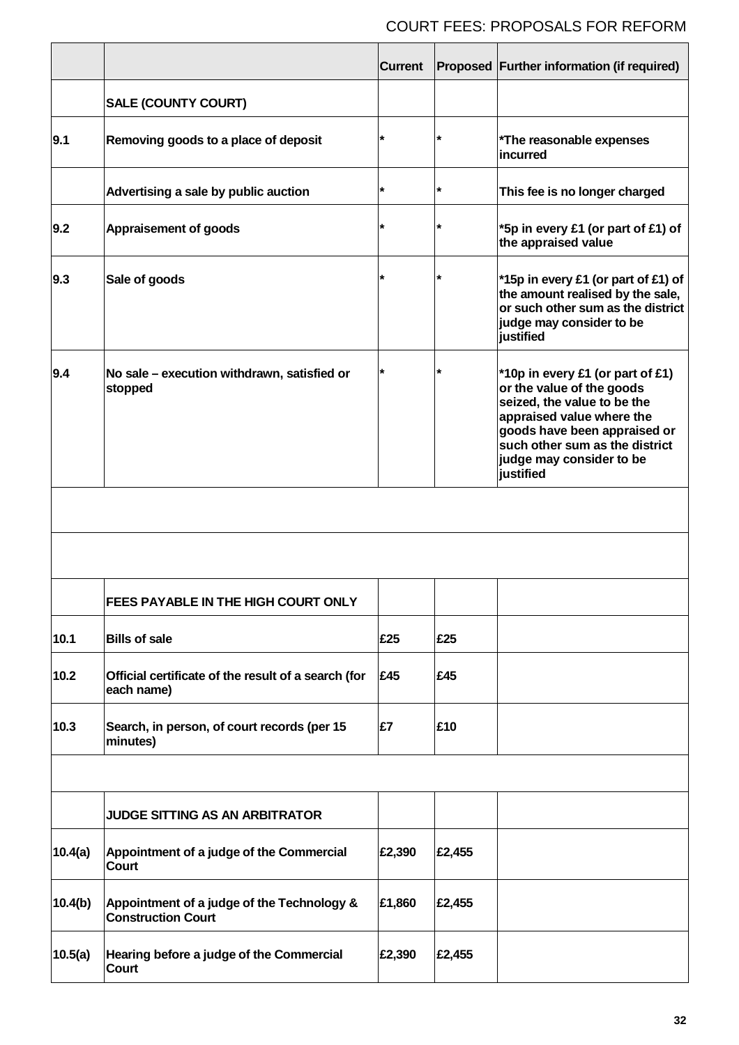|         |                                                                         | <b>Current</b> |         | Proposed Further information (if required)                                                                                                                                                                                           |
|---------|-------------------------------------------------------------------------|----------------|---------|--------------------------------------------------------------------------------------------------------------------------------------------------------------------------------------------------------------------------------------|
|         | <b>SALE (COUNTY COURT)</b>                                              |                |         |                                                                                                                                                                                                                                      |
| 9.1     | Removing goods to a place of deposit                                    |                | $\star$ | *The reasonable expenses<br>incurred                                                                                                                                                                                                 |
|         | Advertising a sale by public auction                                    | *              | $\star$ | This fee is no longer charged                                                                                                                                                                                                        |
| 9.2     | <b>Appraisement of goods</b>                                            |                | *       | *5p in every £1 (or part of £1) of<br>the appraised value                                                                                                                                                                            |
| 9.3     | Sale of goods                                                           | $\star$        | *       | *15p in every £1 (or part of £1) of<br>the amount realised by the sale,<br>or such other sum as the district<br>judge may consider to be<br>justified                                                                                |
| 9.4     | No sale - execution withdrawn, satisfied or<br>stopped                  |                | *       | *10p in every £1 (or part of £1)<br>or the value of the goods<br>seized, the value to be the<br>appraised value where the<br>goods have been appraised or<br>such other sum as the district<br>judge may consider to be<br>justified |
|         |                                                                         |                |         |                                                                                                                                                                                                                                      |
|         |                                                                         |                |         |                                                                                                                                                                                                                                      |
|         | FEES PAYABLE IN THE HIGH COURT ONLY                                     |                |         |                                                                                                                                                                                                                                      |
| 10.1    | <b>Bills of sale</b>                                                    | £25            | £25     |                                                                                                                                                                                                                                      |
| 10.2    | Official certificate of the result of a search (for<br>each name)       | £45            | £45     |                                                                                                                                                                                                                                      |
| 10.3    | Search, in person, of court records (per 15<br>minutes)                 | £7             | £10     |                                                                                                                                                                                                                                      |
|         |                                                                         |                |         |                                                                                                                                                                                                                                      |
|         | JUDGE SITTING AS AN ARBITRATOR                                          |                |         |                                                                                                                                                                                                                                      |
| 10.4(a) | Appointment of a judge of the Commercial<br>Court                       | £2,390         | £2,455  |                                                                                                                                                                                                                                      |
| 10.4(b) | Appointment of a judge of the Technology &<br><b>Construction Court</b> | £1,860         | £2,455  |                                                                                                                                                                                                                                      |
| 10.5(a) | Hearing before a judge of the Commercial<br>Court                       | £2,390         | £2,455  |                                                                                                                                                                                                                                      |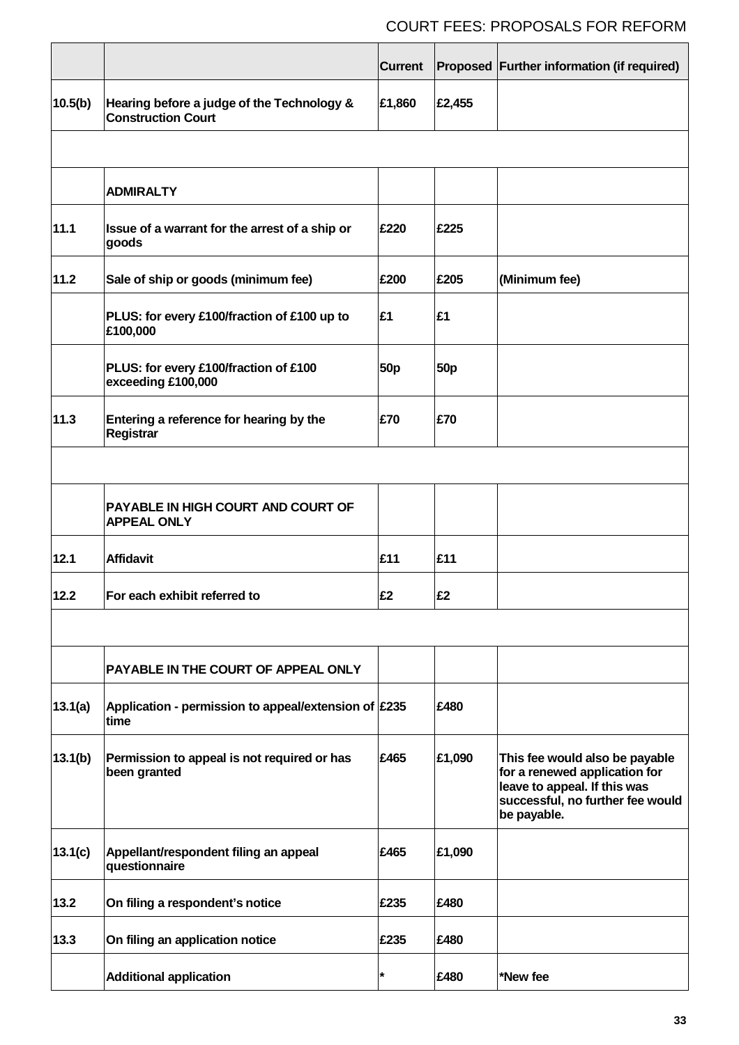|         |                                                                         | <b>Current</b>  |                 | Proposed Further information (if required)                                                                                                         |
|---------|-------------------------------------------------------------------------|-----------------|-----------------|----------------------------------------------------------------------------------------------------------------------------------------------------|
| 10.5(b) | Hearing before a judge of the Technology &<br><b>Construction Court</b> | £1,860          | £2,455          |                                                                                                                                                    |
|         |                                                                         |                 |                 |                                                                                                                                                    |
|         | <b>ADMIRALTY</b>                                                        |                 |                 |                                                                                                                                                    |
| 11.1    | Issue of a warrant for the arrest of a ship or<br>goods                 | £220            | £225            |                                                                                                                                                    |
| 11.2    | Sale of ship or goods (minimum fee)                                     | £200            | £205            | (Minimum fee)                                                                                                                                      |
|         | PLUS: for every £100/fraction of £100 up to<br>£100,000                 | £1              | £1              |                                                                                                                                                    |
|         | PLUS: for every £100/fraction of £100<br>exceeding £100,000             | 50 <sub>p</sub> | 50 <sub>p</sub> |                                                                                                                                                    |
| 11.3    | Entering a reference for hearing by the<br>Registrar                    | £70             | £70             |                                                                                                                                                    |
|         |                                                                         |                 |                 |                                                                                                                                                    |
|         | PAYABLE IN HIGH COURT AND COURT OF<br><b>APPEAL ONLY</b>                |                 |                 |                                                                                                                                                    |
| 12.1    | <b>Affidavit</b>                                                        | £11             | £11             |                                                                                                                                                    |
| 12.2    | For each exhibit referred to                                            | F2              | F2              |                                                                                                                                                    |
|         |                                                                         |                 |                 |                                                                                                                                                    |
|         | PAYABLE IN THE COURT OF APPEAL ONLY                                     |                 |                 |                                                                                                                                                    |
| 13.1(a) | Application - permission to appeal/extension of £235<br>time            |                 | £480            |                                                                                                                                                    |
| 13.1(b) | Permission to appeal is not required or has<br>been granted             | £465            | £1,090          | This fee would also be payable<br>for a renewed application for<br>leave to appeal. If this was<br>successful, no further fee would<br>be payable. |
| 13.1(c) | Appellant/respondent filing an appeal<br>questionnaire                  | £465            | £1,090          |                                                                                                                                                    |
| 13.2    | On filing a respondent's notice                                         | £235            | £480            |                                                                                                                                                    |
| 13.3    | On filing an application notice                                         | £235            | £480            |                                                                                                                                                    |
|         | <b>Additional application</b>                                           | *               | £480            | *New fee                                                                                                                                           |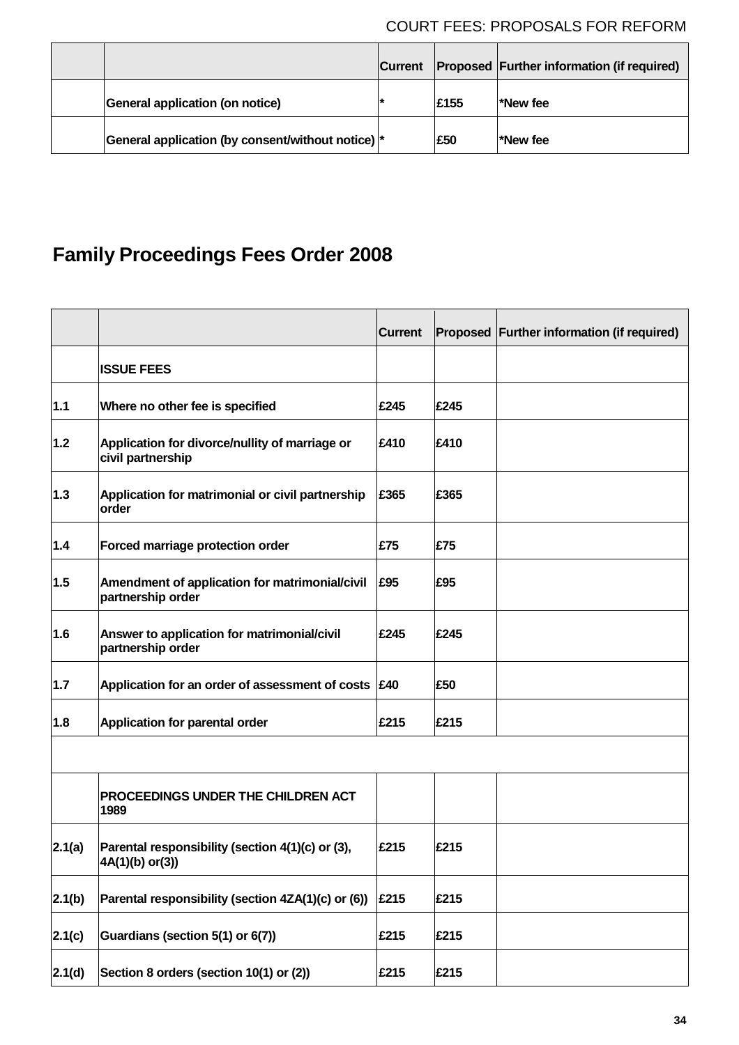|                                                   | <b>Current</b> |            | <b>Proposed Further information (if required)</b> |
|---------------------------------------------------|----------------|------------|---------------------------------------------------|
| <b>General application (on notice)</b>            |                | £155       | *New fee                                          |
| General application (by consent/without notice) * |                | <b>E50</b> | *New fee                                          |

# **Family Proceedings Fees Order 2008**

|        |                                                                     | <b>Current</b> |      | Proposed Further information (if required) |
|--------|---------------------------------------------------------------------|----------------|------|--------------------------------------------|
|        | <b>ISSUE FEES</b>                                                   |                |      |                                            |
| $1.1$  | Where no other fee is specified                                     | £245           | £245 |                                            |
| $1.2$  | Application for divorce/nullity of marriage or<br>civil partnership | £410           | £410 |                                            |
| 1.3    | Application for matrimonial or civil partnership<br>order           | £365           | £365 |                                            |
| 1.4    | Forced marriage protection order                                    | £75            | £75  |                                            |
| 1.5    | Amendment of application for matrimonial/civil<br>partnership order | £95            | £95  |                                            |
| 1.6    | Answer to application for matrimonial/civil<br>partnership order    | £245           | £245 |                                            |
| 1.7    | Application for an order of assessment of costs £40                 |                | £50  |                                            |
| 1.8    | Application for parental order                                      | £215           | £215 |                                            |
|        |                                                                     |                |      |                                            |
|        | PROCEEDINGS UNDER THE CHILDREN ACT<br>1989                          |                |      |                                            |
| 2.1(a) | Parental responsibility (section 4(1)(c) or (3),<br>4A(1)(b) or(3)) | £215           | £215 |                                            |
| 2.1(b) | Parental responsibility (section 4ZA(1)(c) or (6))                  | £215           | £215 |                                            |
| 2.1(c) | Guardians (section 5(1) or 6(7))                                    | £215           | £215 |                                            |
| 2.1(d) | Section 8 orders (section 10(1) or (2))                             | £215           | £215 |                                            |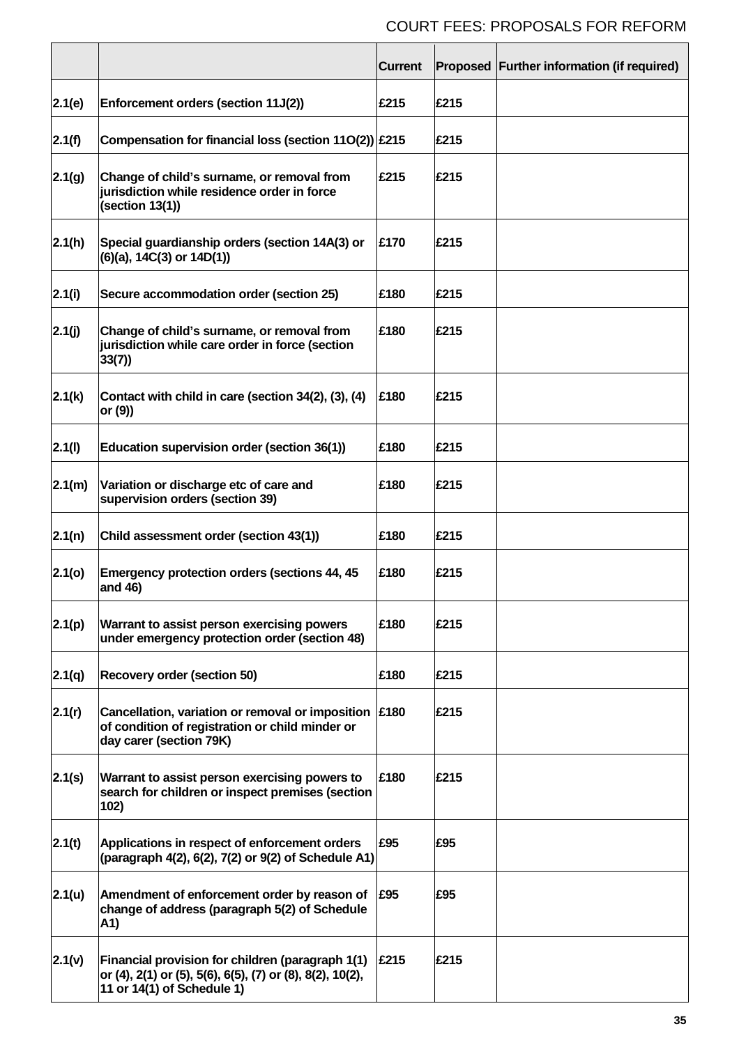|        |                                                                                                                                             | <b>Current</b> |      | Proposed Further information (if required) |
|--------|---------------------------------------------------------------------------------------------------------------------------------------------|----------------|------|--------------------------------------------|
| 2.1(e) | Enforcement orders (section 11J(2))                                                                                                         | £215           | £215 |                                            |
| 2.1(f) | Compensation for financial loss (section $11O(2)$ ) £215                                                                                    |                | £215 |                                            |
| 2.1(g) | Change of child's surname, or removal from<br>jurisdiction while residence order in force<br>(section 13(1))                                | £215           | £215 |                                            |
| 2.1(h) | Special guardianship orders (section 14A(3) or<br>$(6)(a)$ , 14C $(3)$ or 14D $(1)$ )                                                       | £170           | £215 |                                            |
| 2.1(i) | Secure accommodation order (section 25)                                                                                                     | £180           | £215 |                                            |
| 2.1(j) | Change of child's surname, or removal from<br>jurisdiction while care order in force (section<br>33(7)                                      | £180           | £215 |                                            |
| 2.1(k) | Contact with child in care (section 34(2), (3), (4)<br>or (9))                                                                              | £180           | £215 |                                            |
| 2.1(l) | Education supervision order (section 36(1))                                                                                                 | £180           | £215 |                                            |
| 2.1(m) | Variation or discharge etc of care and<br>supervision orders (section 39)                                                                   | £180           | £215 |                                            |
| 2.1(n) | Child assessment order (section 43(1))                                                                                                      | £180           | £215 |                                            |
| 2.1(0) | <b>Emergency protection orders (sections 44, 45)</b><br>and 46)                                                                             | £180           | £215 |                                            |
| 2.1(p) | Warrant to assist person exercising powers<br>under emergency protection order (section 48)                                                 | £180           | £215 |                                            |
| 2.1(q) | <b>Recovery order (section 50)</b>                                                                                                          | £180           | £215 |                                            |
| 2.1(r) | Cancellation, variation or removal or imposition<br>of condition of registration or child minder or<br>day carer (section 79K)              | £180           | £215 |                                            |
| 2.1(s) | Warrant to assist person exercising powers to<br>search for children or inspect premises (section<br>102)                                   | £180           | £215 |                                            |
| 2.1(t) | Applications in respect of enforcement orders<br>(paragraph 4(2), 6(2), 7(2) or 9(2) of Schedule A1)                                        | £95            | £95  |                                            |
| 2.1(u) | Amendment of enforcement order by reason of<br>change of address (paragraph 5(2) of Schedule<br>A1)                                         | £95            | £95  |                                            |
| 2.1(v) | Financial provision for children (paragraph 1(1)<br>or (4), 2(1) or (5), 5(6), 6(5), (7) or (8), 8(2), 10(2),<br>11 or 14(1) of Schedule 1) | £215           | £215 |                                            |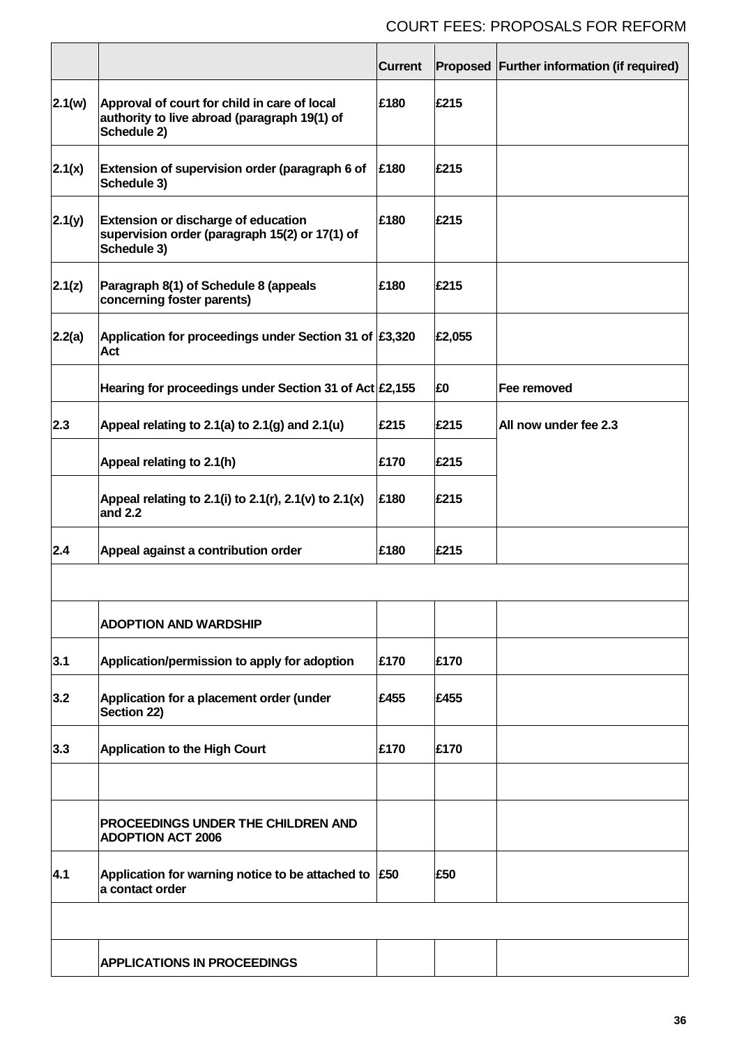|        |                                                                                                             | <b>Current</b> |        | Proposed Further information (if required) |
|--------|-------------------------------------------------------------------------------------------------------------|----------------|--------|--------------------------------------------|
| 2.1(w) | Approval of court for child in care of local<br>authority to live abroad (paragraph 19(1) of<br>Schedule 2) | £180           | £215   |                                            |
| 2.1(x) | Extension of supervision order (paragraph 6 of<br>Schedule 3)                                               | £180           | £215   |                                            |
| 2.1(y) | Extension or discharge of education<br>supervision order (paragraph 15(2) or 17(1) of<br>Schedule 3)        | £180           | £215   |                                            |
| 2.1(z) | Paragraph 8(1) of Schedule 8 (appeals<br>concerning foster parents)                                         | £180           | £215   |                                            |
| 2.2(a) | Application for proceedings under Section 31 of £3,320<br>Act                                               |                | £2,055 |                                            |
|        | Hearing for proceedings under Section 31 of Act £2,155                                                      |                | £0     | Fee removed                                |
| 2.3    | Appeal relating to 2.1(a) to 2.1(g) and 2.1(u)                                                              | £215           | £215   | All now under fee 2.3                      |
|        | Appeal relating to 2.1(h)                                                                                   | £170           | £215   |                                            |
|        | Appeal relating to 2.1(i) to 2.1(r), 2.1(v) to 2.1(x)<br>and 2.2                                            | £180           | £215   |                                            |
| 2.4    | Appeal against a contribution order                                                                         | £180           | £215   |                                            |
|        |                                                                                                             |                |        |                                            |
|        | <b>ADOPTION AND WARDSHIP</b>                                                                                |                |        |                                            |
| 3.1    | Application/permission to apply for adoption                                                                | £170           | £170   |                                            |
| 3.2    | Application for a placement order (under<br>Section 22)                                                     | £455           | £455   |                                            |
| 3.3    | <b>Application to the High Court</b>                                                                        | £170           | £170   |                                            |
|        |                                                                                                             |                |        |                                            |
|        | PROCEEDINGS UNDER THE CHILDREN AND<br><b>ADOPTION ACT 2006</b>                                              |                |        |                                            |
| 4.1    | Application for warning notice to be attached to $\left  \text{\small £50}\right\rangle$<br>a contact order |                | £50    |                                            |
|        |                                                                                                             |                |        |                                            |
|        | <b>APPLICATIONS IN PROCEEDINGS</b>                                                                          |                |        |                                            |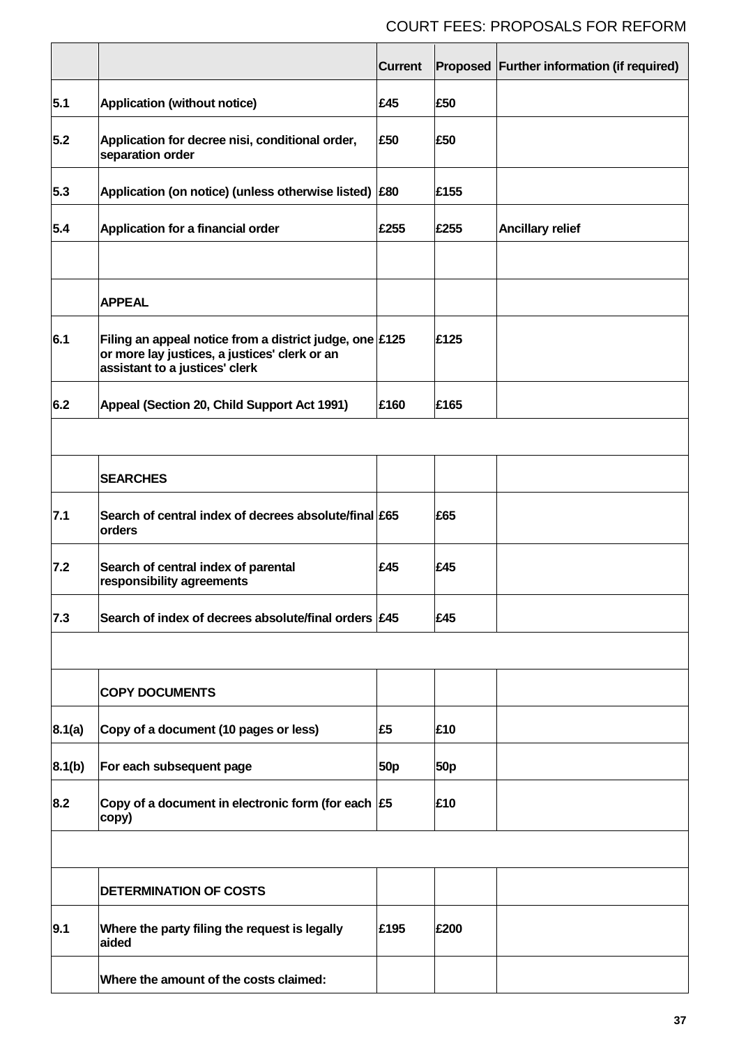|        |                                                                                                                                            | <b>Current</b>  |            | Proposed Further information (if required) |
|--------|--------------------------------------------------------------------------------------------------------------------------------------------|-----------------|------------|--------------------------------------------|
| 5.1    | <b>Application (without notice)</b>                                                                                                        | £45             | £50        |                                            |
| 5.2    | Application for decree nisi, conditional order,<br>separation order                                                                        | £50             | £50        |                                            |
| 5.3    | Application (on notice) (unless otherwise listed) £80                                                                                      |                 | £155       |                                            |
| 5.4    | Application for a financial order                                                                                                          | £255            | £255       | <b>Ancillary relief</b>                    |
|        |                                                                                                                                            |                 |            |                                            |
|        | <b>APPEAL</b>                                                                                                                              |                 |            |                                            |
| 6.1    | Filing an appeal notice from a district judge, one £125<br>or more lay justices, a justices' clerk or an<br>assistant to a justices' clerk |                 | £125       |                                            |
| 6.2    | Appeal (Section 20, Child Support Act 1991)                                                                                                | £160            | £165       |                                            |
|        |                                                                                                                                            |                 |            |                                            |
|        | <b>SEARCHES</b>                                                                                                                            |                 |            |                                            |
| 7.1    | Search of central index of decrees absolute/final £65<br>orders                                                                            |                 | £65        |                                            |
| 7.2    | Search of central index of parental<br>responsibility agreements                                                                           | £45             | £45        |                                            |
| 7.3    | Search of index of decrees absolute/final orders £45                                                                                       |                 | £45        |                                            |
|        |                                                                                                                                            |                 |            |                                            |
|        | <b>COPY DOCUMENTS</b>                                                                                                                      |                 |            |                                            |
| 8.1(a) | Copy of a document (10 pages or less)                                                                                                      | £5              | £10        |                                            |
| 8.1(b) | For each subsequent page                                                                                                                   | 50 <sub>p</sub> | <b>50p</b> |                                            |
| 8.2    | Copy of a document in electronic form (for each $\left  \xi 5 \right $<br>copy)                                                            |                 | £10        |                                            |
|        |                                                                                                                                            |                 |            |                                            |
|        | <b>DETERMINATION OF COSTS</b>                                                                                                              |                 |            |                                            |
| 9.1    | Where the party filing the request is legally<br>aided                                                                                     | £195            | £200       |                                            |
|        | Where the amount of the costs claimed:                                                                                                     |                 |            |                                            |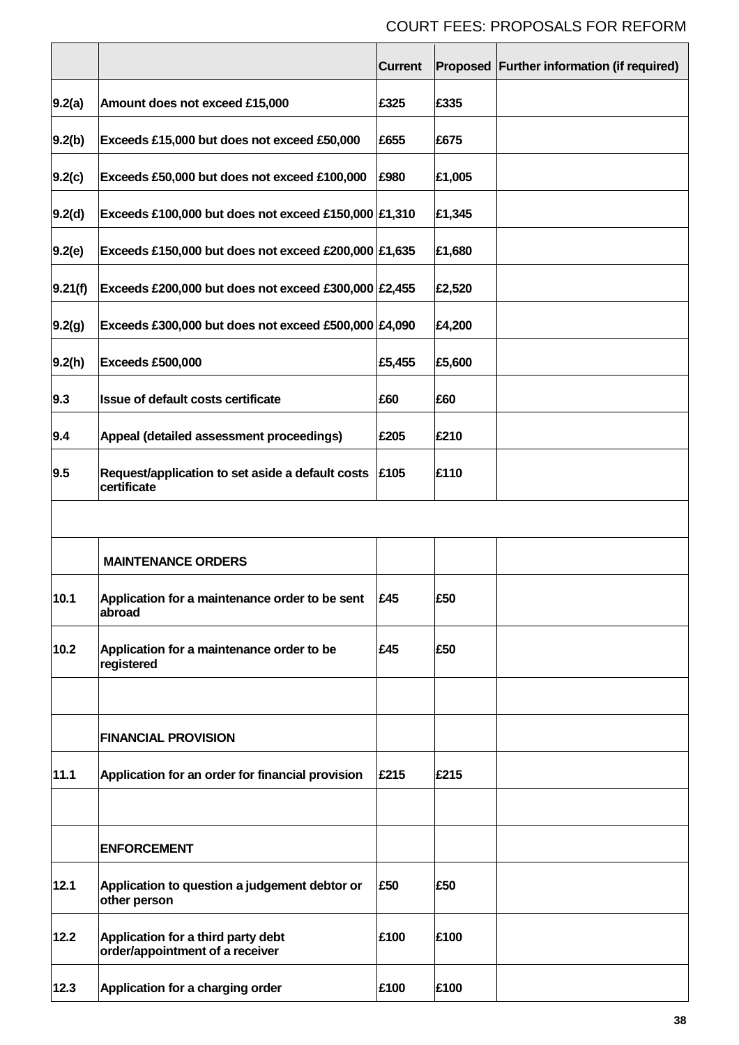|         |                                                                                        | <b>Current</b> |        | Proposed Further information (if required) |
|---------|----------------------------------------------------------------------------------------|----------------|--------|--------------------------------------------|
| 9.2(a)  | Amount does not exceed £15,000                                                         | £325           | £335   |                                            |
| 9.2(b)  | Exceeds £15,000 but does not exceed £50,000                                            | £655           | £675   |                                            |
| 9.2(c)  | Exceeds £50,000 but does not exceed £100,000                                           | £980           | £1,005 |                                            |
| 9.2(d)  | Exceeds £100,000 but does not exceed £150,000 $ £1,310$                                |                | £1,345 |                                            |
| 9.2(e)  | Exceeds £150,000 but does not exceed £200,000 $ £1,635$                                |                | £1,680 |                                            |
| 9.21(f) | Exceeds £200,000 but does not exceed £300,000 $\mathsf{E2},455$                        |                | £2,520 |                                            |
| 9.2(g)  | Exceeds £300,000 but does not exceed £500,000 $\mathsf{\not\!\!\!\!}\,\mathsf{E4,090}$ |                | £4,200 |                                            |
| 9.2(h)  | Exceeds £500,000                                                                       | £5,455         | £5,600 |                                            |
| 9.3     | Issue of default costs certificate                                                     | £60            | £60    |                                            |
| 9.4     | Appeal (detailed assessment proceedings)                                               | £205           | £210   |                                            |
| 9.5     | Request/application to set aside a default costs<br>certificate                        | £105           | £110   |                                            |
|         |                                                                                        |                |        |                                            |
|         | <b>MAINTENANCE ORDERS</b>                                                              |                |        |                                            |
| 10.1    | Application for a maintenance order to be sent<br>abroad                               | F45            | £50    |                                            |
| 10.2    | Application for a maintenance order to be<br>registered                                | £45            | £50    |                                            |
|         |                                                                                        |                |        |                                            |
|         | <b>FINANCIAL PROVISION</b>                                                             |                |        |                                            |
| 11.1    | Application for an order for financial provision                                       | £215           | £215   |                                            |
|         |                                                                                        |                |        |                                            |
|         | <b>ENFORCEMENT</b>                                                                     |                |        |                                            |
| 12.1    | Application to question a judgement debtor or<br>other person                          | £50            | £50    |                                            |
| 12.2    | Application for a third party debt<br>order/appointment of a receiver                  | £100           | £100   |                                            |
| 12.3    | Application for a charging order                                                       | £100           | £100   |                                            |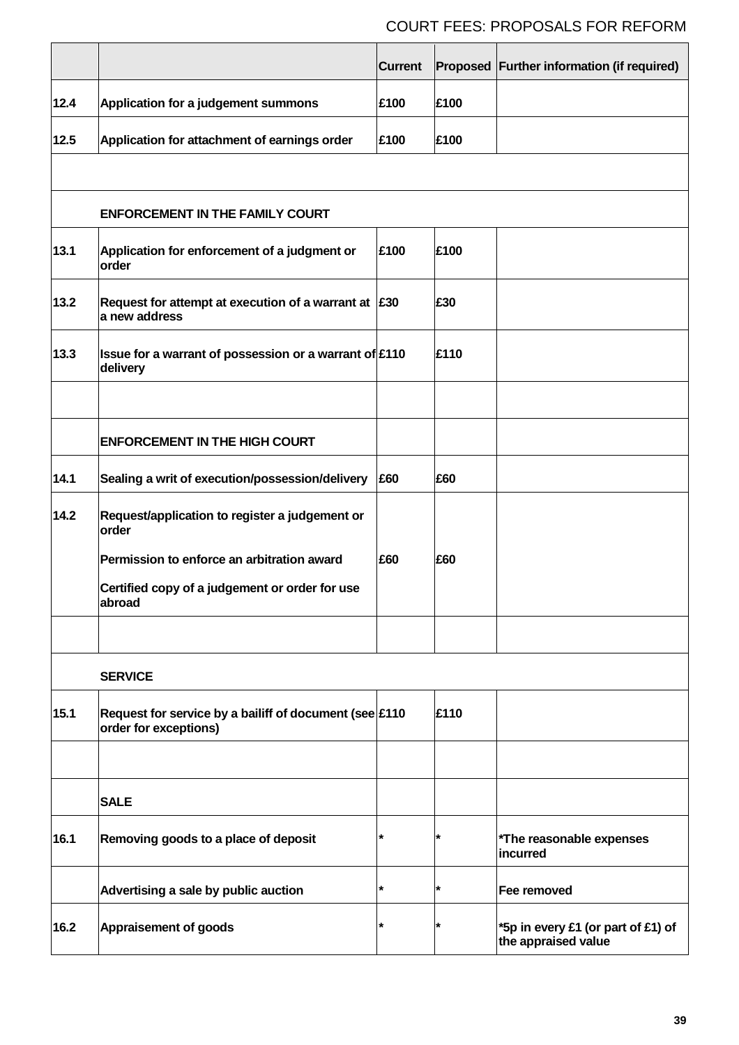|      |                                                                                                                                                                   | <b>Current</b> |      | Proposed Further information (if required)                |
|------|-------------------------------------------------------------------------------------------------------------------------------------------------------------------|----------------|------|-----------------------------------------------------------|
| 12.4 | Application for a judgement summons                                                                                                                               | £100           | £100 |                                                           |
| 12.5 | Application for attachment of earnings order                                                                                                                      | £100           | £100 |                                                           |
|      | <b>ENFORCEMENT IN THE FAMILY COURT</b>                                                                                                                            |                |      |                                                           |
| 13.1 | Application for enforcement of a judgment or<br>order                                                                                                             | £100           | £100 |                                                           |
| 13.2 | Request for attempt at execution of a warrant at $ \text{\pounds}30\rangle$<br>a new address                                                                      |                | £30  |                                                           |
| 13.3 | Issue for a warrant of possession or a warrant of £110<br>delivery                                                                                                |                | £110 |                                                           |
|      | <b>ENFORCEMENT IN THE HIGH COURT</b>                                                                                                                              |                |      |                                                           |
| 14.1 | Sealing a writ of execution/possession/delivery                                                                                                                   | £60            | £60  |                                                           |
| 14.2 | Request/application to register a judgement or<br>order<br>Permission to enforce an arbitration award<br>Certified copy of a judgement or order for use<br>abroad | £60            | £60  |                                                           |
|      | <b>SERVICE</b>                                                                                                                                                    |                |      |                                                           |
| 15.1 | Request for service by a bailiff of document (see $\text{\pounds}110$<br>order for exceptions)                                                                    |                | £110 |                                                           |
|      | <b>SALE</b>                                                                                                                                                       |                |      |                                                           |
| 16.1 | Removing goods to a place of deposit                                                                                                                              | $\star$        | *    | *The reasonable expenses<br><b>incurred</b>               |
|      | Advertising a sale by public auction                                                                                                                              | $\star$        | *    | Fee removed                                               |
| 16.2 | <b>Appraisement of goods</b>                                                                                                                                      | $\star$        |      | *5p in every £1 (or part of £1) of<br>the appraised value |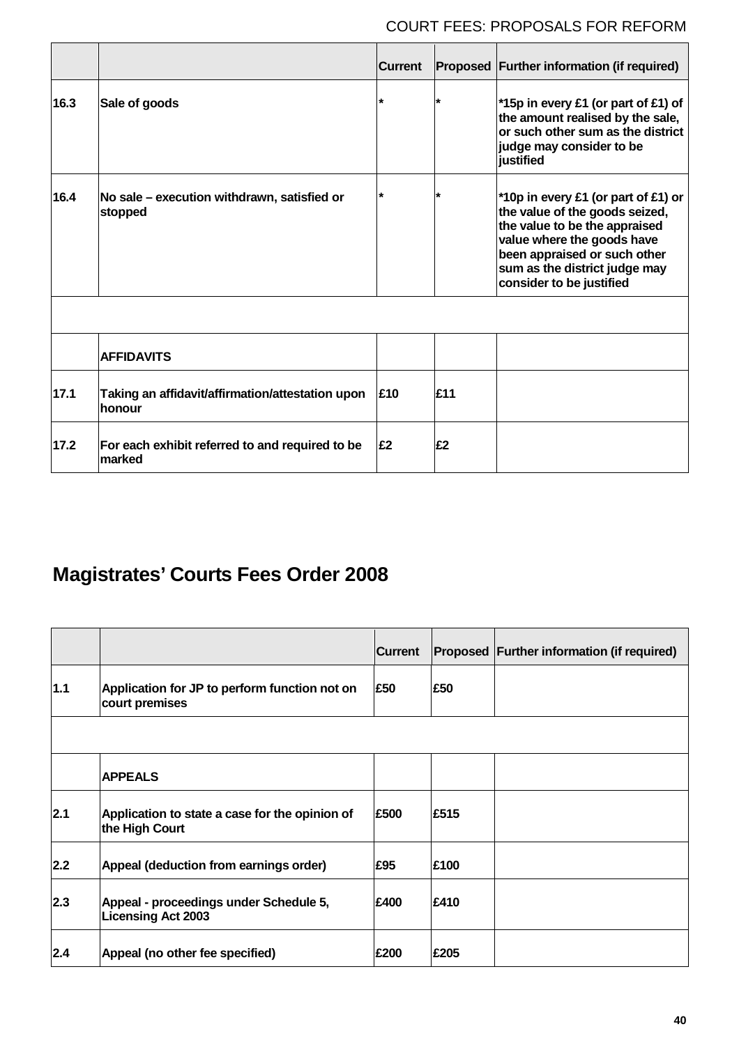|      |                                                            | <b>Current</b> |         | Proposed Further information (if required)                                                                                                                                                                                        |
|------|------------------------------------------------------------|----------------|---------|-----------------------------------------------------------------------------------------------------------------------------------------------------------------------------------------------------------------------------------|
| 16.3 | Sale of goods                                              |                | $\star$ | *15p in every £1 (or part of £1) of<br>the amount realised by the sale,<br>or such other sum as the district<br>judge may consider to be<br>justified                                                                             |
| 16.4 | No sale – execution withdrawn, satisfied or<br>stopped     |                | $\star$ | *10p in every £1 (or part of £1) or<br>the value of the goods seized,<br>the value to be the appraised<br>value where the goods have<br>been appraised or such other<br>sum as the district judge may<br>consider to be justified |
|      |                                                            |                |         |                                                                                                                                                                                                                                   |
|      | <b>AFFIDAVITS</b>                                          |                |         |                                                                                                                                                                                                                                   |
| 17.1 | Taking an affidavit/affirmation/attestation upon<br>honour | £10            | £11     |                                                                                                                                                                                                                                   |
| 17.2 | For each exhibit referred to and required to be<br>marked  | £2             | £2      |                                                                                                                                                                                                                                   |

# **Magistrates' Courts Fees Order 2008**

|       |                                                                     | <b>Current</b> |      | Proposed Further information (if required) |
|-------|---------------------------------------------------------------------|----------------|------|--------------------------------------------|
| 1.1   | Application for JP to perform function not on<br>court premises     | £50            | £50  |                                            |
|       |                                                                     |                |      |                                            |
|       | <b>APPEALS</b>                                                      |                |      |                                            |
| 2.1   | Application to state a case for the opinion of<br>the High Court    | £500           | £515 |                                            |
| $2.2$ | Appeal (deduction from earnings order)                              | £95            | £100 |                                            |
| 2.3   | Appeal - proceedings under Schedule 5,<br><b>Licensing Act 2003</b> | £400           | £410 |                                            |
| 2.4   | Appeal (no other fee specified)                                     | £200           | £205 |                                            |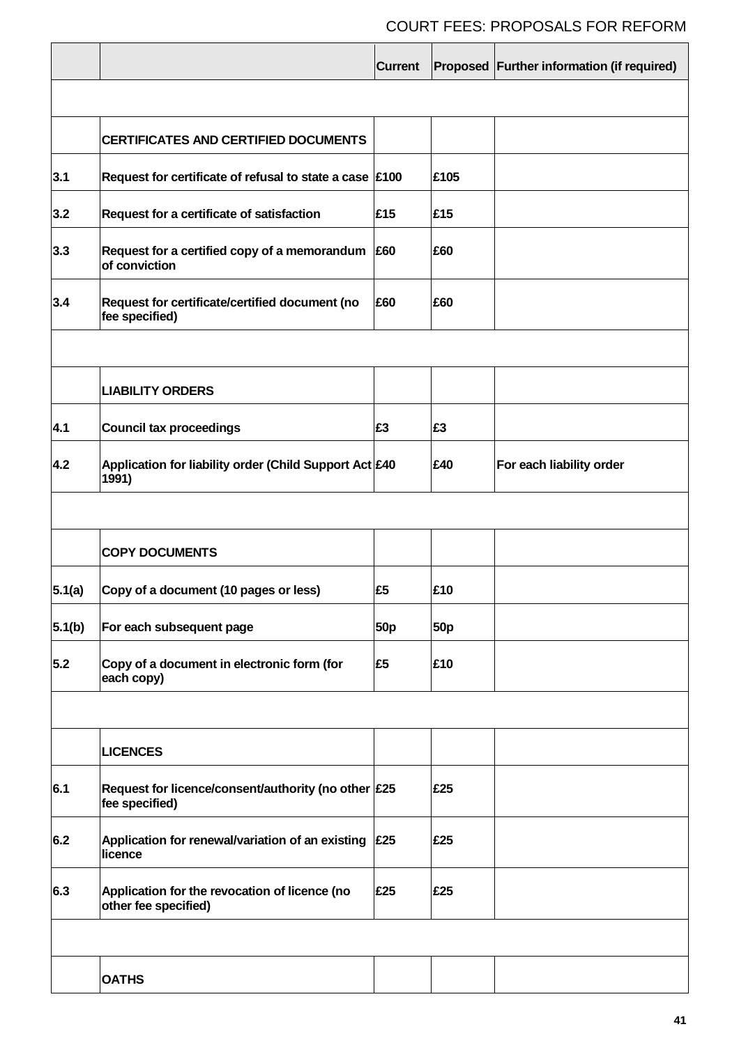|        |                                                                               | <b>Current</b> |            | Proposed Further information (if required) |
|--------|-------------------------------------------------------------------------------|----------------|------------|--------------------------------------------|
|        |                                                                               |                |            |                                            |
|        | <b>CERTIFICATES AND CERTIFIED DOCUMENTS</b>                                   |                |            |                                            |
| 3.1    | Request for certificate of refusal to state a case $\vert$ £100               |                | £105       |                                            |
| 3.2    | Request for a certificate of satisfaction                                     | £15            | £15        |                                            |
| 3.3    | Request for a certified copy of a memorandum<br>of conviction                 | £60            | £60        |                                            |
| 3.4    | Request for certificate/certified document (no<br>fee specified)              | £60            | £60        |                                            |
|        |                                                                               |                |            |                                            |
|        | <b>LIABILITY ORDERS</b>                                                       |                |            |                                            |
| 4.1    | <b>Council tax proceedings</b>                                                | £3             | £3         |                                            |
| 4.2    | Application for liability order (Child Support Act £40<br>1991)               |                | £40        | For each liability order                   |
|        |                                                                               |                |            |                                            |
|        | <b>COPY DOCUMENTS</b>                                                         |                |            |                                            |
| 5.1(a) | Copy of a document (10 pages or less)                                         | £5             | £10        |                                            |
| 5.1(b) | For each subsequent page                                                      | <b>50p</b>     | <b>50p</b> |                                            |
| 5.2    | Copy of a document in electronic form (for<br>each copy)                      | £5             | £10        |                                            |
|        |                                                                               |                |            |                                            |
|        | <b>LICENCES</b>                                                               |                |            |                                            |
| 6.1    | Request for licence/consent/authority (no other $\sqrt{25}$<br>fee specified) |                | £25        |                                            |
| 6.2    | Application for renewal/variation of an existing<br>licence                   | £25            | £25        |                                            |
| 6.3    | Application for the revocation of licence (no<br>other fee specified)         | £25            | £25        |                                            |
|        |                                                                               |                |            |                                            |
|        | <b>OATHS</b>                                                                  |                |            |                                            |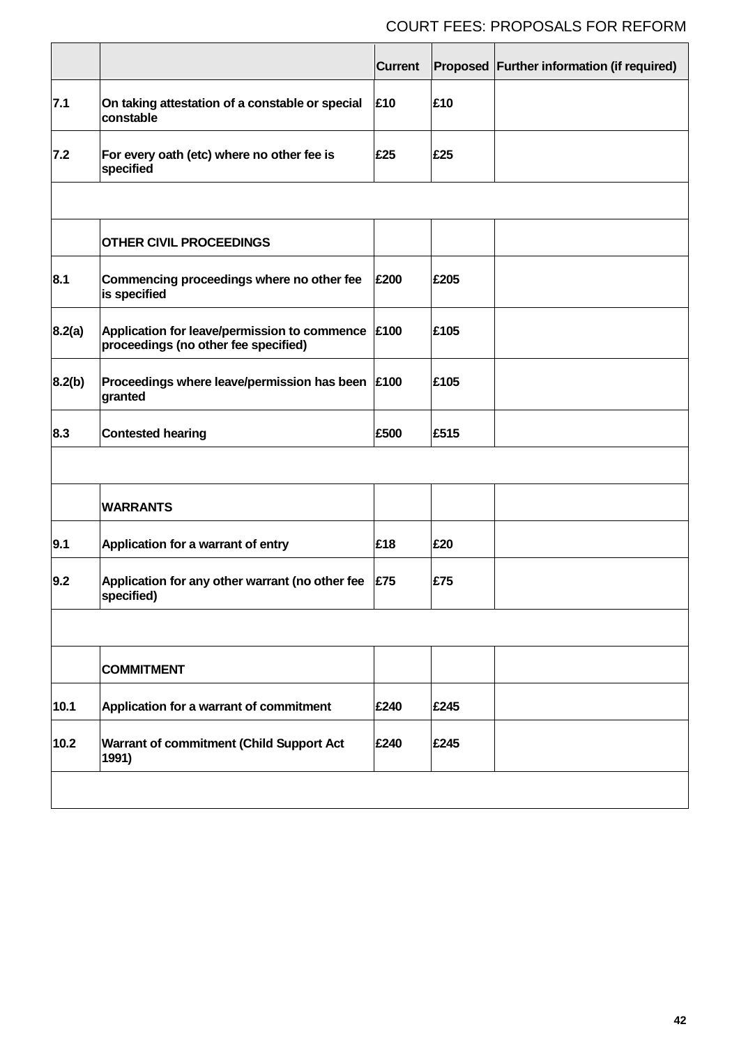|        |                                                                                      | <b>Current</b> |      | Proposed Further information (if required) |
|--------|--------------------------------------------------------------------------------------|----------------|------|--------------------------------------------|
| 7.1    | On taking attestation of a constable or special<br>constable                         | £10            | £10  |                                            |
| 7.2    | For every oath (etc) where no other fee is<br>specified                              | £25            | £25  |                                            |
|        |                                                                                      |                |      |                                            |
|        | <b>OTHER CIVIL PROCEEDINGS</b>                                                       |                |      |                                            |
| 8.1    | Commencing proceedings where no other fee<br>is specified                            | £200           | £205 |                                            |
| 8.2(a) | Application for leave/permission to commence<br>proceedings (no other fee specified) | £100           | £105 |                                            |
| 8.2(b) | Proceedings where leave/permission has been<br>granted                               | £100           | £105 |                                            |
| 8.3    | <b>Contested hearing</b>                                                             | £500           | £515 |                                            |
|        |                                                                                      |                |      |                                            |
|        | <b>WARRANTS</b>                                                                      |                |      |                                            |
| 9.1    | Application for a warrant of entry                                                   | £18            | £20  |                                            |
| 9.2    | Application for any other warrant (no other fee<br>specified)                        | £75            | £75  |                                            |
|        |                                                                                      |                |      |                                            |
|        | <b>COMMITMENT</b>                                                                    |                |      |                                            |
| 10.1   | Application for a warrant of commitment                                              | £240           | £245 |                                            |
| 10.2   | <b>Warrant of commitment (Child Support Act</b><br>1991)                             | £240           | £245 |                                            |
|        |                                                                                      |                |      |                                            |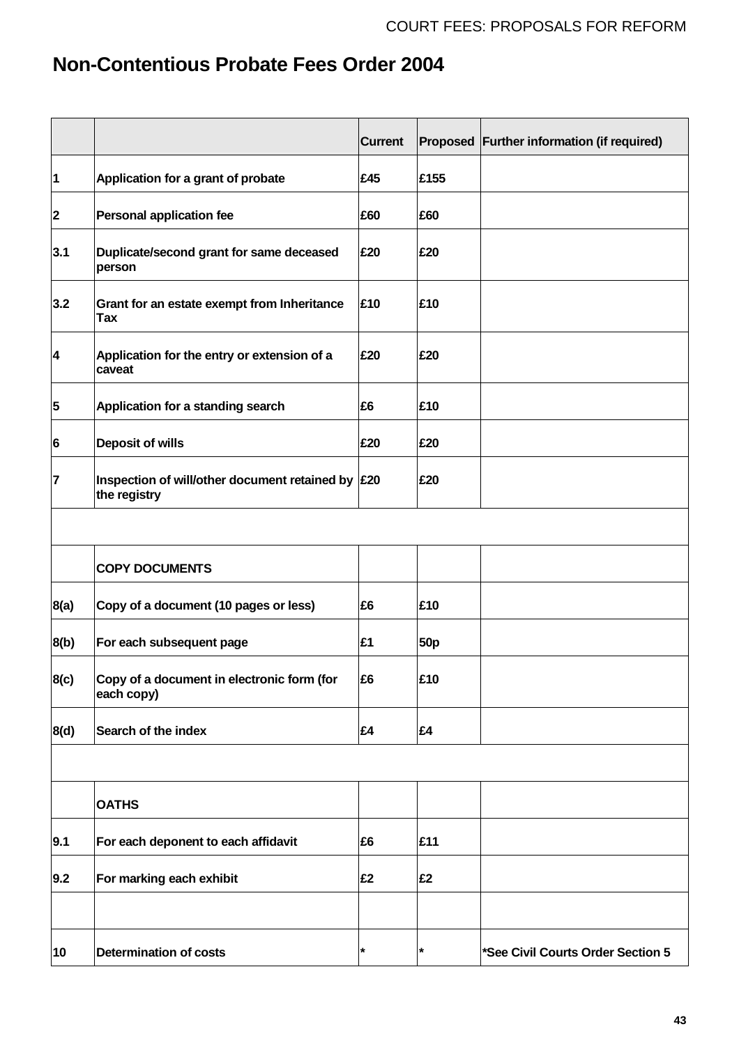# **Non-Contentious Probate Fees Order 2004**

|                         |                                                                                              | <b>Current</b> |                 | Proposed Further information (if required) |
|-------------------------|----------------------------------------------------------------------------------------------|----------------|-----------------|--------------------------------------------|
| $\mathbf 1$             | Application for a grant of probate                                                           | £45            | £155            |                                            |
| $\overline{\mathbf{2}}$ | <b>Personal application fee</b>                                                              | £60            | £60             |                                            |
| 3.1                     | Duplicate/second grant for same deceased<br>person                                           | £20            | £20             |                                            |
| 3.2                     | Grant for an estate exempt from Inheritance<br><b>Tax</b>                                    | £10            | £10             |                                            |
| $\overline{\mathbf{4}}$ | Application for the entry or extension of a<br>caveat                                        | £20            | £20             |                                            |
| 5                       | Application for a standing search                                                            | £6             | £10             |                                            |
| 6                       | <b>Deposit of wills</b>                                                                      | £20            | £20             |                                            |
| $\overline{7}$          | Inspection of will/other document retained by $\vert \text{\pounds}20 \vert$<br>the registry |                | £20             |                                            |
|                         |                                                                                              |                |                 |                                            |
|                         | <b>COPY DOCUMENTS</b>                                                                        |                |                 |                                            |
| 8(a)                    | Copy of a document (10 pages or less)                                                        | £6             | £10             |                                            |
| 8(b)                    | For each subsequent page                                                                     | £1             | 50 <sub>p</sub> |                                            |
| 8(c)                    | Copy of a document in electronic form (for<br>each copy)                                     | £6             | £10             |                                            |
| 8(d)                    | Search of the index                                                                          | £4             | £4              |                                            |
|                         |                                                                                              |                |                 |                                            |
|                         | <b>OATHS</b>                                                                                 |                |                 |                                            |
| 9.1                     | For each deponent to each affidavit                                                          | £6             | £11             |                                            |
| 9.2                     | For marking each exhibit                                                                     | £2             | £2              |                                            |
|                         |                                                                                              |                |                 |                                            |
| 10                      | <b>Determination of costs</b>                                                                | $\star$        | $\star$         | *See Civil Courts Order Section 5          |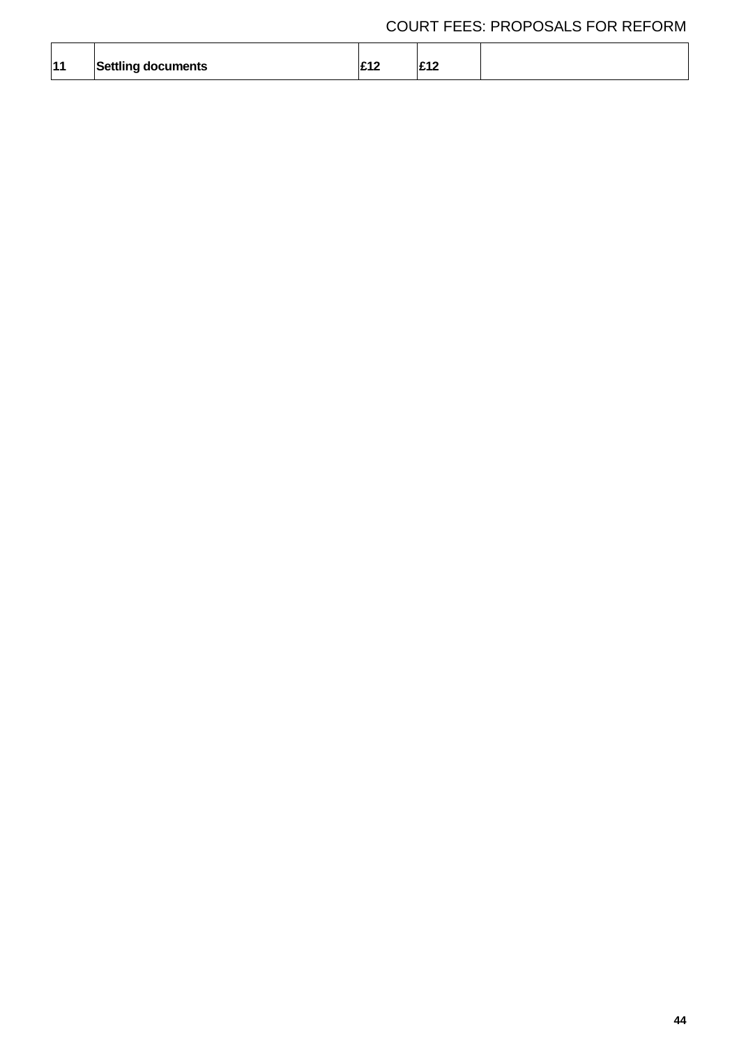| 11 | Settling documents | . . | <b>040</b><br>. |  |
|----|--------------------|-----|-----------------|--|
|    |                    |     |                 |  |